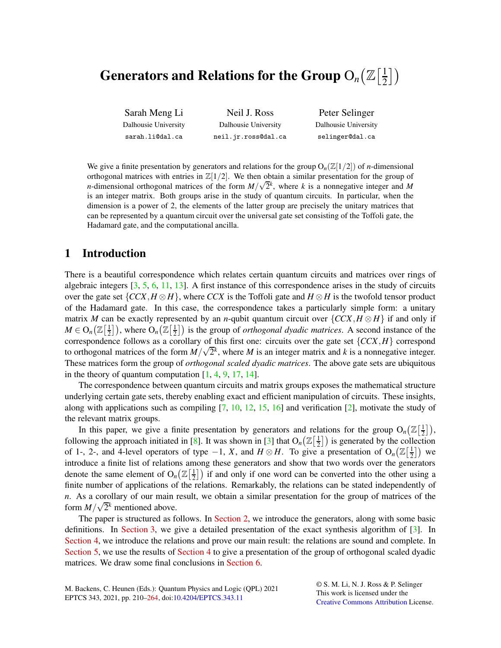## Generators and Relations for the Group  $\mathrm{O}_n\bigl(\mathbb{Z}\bigl[\tfrac{1}{2}\bigr]$  $\frac{1}{2}$ )

Sarah Meng Li Dalhousie University sarah.li@dal.ca Neil J. Ross Dalhousie University neil.jr.ross@dal.ca

Peter Selinger Dalhousie University selinger@dal.ca

We give a finite presentation by generators and relations for the group  $O_n(\mathbb{Z}[1/2])$  of *n*-dimensional orthogonal matrices with entries in  $\mathbb{Z}[1/2]$ . We then obtain a similar presentation for the group of *n*-dimensional orthogonal matrices of the form  $M/\sqrt{2}$ <sup>*k*</sup>, where *k* is a nonnegative integer and *M* is an integer matrix. Both groups arise in the study of quantum circuits. In particular, when the dimension is a power of 2, the elements of the latter group are precisely the unitary matrices that can be represented by a quantum circuit over the universal gate set consisting of the Toffoli gate, the Hadamard gate, and the computational ancilla.

# <span id="page-0-0"></span>1 Introduction

There is a beautiful correspondence which relates certain quantum circuits and matrices over rings of algebraic integers [\[3,](#page-53-0) [5,](#page-53-1) [6,](#page-54-1) [11,](#page-54-2) [13\]](#page-54-3). A first instance of this correspondence arises in the study of circuits over the gate set  ${CCX, H \otimes H}$ , where *CCX* is the Toffoli gate and  $H \otimes H$  is the twofold tensor product of the Hadamard gate. In this case, the correspondence takes a particularly simple form: a unitary matrix *M* can be exactly represented by an *n*-qubit quantum circuit over  $\{CCX, H \otimes H\}$  if and only if  $M \in \mathrm{O}_n\big(\mathbb{Z}\big[\frac{1}{2}\big]$  $\frac{1}{2}$ ]), where  $O_n(\mathbb{Z}[\frac{1}{2}])$  $\frac{1}{2}$ ) is the group of *orthogonal dyadic matrices*. A second instance of the correspondence follows as a corollary of this first one: circuits over the gate set  ${CCX, H}$  correspond to orthogonal matrices of the form  $M/\sqrt{2}$ <sup>*k*</sup>, where *M* is an integer matrix and *k* is a nonnegative integer. These matrices form the group of *orthogonal scaled dyadic matrices*. The above gate sets are ubiquitous in the theory of quantum computation  $[1, 4, 9, 17, 14]$  $[1, 4, 9, 17, 14]$  $[1, 4, 9, 17, 14]$  $[1, 4, 9, 17, 14]$  $[1, 4, 9, 17, 14]$  $[1, 4, 9, 17, 14]$  $[1, 4, 9, 17, 14]$  $[1, 4, 9, 17, 14]$  $[1, 4, 9, 17, 14]$ .

The correspondence between quantum circuits and matrix groups exposes the mathematical structure underlying certain gate sets, thereby enabling exact and efficient manipulation of circuits. These insights, along with applications such as compiling  $[7, 10, 12, 15, 16]$  $[7, 10, 12, 15, 16]$  $[7, 10, 12, 15, 16]$  $[7, 10, 12, 15, 16]$  $[7, 10, 12, 15, 16]$  $[7, 10, 12, 15, 16]$  $[7, 10, 12, 15, 16]$  $[7, 10, 12, 15, 16]$  and verification  $[2]$ , motivate the study of the relevant matrix groups.

In this paper, we give a finite presentation by generators and relations for the group  $O_n(\mathbb{Z}[\frac{1}{2}])$ , following the approach initiated in [\[8\]](#page-54-12). It was shown in [\[3\]](#page-53-0) that  $O_n(\mathbb{Z}[\frac{1}{2}])$  is generated by the collect  $\left(\frac{1}{2}\right)$  is generated by the collection of 1-, 2-, and 4-level operators of type  $-1$ , *X*, and  $H \otimes H$ . To give a presentation of O<sub>n</sub>( $\mathbb{Z}[\frac{1}{2}]$  $\frac{1}{2}$ ) we introduce a finite list of relations among these generators and show that two words over the generators denote the same element of  $O_n(\mathbb{Z}[\frac{1}{2}])$  $\frac{1}{2}$ ) if and only if one word can be converted into the other using a finite number of applications of the relations. Remarkably, the relations can be stated independently of *n*. As a corollary of our main result, we obtain a similar presentation for the group of matrices of the form  $M/\sqrt{2}$ <sup>*k*</sup> mentioned above.

The paper is structured as follows. In [Section 2,](#page-1-0) we introduce the generators, along with some basic definitions. In [Section 3,](#page-1-1) we give a detailed presentation of the exact synthesis algorithm of [\[3\]](#page-53-0). In [Section 4,](#page-3-0) we introduce the relations and prove our main result: the relations are sound and complete. In [Section 5,](#page-7-0) we use the results of [Section 4](#page-3-0) to give a presentation of the group of orthogonal scaled dyadic matrices. We draw some final conclusions in [Section 6.](#page-8-0)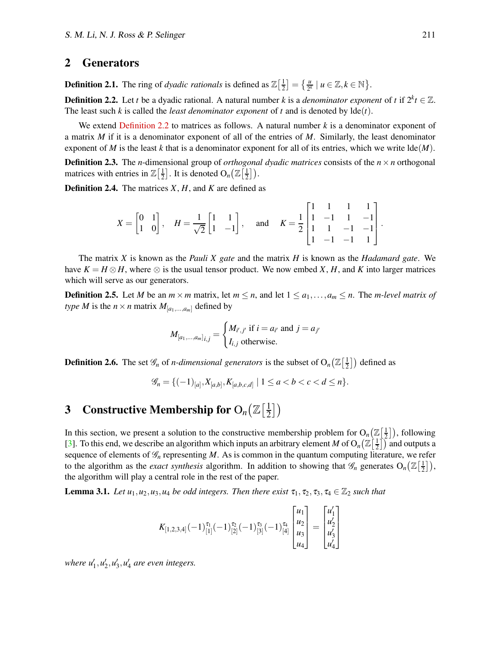## <span id="page-1-0"></span>2 Generators

<span id="page-1-2"></span>**Definition 2.1.** The ring of *dyadic rationals* is defined as  $\mathbb{Z}[\frac{1}{2}]$  $\left[\frac{1}{2}\right] = \left\{\frac{u}{2^k} \mid u \in \mathbb{Z}, k \in \mathbb{N}\right\}.$ 

**Definition 2.2.** Let *t* be a dyadic rational. A natural number *k* is a *denominator exponent* of *t* if  $2^k t \in \mathbb{Z}$ . The least such *k* is called the *least denominator exponent* of *t* and is denoted by lde(*t*).

We extend [Definition 2.2](#page-1-2) to matrices as follows. A natural number *k* is a denominator exponent of a matrix *M* if it is a denominator exponent of all of the entries of *M*. Similarly, the least denominator exponent of *M* is the least *k* that is a denominator exponent for all of its entries, which we write  $\text{Ide}(M)$ .

**Definition 2.3.** The *n*-dimensional group of *orthogonal dyadic matrices* consists of the  $n \times n$  orthogonal matrices with entries in  $\mathbb{Z}\left[\frac{1}{2}\right]$  $\frac{1}{2}$ . It is denoted  $O_n(\mathbb{Z}[\frac{1}{2}$  $\frac{1}{2}$ ).

Definition 2.4. The matrices *X*, *H*, and *K* are defined as

$$
X = \begin{bmatrix} 0 & 1 \\ 1 & 0 \end{bmatrix}, \quad H = \frac{1}{\sqrt{2}} \begin{bmatrix} 1 & 1 \\ 1 & -1 \end{bmatrix}, \quad \text{and} \quad K = \frac{1}{2} \begin{bmatrix} 1 & 1 & 1 & 1 \\ 1 & -1 & 1 & -1 \\ 1 & 1 & -1 & -1 \\ 1 & -1 & -1 & 1 \end{bmatrix}.
$$

The matrix *X* is known as the *Pauli X gate* and the matrix *H* is known as the *Hadamard gate*. We have  $K = H \otimes H$ , where  $\otimes$  is the usual tensor product. We now embed *X*, *H*, and *K* into larger matrices which will serve as our generators.

**Definition 2.5.** Let *M* be an  $m \times m$  matrix, let  $m \le n$ , and let  $1 \le a_1, \ldots, a_m \le n$ . The *m-level matrix of type M* is the  $n \times n$  matrix  $M_{[a_1,...,a_m]}$  defined by

$$
M_{[a_1,\ldots,a_m]_{i,j}} = \begin{cases} M_{i',j'} \text{ if } i = a_{i'} \text{ and } j = a_{j'} \\ I_{i,j} \text{ otherwise.} \end{cases}
$$

**Definition 2.6.** The set  $\mathscr{G}_n$  of *n-dimensional generators* is the subset of  $O_n(\mathbb{Z}[\frac{1}{2}])$  $\left(\frac{1}{2}\right)$  defined as

$$
\mathscr{G}_n = \{(-1)_{[a]}, X_{[a,b]}, K_{[a,b,c,d]} \mid 1 \leq a < b < c < d \leq n\}.
$$

#### <span id="page-1-1"></span>**3** Constructive Membership for  $O_n(\mathbb{Z}[\frac{1}{2}])$  $\frac{1}{2}$ )

In this section, we present a solution to the constructive membership problem for  $O_n(\mathbb{Z}[\frac{1}{2})$  $\left(\frac{1}{2}\right)$ , following [\[3\]](#page-53-0). To this end, we describe an algorithm which inputs an arbitrary element *M* of  $O_n(\mathbb{Z}[\frac{1}{2})$  $\left(\frac{1}{2}\right)$  and outputs a sequence of elements of  $\mathcal{G}_n$  representing  $M$ . As is common in the quantum computing literature, we refer to the algorithm as the *exact synthesis* algorithm. In addition to showing that  $\mathscr{G}_n$  generates  $O_n(\mathbb{Z}[\frac{1}{2}])$  $\frac{1}{2}$ ), the algorithm will play a central role in the rest of the paper.

<span id="page-1-3"></span>**Lemma 3.1.** *Let*  $u_1, u_2, u_3, u_4$  *be odd integers. Then there exist*  $\tau_1, \tau_2, \tau_3, \tau_4 \in \mathbb{Z}_2$  *such that* 

$$
K_{[1,2,3,4]}(-1)^{\tau_1}_{[1]}(-1)^{\tau_2}_{[2]}(-1)^{\tau_3}_{[3]}(-1)^{\tau_4}_{[4]}\begin{bmatrix} u_1 \\ u_2 \\ u_3 \\ u_4 \end{bmatrix} = \begin{bmatrix} u'_1 \\ u'_2 \\ u'_3 \\ u'_4 \end{bmatrix}
$$

where  $u'_1, u'_2, u'_3, u'_4$  are even integers.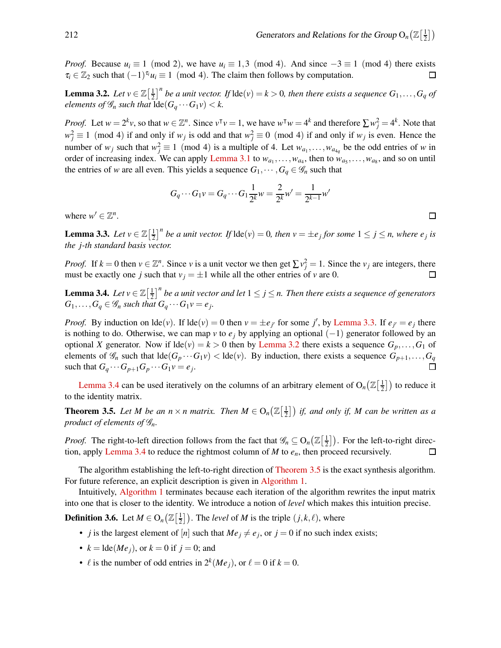*Proof.* Because  $u_i \equiv 1 \pmod{2}$ , we have  $u_i \equiv 1,3 \pmod{4}$ . And since  $-3 \equiv 1 \pmod{4}$  there exists  $\tau_i \in \mathbb{Z}_2$  such that  $(-1)^{\tau_i} u_i \equiv 1 \pmod{4}$ . The claim then follows by computation.  $\tau_i \in \mathbb{Z}_2$  such that  $(-1)^{\tau_i} u_i \equiv 1 \pmod{4}$ . The claim then follows by computation.

<span id="page-2-1"></span>**Lemma 3.2.** *Let*  $v \in \mathbb{Z}\left[\frac{1}{2}\right]$  $\frac{1}{2}$ ]<sup>n</sup> be a unit vector. If  $\text{lde}(v) = k > 0$ , then there exists a sequence  $G_1, \ldots, G_q$  of *elements of*  $\mathcal{G}_n$  *such that*  $\text{Ide}(G_a \cdots G_1 \nu) < k$ .

*Proof.* Let  $w = 2^k v$ , so that  $w \in \mathbb{Z}^n$ . Since  $v^{\mathsf{T}} v = 1$ , we have  $w^{\mathsf{T}} w = 4^k$  and therefore  $\sum w_j^2 = 4^k$ . Note that  $w_j^2 \equiv 1 \pmod{4}$  if and only if *w<sub>j</sub>* is odd and that  $w_j^2 \equiv 0 \pmod{4}$  if and only if *w<sub>j</sub>* is even. Hence the number of  $w_j$  such that  $w_j^2 \equiv 1 \pmod{4}$  is a multiple of 4. Let  $w_{a_1}, \ldots, w_{a_{4q}}$  be the odd entries of *w* in order of increasing index. We can apply [Lemma 3.1](#page-1-3) to  $w_{a_1}, \ldots, w_{a_4}$ , then to  $w_{a_5}, \ldots, w_{a_8}$ , and so on until the entries of *w* are all even. This yields a sequence  $G_1, \dots, G_q \in \mathcal{G}_n$  such that

$$
G_q \cdots G_1 v = G_q \cdots G_1 \frac{1}{2^k} w = \frac{2}{2^k} w' = \frac{1}{2^{k-1}} w'
$$

<span id="page-2-0"></span>where  $w' \in \mathbb{Z}^n$ .

**Lemma 3.3.** *Let*  $v \in \mathbb{Z}\left[\frac{1}{2}\right]$  $\frac{1}{2}$ <sup>*n*</sup> be a unit vector. If  $\text{Ide}(v) = 0$ , then  $v = \pm e_j$  for some  $1 \leq j \leq n$ , where  $e_j$  is *the j-th standard basis vector.*

*Proof.* If  $k = 0$  then  $v \in \mathbb{Z}^n$ . Since *v* is a unit vector we then get  $\sum v_j^2 = 1$ . Since the *v<sub>j</sub>* are integers, there must be exactly one *j* such that  $v_j = \pm 1$  while all the other entries of *v* are 0.  $\Box$ 

<span id="page-2-2"></span>**Lemma 3.4.** *Let*  $v \in \mathbb{Z}\left[\frac{1}{2}\right]$  $\frac{1}{2}$ ]<sup>n</sup> be a unit vector and let  $1 \leq j \leq n$ . Then there exists a sequence of generators  $G_1, \ldots, G_q \in \mathscr{G}_n$  *such that*  $G_q \cdots G_1 v = e_j$ .

*Proof.* By induction on  $\text{Ide}(v)$ . If  $\text{Ide}(v) = 0$  then  $v = \pm e_j$  for some *j*', by [Lemma 3.3.](#page-2-0) If  $e_j = e_j$  there is nothing to do. Otherwise, we can map *v* to  $e_j$  by applying an optional  $(-1)$  generator followed by an optional *X* generator. Now if  $\text{Ide}(v) = k > 0$  then by [Lemma 3.2](#page-2-1) there exists a sequence  $G_p, \ldots, G_1$  of elements of  $\mathcal{G}_n$  such that  $\text{Ide}(G_p \cdots G_1 \nu) < \text{Ide}(\nu)$ . By induction, there exists a sequence  $G_{p+1}, \ldots, G_q$ such that  $G_q \cdots G_{p+1} G_p \cdots G_1 v = e_j$ .

<span id="page-2-3"></span>[Lemma 3.4](#page-2-2) can be used iteratively on the columns of an arbitrary element of  $O_n(\mathbb{Z}[\frac{1}{2})$  $\left(\frac{1}{2}\right)$  to reduce it to the identity matrix.

**Theorem 3.5.** Let M be an  $n \times n$  matrix. Then  $M \in O_n(\mathbb{Z}[\frac{1}{2}$  $\lfloor \frac{1}{2} \rfloor$ ) if, and only if, M can be written as a *product of elements of* G*n.*

*Proof.* The right-to-left direction follows from the fact that  $\mathscr{G}_n \subseteq O_n(\mathbb{Z}[\frac{1}{2})$  $\frac{1}{2}$ ). For the left-to-right direction, apply [Lemma 3.4](#page-2-2) to reduce the rightmost column of *M* to *en*, then proceed recursively.  $\Box$ 

The algorithm establishing the left-to-right direction of [Theorem 3.5](#page-2-3) is the exact synthesis algorithm. For future reference, an explicit description is given in [Algorithm 1.](#page-3-1)

Intuitively, [Algorithm 1](#page-3-1) terminates because each iteration of the algorithm rewrites the input matrix into one that is closer to the identity. We introduce a notion of *level* which makes this intuition precise.

**Definition 3.6.** Let  $M \in O_n\left(\mathbb{Z}\left[\frac{1}{2}\right]\right)$  $\left(\frac{1}{2}\right)$ . The *level* of *M* is the triple  $(j, k, \ell)$ , where

- *j* is the largest element of  $[n]$  such that  $Me_j \neq e_j$ , or  $j = 0$  if no such index exists;
- $k = \text{lde}(Me_i)$ , or  $k = 0$  if  $j = 0$ ; and
- $\ell$  is the number of odd entries in  $2^k(Me_j)$ , or  $\ell = 0$  if  $k = 0$ .

 $\Box$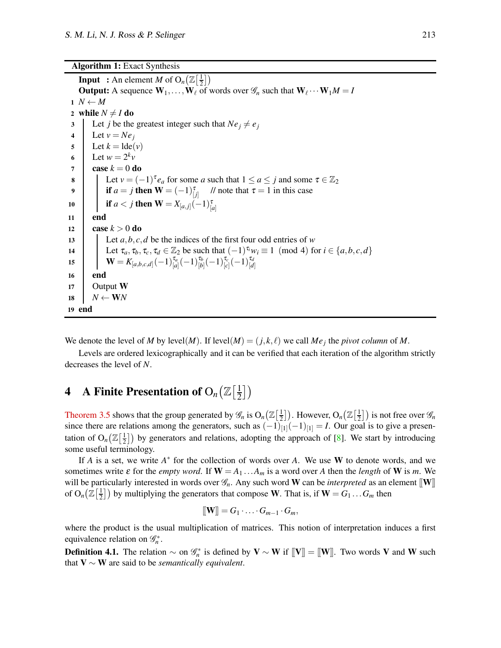<span id="page-3-1"></span>Algorithm 1: Exact Synthesis

**Input** : An element *M* of  $O_n(\mathbb{Z}[\frac{1}{2}$  $\frac{1}{2}$ ) **Output:** A sequence  $W_1, \ldots, W_\ell$  of words over  $\mathcal{G}_n$  such that  $W_\ell \cdots W_1 M = I$  $1 N \leftarrow M$ 2 while  $N \neq I$  do 3 Let *j* be the greatest integer such that  $Ne_j \neq e_j$ 4 Let  $v = Ne_j$  $5$  Let  $k = \text{Ide}(v)$ 6 Let  $w = 2^k v$  $7 \quad \text{case } k = 0 \text{ do}$ **8** CHE **Let**  $v = (-1)^{\tau} e_a$  for some *a* such that  $1 \le a \le j$  and some  $\tau \in \mathbb{Z}_2$ 9 **if**  $a = j$  **then**  $\mathbf{W} = (-1)^{\tau}_{[j]}$ // note that  $\tau = 1$  in this case 10 **if**  $a < j$  **then**  $\mathbf{W} = X_{[a,j]}(-1)^{\tau}_{[a]}$ 11 end 12 **case**  $k > 0$  do 13 Let *a*,*b*,*c*,*d* be the indices of the first four odd entries of *w* 14 Let  $\tau_a, \tau_b, \tau_c, \tau_d \in \mathbb{Z}_2$  be such that  $(-1)^{\tau_i}w_i \equiv 1 \pmod{4}$  for  $i \in \{a, b, c, d\}$  $\mathbf{W} = K_{[a,b,c,d]}(-1)_{[a]}^{\tau_a}(-1)^{\tau_b}_{[b]}(-1)^{\tau_c}_{[c]}(-1)^{\tau_d}_{[d]}.$ 16 end 17 | Output  $W$ 18  $N \leftarrow \mathbf{W}N$ 19 end

We denote the level of *M* by level(*M*). If level(*M*) =  $(j, k, \ell)$  we call *Me<sub>j</sub>* the *pivot column* of *M*.

Levels are ordered lexicographically and it can be verified that each iteration of the algorithm strictly decreases the level of *N*.

#### <span id="page-3-0"></span>**4** A Finite Presentation of  $O_n(\mathbb{Z}[\frac{1}{2}])$  $\frac{1}{2}$ )

[Theorem 3.5](#page-2-3) shows that the group generated by  $\mathscr{G}_n$  is  $O_n(\mathbb{Z}[\frac{1}{2})$  $\frac{1}{2}$ ]). However, O<sub>n</sub> ( $\mathbb{Z}[\frac{1}{2}]$  $\left(\frac{1}{2}\right]$ ) is not free over  $\mathscr{G}_n$ since there are relations among the generators, such as  $(-1)_{[1]}(-1)_{[1]} = I$ . Our goal is to give a presentation of  $O_n(\mathbb{Z}[\frac{1}{2}$  $\frac{1}{2}$ ) by generators and relations, adopting the approach of [\[8\]](#page-54-12). We start by introducing some useful terminology.

If *A* is a set, we write *A*<sup>\*</sup> for the collection of words over *A*. We use **W** to denote words, and we sometimes write  $\varepsilon$  for the *empty word*. If  $W = A_1 \dots A_m$  is a word over *A* then the *length* of **W** is *m*. We will be particularly interested in words over  $\mathcal{G}_n$ . Any such word **W** can be *interpreted* as an element  $[\![\mathbf{W}]\!]$ of  $O_n(\mathbb{Z}[\frac{1}{2}$  $\left(\frac{1}{2}\right]$ ) by multiplying the generators that compose W. That is, if  $W = G_1 \dots G_m$  then

$$
[\![\mathbf{W}]\!]=G_1\cdot\ldots\cdot G_{m-1}\cdot G_m,
$$

where the product is the usual multiplication of matrices. This notion of interpretation induces a first equivalence relation on  $\mathcal{G}_n^*$ .

<span id="page-3-2"></span>**Definition 4.1.** The relation  $\sim$  on  $\mathscr{G}_n^*$  is defined by  $V \sim W$  if  $[[V]] = [[W]]$ . Two words V and W such that V ∼ W are said to be *semantically equivalent*.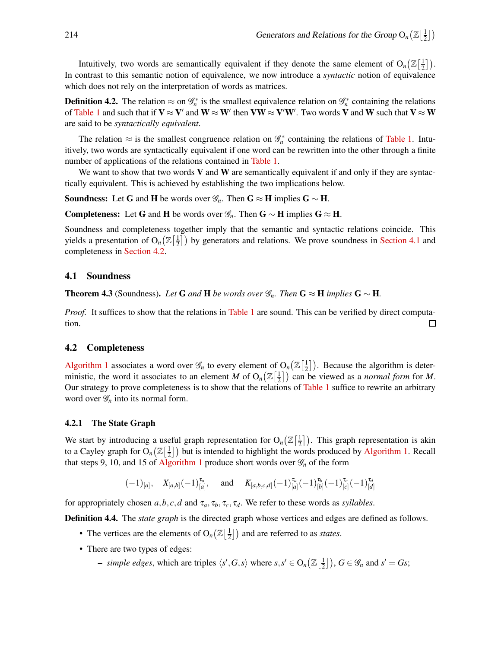Intuitively, two words are semantically equivalent if they denote the same element of  $O_n(\mathbb{Z}[\frac{1}{2}])$  $\frac{1}{2}$ ). In contrast to this semantic notion of equivalence, we now introduce a *syntactic* notion of equivalence which does not rely on the interpretation of words as matrices.

**Definition 4.2.** The relation  $\approx$  on  $\mathcal{G}_n^*$  is the smallest equivalence relation on  $\mathcal{G}_n^*$  containing the relations of [Table 1](#page-5-0) and such that if  $V \approx V'$  and  $W \approx W'$  then  $VW \approx V'W'$ . Two words V and W such that  $V \approx W$ are said to be *syntactically equivalent*.

The relation  $\approx$  is the smallest congruence relation on  $\mathcal{G}_n^*$  containing the relations of [Table 1.](#page-5-0) Intuitively, two words are syntactically equivalent if one word can be rewritten into the other through a finite number of applications of the relations contained in [Table 1.](#page-5-0)

We want to show that two words  $V$  and  $W$  are semantically equivalent if and only if they are syntactically equivalent. This is achieved by establishing the two implications below.

**Soundness:** Let G and H be words over  $\mathscr{G}_n$ . Then G  $\approx$  H implies G  $\sim$  H.

Completeness: Let G and H be words over  $\mathscr{G}_n$ . Then G ~ H implies G ≈ H.

Soundness and completeness together imply that the semantic and syntactic relations coincide. This yields a presentation of  $O_n(\mathbb{Z})\left[\frac{1}{2}\right]$  $\frac{1}{2}$ ) by generators and relations. We prove soundness in [Section 4.1](#page-4-0) and completeness in [Section 4.2.](#page-4-1)

#### <span id="page-4-0"></span>4.1 Soundness

**Theorem 4.3** (Soundness). Let **G** and **H** be words over  $\mathscr{G}_n$ . Then **G** ≈ **H** *implies* **G** ∼ **H**.

*Proof.* It suffices to show that the relations in [Table 1](#page-5-0) are sound. This can be verified by direct computation.  $\Box$ 

#### <span id="page-4-1"></span>4.2 Completeness

[Algorithm 1](#page-3-1) associates a word over  $\mathscr{G}_n$  to every element of  $O_n(\mathbb{Z}[\frac{1}{2}])$  $\lfloor \frac{1}{2} \rfloor$ ). Because the algorithm is deterministic, the word it associates to an element *M* of  $O_n(\mathbb{Z}[\frac{1}{2}])$  $\left(\frac{1}{2}\right)$  can be viewed as a *normal form* for *M*. Our strategy to prove completeness is to show that the relations of [Table 1](#page-5-0) suffice to rewrite an arbitrary word over  $\mathcal{G}_n$  into its normal form.

#### 4.2.1 The State Graph

We start by introducing a useful graph representation for  $O_n(\mathbb{Z}[\frac{1}{2}])$  $\frac{1}{2}$ ). This graph representation is akin to a Cayley graph for  $O_n(\mathbb{Z}[\frac{1}{2}])$  $\frac{1}{2}$ ) but is intended to highlight the words produced by [Algorithm 1.](#page-3-1) Recall that steps 9, 10, and 15 of [Algorithm 1](#page-3-1) produce short words over  $\mathcal{G}_n$  of the form

$$
(-1)_{[a]},
$$
  $X_{[a,b]}(-1)_{[a]}^{\tau_a},$  and  $K_{[a,b,c,d]}(-1)_{[a]}^{\tau_a}(-1)_{[b]}^{\tau_b}(-1)_{[c]}^{\tau_c}(-1)_{[d]}^{\tau_d}$ 

for appropriately chosen  $a, b, c, d$  and  $\tau_a, \tau_b, \tau_c, \tau_d$ . We refer to these words as *syllables*.

Definition 4.4. The *state graph* is the directed graph whose vertices and edges are defined as follows.

- The vertices are the elements of  $O_n(\mathbb{Z})\left[\frac{1}{2}\right]$  $\frac{1}{2}$ ) and are referred to as *states*.
- There are two types of edges:

- *simple edges*, which are triples  $\langle s', G, s \rangle$  where  $s, s' \in O_n(\mathbb{Z}[\frac{1}{2})]$  $\left[\frac{1}{2}\right]$ ,  $G \in \mathscr{G}_n$  and  $s' = Gs$ ;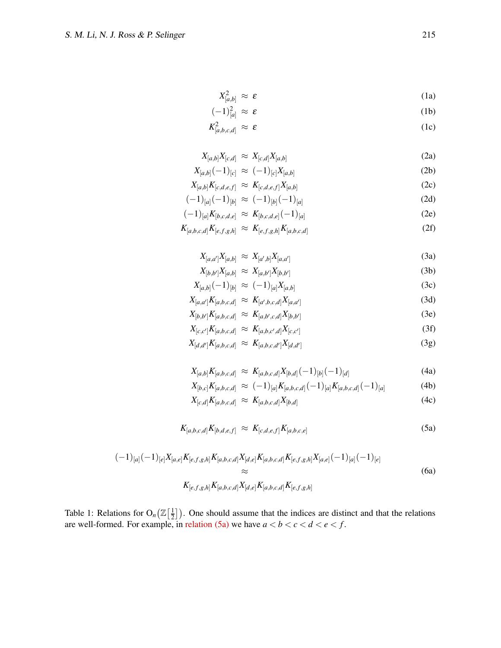$$
X_{[a,b]}^2 \approx \varepsilon \tag{1a}
$$

<span id="page-5-0"></span>
$$
(-1)^2_{[a]} \approx \varepsilon \tag{1b}
$$

$$
K^2_{[a,b,c,d]} \approx \varepsilon \tag{1c}
$$

$$
X_{[a,b]}X_{[c,d]} \approx X_{[c,d]}X_{[a,b]}
$$
\n(2a)

$$
X_{[a,b]}(-1)_{[c]} \approx (-1)_{[c]} X_{[a,b]}
$$
 (2b)

$$
X_{[a,b]}K_{[c,d,e,f]} \approx K_{[c,d,e,f]}X_{[a,b]}
$$
 (2c)

$$
(-1)_{[a]}(-1)_{[b]} \approx (-1)_{[b]}(-1)_{[a]}
$$
\n
$$
(-1)_{[b]}(-1)_{[b]}(-1)_{[c]}
$$
\n
$$
(20)
$$

$$
(-1)_{[a]}K_{[b,c,d,e]} \approx K_{[b,c,d,e]}(-1)_{[a]}
$$
 (2e)

$$
K_{[a,b,c,d]}K_{[e,f,g,h]} \approx K_{[e,f,g,h]}K_{[a,b,c,d]} \tag{2f}
$$

$$
X_{[a,a']}X_{[a,b]} \approx X_{[a',b]}X_{[a,a']}
$$
 (3a)

<span id="page-5-6"></span><span id="page-5-5"></span><span id="page-5-4"></span>
$$
X_{[b,b']}X_{[a,b]} \approx X_{[a,b']}X_{[b,b']}
$$
 (3b)

$$
X_{[a,b]}(-1)_{[b]} \approx (-1)_{[a]} X_{[a,b]}
$$
\n(3c)

$$
X_{[a,a']}K_{[a,b,c,d]} \approx K_{[a',b,c,d]}X_{[a,a']}
$$
\n
$$
X_{[a',b',c',d]} \sim K_{[a',b',c',d]}X_{[a,a']}
$$
\n
$$
(3a)
$$

<span id="page-5-7"></span>
$$
X_{[b,b']}K_{[a,b,c,d]} \approx K_{[a,b',c,d]}X_{[b,b']}
$$
\n
$$
X_{[a,b',c,d]} \approx K_{[a,b',c,d]}X_{[b,b']}
$$
\n(3e)

$$
X_{[c,c']}K_{[a,b,c,d]} \approx K_{[a,b,c',d]}X_{[c,c']}
$$
(3f)

$$
X_{[d,d']}K_{[a,b,c,d]} \approx K_{[a,b,c,d']}X_{[d,d']}
$$
 (3g)

$$
X_{[a,b]}K_{[a,b,c,d]} \approx K_{[a,b,c,d]}X_{[b,d]}(-1)_{[b]}(-1)_{[d]}
$$
\n(4a)

<span id="page-5-3"></span><span id="page-5-2"></span>
$$
X_{[b,c]}K_{[a,b,c,d]} \approx (-1)_{[a]}K_{[a,b,c,d]}(-1)_{[a]}K_{[a,b,c,d]}(-1)_{[a]}
$$
 (4b)

<span id="page-5-1"></span>
$$
X_{[c,d]}K_{[a,b,c,d]} \approx K_{[a,b,c,d]}X_{[b,d]} \tag{4c}
$$

$$
K_{[a,b,c,d]}K_{[b,d,e,f]} \approx K_{[c,d,e,f]}K_{[a,b,c,e]} \tag{5a}
$$

$$
(-1)_{[a]}(-1)_{[e]}X_{[a,e]}K_{[e,f,g,h]}K_{[a,b,c,d]}X_{[d,e]}K_{[a,b,c,d]}K_{[e,f,g,h]}X_{[a,e]}(-1)_{[a]}(-1)_{[e]}
$$

$$
\approx K_{[e,f,g,h]}K_{[a,b,c,d]}X_{[d,e]}K_{[a,b,c,d]}K_{[e,f,g,h]}
$$
(6a)

Table 1: Relations for  $O_n(\mathbb{Z})\left[\frac{1}{2}\right]$  $\frac{1}{2}$ ). One should assume that the indices are distinct and that the relations are well-formed. For example, in [relation \(5a\)](#page-5-1) we have  $a < b < c < d < e < f$ .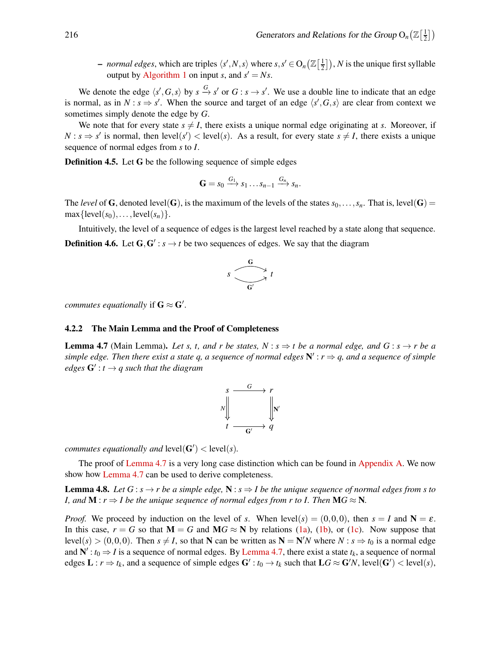- *normal edges*, which are triples  $\langle s', N, s \rangle$  where  $s, s' \in O_n\left(\mathbb{Z}\left[\frac{1}{2}\right]\right)$  $\left[ \frac{1}{2} \right]$ ), *N* is the unique first syllable output by [Algorithm 1](#page-3-1) on input *s*, and  $s' = Ns$ .

We denote the edge  $\langle s', G, s \rangle$  by  $s \stackrel{G}{\to} s'$  or  $G : s \to s'$ . We use a double line to indicate that an edge is normal, as in  $N : s \Rightarrow s'$ . When the source and target of an edge  $\langle s', G, s \rangle$  are clear from context we sometimes simply denote the edge by *G*.

We note that for every state  $s \neq I$ , there exists a unique normal edge originating at *s*. Moreover, if  $N: s \Rightarrow s'$  is normal, then level(*s'*) < level(*s*). As a result, for every state  $s \neq I$ , there exists a unique sequence of normal edges from *s* to *I*.

Definition 4.5. Let G be the following sequence of simple edges

$$
\mathbf{G}=s_0 \xrightarrow{G_1} s_1 \dots s_{n-1} \xrightarrow{G_n} s_n.
$$

The *level* of G, denoted level(G), is the maximum of the levels of the states  $s_0, \ldots, s_n$ . That is, level(G) =  $\max{\{\text{level}(s_0), \ldots, \text{level}(s_n)\}}$ .

Intuitively, the level of a sequence of edges is the largest level reached by a state along that sequence. **Definition 4.6.** Let  $G, G' : s \rightarrow t$  be two sequences of edges. We say that the diagram

$$
s \xrightarrow{\mathbf{G}} t
$$

*commutes equationally* if  $G \approx G'$ .

#### <span id="page-6-0"></span>4.2.2 The Main Lemma and the Proof of Completeness

**Lemma 4.7** (Main Lemma). Let s, t, and r be states,  $N : s \Rightarrow t$  be a normal edge, and  $G : s \rightarrow r$  be a *simple edge. Then there exist a state q, a sequence of normal edges* N ′ : *r* ⇒ *q, and a sequence of simple edges* G′ : *t* → *q such that the diagram*

$$
s \xrightarrow{\qquad G} r
$$
\n
$$
s \xrightarrow{\qquad G} r
$$
\n
$$
t \xrightarrow{\qquad \qquad} q
$$

*commutes equationally and*  $level(G') < level(s)$ *.* 

<span id="page-6-1"></span>The proof of [Lemma 4.7](#page-6-0) is a very long case distinction which can be found in [Appendix A.](#page-9-0) We now show how [Lemma 4.7](#page-6-0) can be used to derive completeness.

**Lemma 4.8.** *Let*  $G : s \to r$  *be a simple edge,*  $N : s \to l$  *be the unique sequence of normal edges from s to I, and*  $M : r \Rightarrow I$  *be the unique sequence of normal edges from r to I. Then*  $MG \approx N$ .

*Proof.* We proceed by induction on the level of *s*. When level(*s*) = (0,0,0), then  $s = I$  and  $N = \varepsilon$ . In this case,  $r = G$  so that  $M = G$  and  $MG \approx N$  by relations [\(1a\)](#page-5-1), [\(1b\)](#page-5-2), or [\(1c\)](#page-5-3). Now suppose that  $\text{level}(s) > (0,0,0)$ . Then  $s \neq I$ , so that **N** can be written as  $N = N/N$  where  $N : s \Rightarrow t_0$  is a normal edge and  $N'$ :  $t_0 \Rightarrow I$  is a sequence of normal edges. By [Lemma 4.7,](#page-6-0) there exist a state  $t_k$ , a sequence of normal edges  $\mathbf{L}: r \Rightarrow t_k$ , and a sequence of simple edges  $\mathbf{G}': t_0 \rightarrow t_k$  such that  $\mathbf{L}G \approx \mathbf{G}'N$ , level $(\mathbf{G}') <$  level $(s)$ ,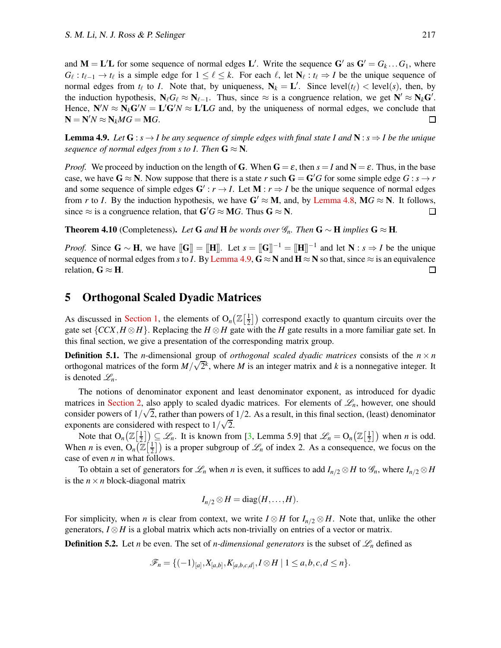and  $M = L'L$  for some sequence of normal edges L'. Write the sequence  $G'$  as  $G' = G_k \dots G_1$ , where  $G_{\ell}: t_{\ell-1} \to t_{\ell}$  is a simple edge for  $1 \leq \ell \leq k$ . For each  $\ell$ , let  $N_{\ell}: t_{\ell} \Rightarrow I$  be the unique sequence of normal edges from  $t_{\ell}$  to *I*. Note that, by uniqueness,  $N_k = L'$ . Since level $(t_{\ell})$  < level(*s*), then, by the induction hypothesis,  $N_{\ell}G_{\ell} \approx N_{\ell-1}$ . Thus, since  $\approx$  is a congruence relation, we get  $N' \approx N_{k}G'$ . Hence,  $N'N \approx N_k G'N = L'G'N \approx L'LG$  and, by the uniqueness of normal edges, we conclude that  $N = N/N \approx N_k MG = MG.$  $\Box$ 

<span id="page-7-1"></span>**Lemma 4.9.** *Let*  $G : s \rightarrow I$  *be any sequence of simple edges with final state I and*  $N : s \Rightarrow I$  *be the unique sequence of normal edges from s to I. Then*  $G \approx N$ .

*Proof.* We proceed by induction on the length of G. When  $G = \varepsilon$ , then  $s = I$  and  $N = \varepsilon$ . Thus, in the base case, we have  $G \approx N$ . Now suppose that there is a state *r* such  $G = G'G$  for some simple edge  $G : s \to r$ and some sequence of simple edges  $G' : r \to I$ . Let  $M : r \to I$  be the unique sequence of normal edges from *r* to *I*. By the induction hypothesis, we have  $G' \approx M$ , and, by [Lemma 4.8,](#page-6-1)  $MG \approx N$ . It follows, since  $\approx$  is a congruence relation, that  $G'G \approx MG$ . Thus  $G \approx N$ . since  $\approx$  is a congruence relation, that  $G'G \approx MG$ . Thus  $G \approx N$ .

<span id="page-7-2"></span>Theorem 4.10 (Completeness). Let **G** and **H** be words over  $\mathscr{G}_n$ . Then **G** ∼ **H** *implies* **G** ≈ **H**.

*Proof.* Since  $G \sim H$ , we have  $[[G]] = [[H]]$ . Let  $s = [[G]]^{-1} = [[H]]^{-1}$  and let  $N : s \Rightarrow I$  be the unique sequence of normal edges from *s* to *I*. By [Lemma 4.9,](#page-7-1)  $G \approx N$  and  $H \approx N$  so that, since  $\approx$  is an equivalence relation.  $G \approx H$ . relation,  $G \approx H$ .

## <span id="page-7-0"></span>5 Orthogonal Scaled Dyadic Matrices

As discussed in [Section 1,](#page-0-0) the elements of  $O_n(\mathbb{Z}[\frac{1}{2}])$  $\frac{1}{2}$ ) correspond exactly to quantum circuits over the gate set  $\{CCX, H \otimes H\}$ . Replacing the *H*  $\otimes$  *H* gate with the *H* gate results in a more familiar gate set. In this final section, we give a presentation of the corresponding matrix group.

**Definition 5.1.** The *n*-dimensional group of *orthogonal scaled dyadic matrices* consists of the  $n \times n$ orthogonal matrices of the form  $M/\sqrt{2}^k$ , where *M* is an integer matrix and *k* is a nonnegative integer. It is denoted  $\mathscr{L}_n$ .

The notions of denominator exponent and least denominator exponent, as introduced for dyadic matrices in [Section 2,](#page-1-0) also apply to scaled dyadic matrices. For elements of  $\mathscr{L}_n$ , however, one should consider powers of  $1/\sqrt{2}$ , rather than powers of  $1/2$ . As a result, in this final section, (least) denominator exponents are considered with respect to  $1/\sqrt{2}$ .

Note that  $O_n(\mathbb{Z}[\frac{1}{2}])$  $\left[\frac{1}{2}\right]_2 \subseteq \mathscr{L}_n$ . It is known from [\[3,](#page-53-0) Lemma 5.9] that  $\mathscr{L}_n = O_n(\mathbb{Z}[\frac{1}{2}])$  $\left(\frac{1}{2}\right)$  when *n* is odd. When *n* is even,  $O_n(\mathbb{Z}[\frac{1}{2}])$  $\frac{1}{2}$ ) is a proper subgroup of  $\mathcal{L}_n$  of index 2. As a consequence, we focus on the case of even *n* in what follows.

To obtain a set of generators for  $\mathcal{L}_n$  when *n* is even, it suffices to add  $I_{n/2}\otimes H$  to  $\mathcal{G}_n$ , where  $I_{n/2}\otimes H$ is the  $n \times n$  block-diagonal matrix

$$
I_{n/2} \otimes H = \text{diag}(H,\ldots,H).
$$

For simplicity, when *n* is clear from context, we write  $I \otimes H$  for  $I_{n/2} \otimes H$ . Note that, unlike the other generators,  $I \otimes H$  is a global matrix which acts non-trivially on entries of a vector or matrix.

**Definition 5.2.** Let *n* be even. The set of *n-dimensional generators* is the subset of  $\mathscr{L}_n$  defined as

$$
\mathscr{F}_n = \{(-1)_{[a]}, X_{[a,b]}, K_{[a,b,c,d]}, I \otimes H \mid 1 \le a, b, c, d \le n\}.
$$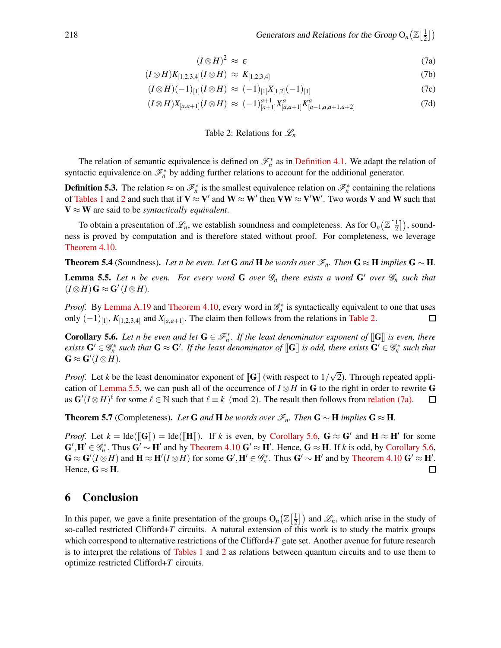<span id="page-8-3"></span>
$$
(I \otimes H)^2 \approx \varepsilon \tag{7a}
$$

<span id="page-8-1"></span>
$$
(I \otimes H)K_{[1,2,3,4]}(I \otimes H) \approx K_{[1,2,3,4]} \tag{7b}
$$

$$
(I \otimes H)(-1)_{[1]}(I \otimes H) \approx (-1)_{[1]}X_{[1,2]}(-1)_{[1]}
$$
\n(7c)

$$
(I \otimes H)X_{[a,a+1]}(I \otimes H) \approx (-1)^{a+1}_{[a+1]} X_{[a,a+1]}^a K_{[a-1,a,a+1,a+2]}^a \tag{7d}
$$

### Table 2: Relations for  $\mathcal{L}_n$

The relation of semantic equivalence is defined on  $\mathcal{F}_n^*$  as in [Definition 4.1.](#page-3-2) We adapt the relation of syntactic equivalence on  $\mathcal{F}_n^*$  by adding further relations to account for the additional generator.

**Definition 5.3.** The relation  $\approx$  on  $\mathscr{F}_n^*$  is the smallest equivalence relation on  $\mathscr{F}_n^*$  containing the relations of [Tables 1](#page-5-0) and [2](#page-8-1) and such that if  $V \approx V'$  and  $W \approx W'$  then  $VW \approx V'W'$ . Two words V and W such that  $V \approx W$  are said to be *syntactically equivalent*.

To obtain a presentation of  $\mathscr{L}_n$ , we establish soundness and completeness. As for  $O_n(\mathbb{Z}[\frac{1}{2}])$  $\frac{1}{2}$ ), soundness is proved by computation and is therefore stated without proof. For completeness, we leverage [Theorem 4.10.](#page-7-2)

<span id="page-8-2"></span>**Theorem 5.4** (Soundness). Let n be even. Let G and H be words over  $\mathcal{F}_n$ . Then  $G \approx H$  *implies*  $G \sim H$ .

**Lemma 5.5.** Let n be even. For every word G over  $\mathcal{G}_n$  there exists a word G' over  $\mathcal{G}_n$  such that  $(I \otimes H)$ **G**  $\approx$  **G'**  $(I \otimes H)$ .

*Proof.* By [Lemma A.19](#page-18-0) and [Theorem 4.10,](#page-7-2) every word in  $\mathcal{G}_n^*$  is syntactically equivalent to one that uses only  $(-1)_{[1]}$ ,  $K_{[1,2,3,4]}$  and  $X_{[a,a+1]}$ . The claim then follows from the relations in [Table 2.](#page-8-1)  $\Box$ 

<span id="page-8-4"></span>**Corollary 5.6.** Let n be even and let  $G \in \mathcal{F}_n^*$ . If the least denominator exponent of  $[[G]]$  is even, there *exists*  $G' \in \mathscr{G}_n^*$  such that  $G \approx G'$ . If the least denominator of  $[\![G]\!]$  *is odd, there exists*  $G' \in \mathscr{G}_n^*$  such that  $\mathbf{G} \approx \mathbf{G}'(I \otimes H).$ 

*Proof.* Let *k* be the least denominator exponent of [G] (with respect to  $1/\sqrt{2}$ ). Through repeated appli-cation of [Lemma 5.5,](#page-8-2) we can push all of the occurrence of *I* ⊗ *H* in **G** to the right in order to rewrite **G** as  $G'(I \otimes H)^{\ell}$  for some  $\ell \in \mathbb{N}$  such that  $\ell \equiv k \pmod{2}$ . The result then follows from relation (7a). as  $\mathbf{G}'(I \otimes H)$ <sup> $\ell$ </sup> for some  $\ell \in \mathbb{N}$  such that  $\ell \equiv k \pmod{2}$ . The result then follows from [relation \(7a\).](#page-8-3)

**Theorem 5.7** (Completeness). Let **G** and **H** be words over  $\mathcal{F}_n$ . Then **G** ∼ **H** *implies* **G** ≈ **H**.

*Proof.* Let  $k = \text{Ide}([\mathbf{G}]) = \text{Ide}([\mathbf{H}])$ . If *k* is even, by [Corollary 5.6,](#page-8-4)  $\mathbf{G} \approx \mathbf{G}'$  and  $\mathbf{H} \approx \mathbf{H}'$  for some  $\mathbf{G}', \mathbf{H}' \in \mathscr{G}_n^*$ . Thus  $\mathbf{G}' \sim \mathbf{H}'$  and by [Theorem 4.10](#page-7-2)  $\mathbf{G}' \approx \mathbf{H}'$ . Hence,  $\mathbf{G} \approx \mathbf{H}$ . If *k* is odd, by [Corollary 5.6,](#page-8-4)  $\mathbf{G} \approx \mathbf{G}'(I \otimes H)$  and  $\mathbf{H} \approx \mathbf{H}'(I \otimes H)$  for some  $\mathbf{G}', \mathbf{H}' \in \mathscr{G}_n^*$ . Thus  $\mathbf{G}' \sim \mathbf{H}'$  and by [Theorem 4.10](#page-7-2)  $\mathbf{G}' \approx \mathbf{H}'$ . Hence,  $G \approx H$ .

## <span id="page-8-0"></span>6 Conclusion

In this paper, we gave a finite presentation of the groups  $O_n(\mathbb{Z}[\frac{1}{2}])$  $\left(\frac{1}{2}\right]$  and  $\mathscr{L}_n$ , which arise in the study of so-called restricted Clifford+*T* circuits. A natural extension of this work is to study the matrix groups which correspond to alternative restrictions of the Clifford+*T* gate set. Another avenue for future research is to interpret the relations of [Tables 1](#page-5-0) and [2](#page-8-1) as relations between quantum circuits and to use them to optimize restricted Clifford+*T* circuits.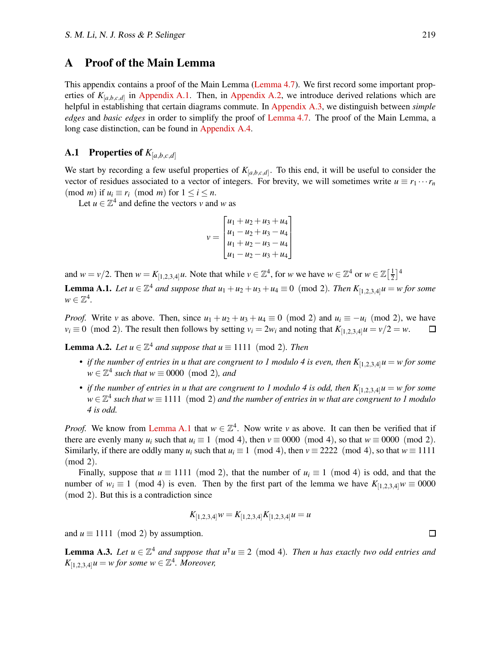## <span id="page-9-0"></span>A Proof of the Main Lemma

This appendix contains a proof of the Main Lemma [\(Lemma 4.7\)](#page-6-0). We first record some important properties of  $K_{[a,b,c,d]}$  in [Appendix A.1.](#page-9-1) Then, in [Appendix A.2,](#page-12-0) we introduce derived relations which are helpful in establishing that certain diagrams commute. In [Appendix A.3,](#page-17-0) we distinguish between *simple edges* and *basic edges* in order to simplify the proof of [Lemma 4.7.](#page-6-0) The proof of the Main Lemma, a long case distinction, can be found in [Appendix A.4.](#page-18-1)

## <span id="page-9-1"></span>**A.1** Properties of  $K_{[a,b,c,d]}$

We start by recording a few useful properties of  $K_{[a,b,c,d]}$ . To this end, it will be useful to consider the vector of residues associated to a vector of integers. For brevity, we will sometimes write  $u \equiv r_1 \cdots r_n$  $p \mod{m}$  if  $u_i \equiv r_i \pmod{m}$  for  $1 \leq i \leq n$ .

Let  $u \in \mathbb{Z}^4$  and define the vectors *v* and *w* as

$$
v = \begin{bmatrix} u_1 + u_2 + u_3 + u_4 \\ u_1 - u_2 + u_3 - u_4 \\ u_1 + u_2 - u_3 - u_4 \\ u_1 - u_2 - u_3 + u_4 \end{bmatrix}
$$

<span id="page-9-2"></span>and  $w = v/2$ . Then  $w = K_{[1,2,3,4]}u$ . Note that while  $v \in \mathbb{Z}^4$ , for w we have  $w \in \mathbb{Z}^4$  or  $w \in \mathbb{Z}[\frac{1}{2}]$  $\frac{1}{2}$ <sup>4</sup>

**Lemma A.1.** *Let*  $u \in \mathbb{Z}^4$  *and suppose that*  $u_1 + u_2 + u_3 + u_4 \equiv 0 \pmod{2}$ *. Then*  $K_{[1,2,3,4]} u = w$  for some  $w \in \mathbb{Z}^4$ .

*Proof.* Write *v* as above. Then, since  $u_1 + u_2 + u_3 + u_4 \equiv 0 \pmod{2}$  and  $u_i \equiv -u_i \pmod{2}$ , we have  $v_i \equiv 0 \pmod{2}$ . The result then follows by setting  $v_i = 2w_i$  and noting that  $K_{[1, 2, 3, 4]} u = v/2 = w$ .  $v_i \equiv 0 \pmod{2}$ . The result then follows by setting  $v_i = 2w_i$  and noting that  $K_{[1,2,3,4]}u = v/2 = w$ .

<span id="page-9-4"></span>**Lemma A.2.** *Let*  $u \in \mathbb{Z}^4$  *and suppose that*  $u \equiv 1111 \pmod{2}$ *. Then* 

- *if the number of entries in u that are congruent to 1 modulo 4 is even, then*  $K_{[1,2,3,4]}$ *u* = *w* for some  $w \in \mathbb{Z}^4$  *such that*  $w \equiv 0000 \pmod{2}$ *, and*
- *if the number of entries in u that are congruent to 1 modulo 4 is odd, then*  $K_{[1,2,3,4]}$ *u* = *w* for some  $w \in \mathbb{Z}^4$  such that  $w \equiv 1111 \pmod{2}$  and the number of entries in w that are congruent to 1 modulo *4 is odd.*

*Proof.* We know from [Lemma A.1](#page-9-2) that  $w \in \mathbb{Z}^4$ . Now write *v* as above. It can then be verified that if there are evenly many  $u_i$  such that  $u_i \equiv 1 \pmod{4}$ , then  $v \equiv 0000 \pmod{4}$ , so that  $w \equiv 0000 \pmod{2}$ . Similarly, if there are oddly many  $u_i$  such that  $u_i \equiv 1 \pmod{4}$ , then  $v \equiv 2222 \pmod{4}$ , so that  $w \equiv 1111$ (mod 2).

Finally, suppose that  $u \equiv 1111 \pmod{2}$ , that the number of  $u_i \equiv 1 \pmod{4}$  is odd, and that the number of  $w_i \equiv 1 \pmod{4}$  is even. Then by the first part of the lemma we have  $K_{[1,2,3,4]}$ *w*  $\equiv 0000$ (mod 2). But this is a contradiction since

$$
K_{[1,2,3,4]}w = K_{[1,2,3,4]}K_{[1,2,3,4]}u = u
$$

<span id="page-9-3"></span>and  $u \equiv 1111 \pmod{2}$  by assumption.

**Lemma A.3.** *Let*  $u \in \mathbb{Z}^4$  *and suppose that*  $u^\dagger u \equiv 2 \pmod{4}$ *. Then u has exactly two odd entries and*  $K_{[1,2,3,4]}$ u = *w for some w*  $\in \mathbb{Z}^4$ *. Moreover,* 

 $\Box$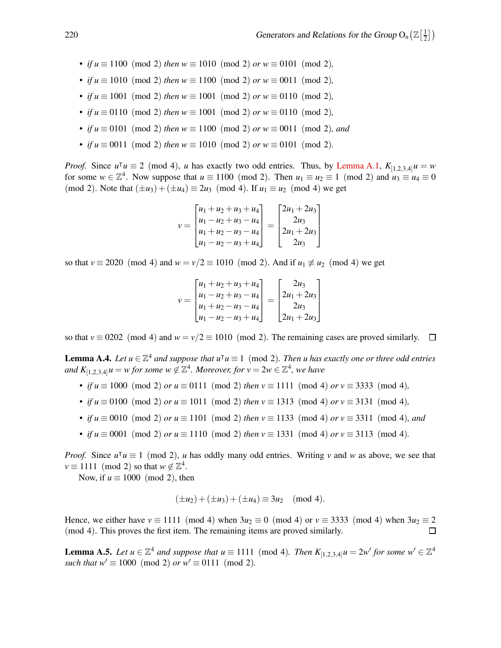- *if*  $u \equiv 1100 \pmod{2}$  *then*  $w \equiv 1010 \pmod{2}$  *or*  $w \equiv 0101 \pmod{2}$ ,
- *if*  $u \equiv 1010 \pmod{2}$  *then*  $w \equiv 1100 \pmod{2}$  *or*  $w \equiv 0011 \pmod{2}$ *,*
- *if*  $u \equiv 1001 \pmod{2}$  *then*  $w \equiv 1001 \pmod{2}$  *or*  $w \equiv 0110 \pmod{2}$ *,*
- *if*  $u \equiv 0110 \pmod{2}$  *then*  $w \equiv 1001 \pmod{2}$  *or*  $w \equiv 0110 \pmod{2}$ *,*
- *if*  $u \equiv 0101 \pmod{2}$  *then*  $w \equiv 1100 \pmod{2}$  *or*  $w \equiv 0011 \pmod{2}$ *, and*
- *if*  $u \equiv 0011 \pmod{2}$  *then*  $w \equiv 1010 \pmod{2}$  *or*  $w \equiv 0101 \pmod{2}$ *.*

*Proof.* Since  $u^{\dagger} u \equiv 2 \pmod{4}$ , *u* has exactly two odd entries. Thus, by [Lemma A.1,](#page-9-2)  $K_{[1,2,3,4]} u = w$ for some  $w \in \mathbb{Z}^4$ . Now suppose that  $u \equiv 1100 \pmod{2}$ . Then  $u_1 \equiv u_2 \equiv 1 \pmod{2}$  and  $u_3 \equiv u_4 \equiv 0$ (mod 2). Note that  $(\pm u_3) + (\pm u_4) \equiv 2u_3 \pmod{4}$ . If  $u_1 \equiv u_2 \pmod{4}$  we get

$$
v = \begin{bmatrix} u_1 + u_2 + u_3 + u_4 \\ u_1 - u_2 + u_3 - u_4 \\ u_1 + u_2 - u_3 - u_4 \\ u_1 - u_2 - u_3 + u_4 \end{bmatrix} = \begin{bmatrix} 2u_1 + 2u_3 \\ 2u_3 \\ 2u_1 + 2u_3 \\ 2u_3 \end{bmatrix}
$$

so that  $v \equiv 2020 \pmod{4}$  and  $w = v/2 \equiv 1010 \pmod{2}$ . And if  $u_1 \not\equiv u_2 \pmod{4}$  we get

$$
v = \begin{bmatrix} u_1 + u_2 + u_3 + u_4 \\ u_1 - u_2 + u_3 - u_4 \\ u_1 + u_2 - u_3 - u_4 \\ u_1 - u_2 - u_3 + u_4 \end{bmatrix} = \begin{bmatrix} 2u_3 \\ 2u_1 + 2u_3 \\ 2u_3 \\ 2u_1 + 2u_3 \end{bmatrix}
$$

so that  $v \equiv 0202 \pmod{4}$  and  $w = v/2 \equiv 1010 \pmod{2}$ . The remaining cases are proved similarly.  $\Box$ 

<span id="page-10-1"></span>**Lemma A.4.** *Let*  $u \in \mathbb{Z}^4$  *and suppose that*  $u^{\mathsf{T}}u \equiv 1 \pmod{2}$ *. Then u has exactly one or three odd entries* and  $K_{[1,2,3,4]}$   $u = w$  for some  $w \notin \mathbb{Z}^4$ . Moreover, for  $v = 2w \in \mathbb{Z}^4$ , we have

- *if*  $u \equiv 1000 \pmod{2}$  *or*  $u \equiv 0111 \pmod{2}$  *then*  $v \equiv 1111 \pmod{4}$  *or*  $v \equiv 3333 \pmod{4}$ *,*
- *if*  $u \equiv 0100 \pmod{2}$  *or*  $u \equiv 1011 \pmod{2}$  *then*  $v \equiv 1313 \pmod{4}$  *or*  $v \equiv 3131 \pmod{4}$ *,*
- *if*  $u \equiv 0010 \pmod{2}$  *or*  $u \equiv 1101 \pmod{2}$  *then*  $v \equiv 1133 \pmod{4}$  *or*  $v \equiv 3311 \pmod{4}$ *, and*
- *if*  $u \equiv 0001 \pmod{2}$  *or*  $u \equiv 1110 \pmod{2}$  *then*  $v \equiv 1331 \pmod{4}$  *or*  $v \equiv 3113 \pmod{4}$ *.*

*Proof.* Since  $u^{\dagger} u \equiv 1 \pmod{2}$ , *u* has oddly many odd entries. Writing *v* and *w* as above, we see that  $v \equiv 1111 \pmod{2}$  so that  $w \notin \mathbb{Z}^4$ .

Now, if  $u \equiv 1000 \pmod{2}$ , then

$$
(\pm u_2) + (\pm u_3) + (\pm u_4) \equiv 3u_2 \pmod{4}.
$$

Hence, we either have  $v \equiv 1111 \pmod{4}$  when  $3u_2 \equiv 0 \pmod{4}$  or  $v \equiv 3333 \pmod{4}$  when  $3u_2 \equiv 2 \pmod{4}$ . This proves the first item. The remaining items are proved similarly. (mod 4). This proves the first item. The remaining items are proved similarly.

<span id="page-10-0"></span>**Lemma A.5.** Let  $u \in \mathbb{Z}^4$  and suppose that  $u \equiv 1111 \pmod{4}$ . Then  $K_{[1,2,3,4]}u = 2w'$  for some  $w' \in \mathbb{Z}^4$ *such that*  $w' \equiv 1000 \pmod{2}$  *or*  $w' \equiv 0111 \pmod{2}$ .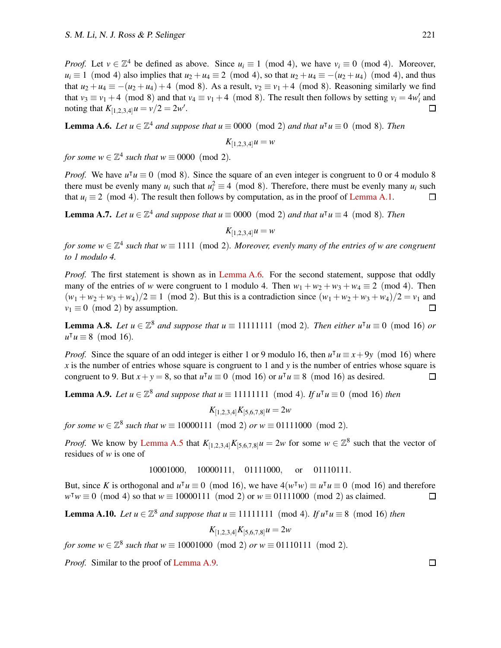*Proof.* Let  $v \in \mathbb{Z}^4$  be defined as above. Since  $u_i \equiv 1 \pmod{4}$ , we have  $v_i \equiv 0 \pmod{4}$ . Moreover,  $u_i \equiv 1 \pmod{4}$  also implies that  $u_2 + u_4 \equiv 2 \pmod{4}$ , so that  $u_2 + u_4 \equiv -(u_2 + u_4) \pmod{4}$ , and thus that  $u_2 + u_4 \equiv -(u_2 + u_4) + 4 \pmod{8}$ . As a result,  $v_2 \equiv v_1 + 4 \pmod{8}$ . Reasoning similarly we find that  $v_3 \equiv v_1 + 4 \pmod{8}$  and that  $v_4 \equiv v_1 + 4 \pmod{8}$ . The result then follows by setting  $v_i = 4w'_i$  and  $\Box$ noting that  $K_{[1,2,3,4]}$   $u = v/2 = 2w'$ .

<span id="page-11-0"></span>**Lemma A.6.** *Let*  $u \in \mathbb{Z}^4$  *and suppose that*  $u \equiv 0000 \pmod{2}$  *and that*  $u^{\dagger}u \equiv 0 \pmod{8}$ *. Then* 

 $K_{[1,2,3,4]}$ *u* = *w* 

*for some w*  $\in \mathbb{Z}^4$  *such that w*  $\equiv 0000 \pmod{2}$ *.* 

*Proof.* We have  $u^{\dagger}u \equiv 0 \pmod{8}$ . Since the square of an even integer is congruent to 0 or 4 modulo 8 there must be evenly many  $u_i$  such that  $u_i^2 \equiv 4 \pmod{8}$ . Therefore, there must be evenly many  $u_i$  such that  $u_i \equiv 2 \pmod{4}$ . The result then follows by computation, as in the proof of [Lemma A.1.](#page-9-2)

<span id="page-11-4"></span>**Lemma A.7.** *Let*  $u \in \mathbb{Z}^4$  *and suppose that*  $u \equiv 0000 \pmod{2}$  *and that*  $u^{\dagger}u \equiv 4 \pmod{8}$ *. Then* 

$$
K_{[1,2,3,4]}u=w
$$

*for some w*  $\in \mathbb{Z}^4$  such that w  $\equiv 1111 \pmod{2}$ . Moreover, evenly many of the entries of w are congruent *to 1 modulo 4.*

*Proof.* The first statement is shown as in [Lemma A.6.](#page-11-0) For the second statement, suppose that oddly many of the entries of *w* were congruent to 1 modulo 4. Then  $w_1 + w_2 + w_3 + w_4 \equiv 2 \pmod{4}$ . Then  $(w_1 + w_2 + w_3 + w_4)/2 \equiv 1 \pmod{2}$ . But this is a contradiction since  $(w_1 + w_2 + w_3 + w_4)/2 = v_1$  and  $v_1 \equiv 0 \pmod{2}$  by assumption.  $v_1 \equiv 0 \pmod{2}$  by assumption.

<span id="page-11-2"></span>**Lemma A.8.** *Let*  $u \in \mathbb{Z}^8$  *and suppose that*  $u \equiv 11111111$  (mod 2). *Then either*  $u^{\mathsf{T}}u \equiv 0$  (mod 16) *or*  $u^{\dagger} u \equiv 8 \pmod{16}$ .

*Proof.* Since the square of an odd integer is either 1 or 9 modulo 16, then  $u^{\dagger}u \equiv x + 9y \pmod{16}$  where *x* is the number of entries whose square is congruent to 1 and *y* is the number of entries whose square is congruent to 9. But  $x + y = 8$ , so that  $u^{\dagger} u \equiv 0 \pmod{16}$  or  $u^{\dagger} u \equiv 8 \pmod{16}$  as desired.  $\Box$ 

<span id="page-11-1"></span>**Lemma A.9.** *Let*  $u \in \mathbb{Z}^8$  *and suppose that*  $u \equiv 11111111 \pmod{4}$ *. If*  $u^{\dagger}u \equiv 0 \pmod{16}$  *then* 

$$
K_{[1,2,3,4]}K_{[5,6,7,8]}u=2u
$$

*for some*  $w \in \mathbb{Z}^8$  *such that*  $w \equiv 10000111 \pmod{2}$  *or*  $w \equiv 01111000 \pmod{2}$ *.* 

*Proof.* We know by [Lemma A.5](#page-10-0) that  $K_{[1,2,3,4]}K_{[5,6,7,8]}u = 2w$  for some  $w \in \mathbb{Z}^8$  such that the vector of residues of *w* is one of

10001000, 10000111, 01111000, or 01110111.

But, since *K* is orthogonal and  $u^{\dagger}u \equiv 0 \pmod{16}$ , we have  $4(w^{\dagger}w) \equiv u^{\dagger}u \equiv 0 \pmod{16}$  and therefore  $w^{\intercal}w \equiv 0 \pmod{4}$  so that  $w \equiv 10000111 \pmod{2}$  or  $w \equiv 01111000 \pmod{2}$  as claimed.

<span id="page-11-3"></span>**Lemma A.10.** *Let*  $u \in \mathbb{Z}^8$  *and suppose that*  $u \equiv 11111111$  (mod 4)*. If*  $u^{\mathsf{T}}u \equiv 8 \pmod{16}$  *then* 

$$
K_{[1,2,3,4]}K_{[5,6,7,8]}u=2w
$$

*for some*  $w \in \mathbb{Z}^8$  *such that*  $w \equiv 10001000 \pmod{2}$  *or*  $w \equiv 01110111 \pmod{2}$ *.* 

*Proof.* Similar to the proof of [Lemma A.9.](#page-11-1)

 $\Box$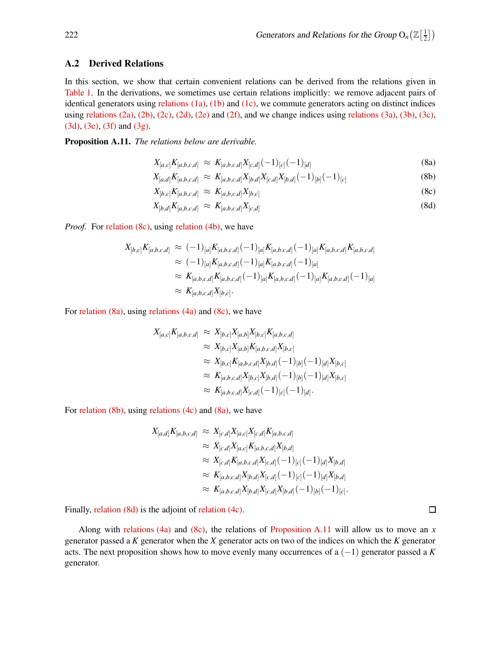### <span id="page-12-0"></span>A.2 Derived Relations

In this section, we show that certain convenient relations can be derived from the relations given in [Table 1.](#page-5-0) In the derivations, we sometimes use certain relations implicitly: we remove adjacent pairs of identical generators using relations  $(1a)$ ,  $(1b)$  and  $(1c)$ , we commute generators acting on distinct indices using [relations \(2a\),](#page-5-1) [\(2b\),](#page-5-2) [\(2c\),](#page-5-3) [\(2d\),](#page-5-4) [\(2e\)](#page-5-5) and [\(2f\),](#page-5-6) and we change indices using [relations \(3a\),](#page-5-1) [\(3b\),](#page-5-2) [\(3c\),](#page-5-3) [\(3d\),](#page-5-4) [\(3e\),](#page-5-5) [\(3f\)](#page-5-6) and [\(3g\).](#page-5-7)

<span id="page-12-1"></span>Proposition A.11. *The relations below are derivable.*

$$
X_{[a,c]}K_{[a,b,c,d]} \approx K_{[a,b,c,d]}X_{[c,d]}(-1)_{[c]}(-1)_{[d]}
$$
\n(8a)

$$
X_{[a,d]}K_{[a,b,c,d]} \approx K_{[a,b,c,d]}X_{[b,d]}X_{[c,d]}X_{[b,d]}(-1)_{[b]}(-1)_{[c]}
$$
\n(8b)

$$
X_{[b,c]}K_{[a,b,c,d]} \approx K_{[a,b,c,d]}X_{[b,c]}
$$
\n(8c)

$$
X_{[b,d]}K_{[a,b,c,d]} \approx K_{[a,b,c,d]}X_{[c,d]} \tag{8d}
$$

*Proof.* For [relation \(8c\),](#page-13-0) using [relation \(4b\),](#page-5-2) we have

$$
X_{[b,c]}K_{[a,b,c,d]} \approx (-1)_{[a]}K_{[a,b,c,d]}(-1)_{[a]}K_{[a,b,c,d]}(-1)_{[a]}K_{[a,b,c,d]}K_{[a,b,c,d]}
$$
  
\n
$$
\approx (-1)_{[a]}K_{[a,b,c,d]}(-1)_{[a]}K_{[a,b,c,d]}(-1)_{[a]}
$$
  
\n
$$
\approx K_{[a,b,c,d]}K_{[a,b,c,d]}(-1)_{[a]}K_{[a,b,c,d]}(-1)_{[a]}K_{[a,b,c,d]}(-1)_{[a]}
$$
  
\n
$$
\approx K_{[a,b,c,d]}X_{[b,c]}.
$$

For [relation \(8a\),](#page-13-1) using [relations \(4a\)](#page-5-1) and [\(8c\),](#page-13-0) we have

$$
X_{[a,c]}K_{[a,b,c,d]} \approx X_{[b,c]}X_{[a,b]}X_{[b,c]}K_{[a,b,c,d]}
$$
  
\n
$$
\approx X_{[b,c]}X_{[a,b]}K_{[a,b,c,d]}X_{[b,c]}
$$
  
\n
$$
\approx X_{[b,c]}K_{[a,b,c,d]}X_{[b,d]}(-1)_{[b]}(-1)_{[d]}X_{[b,c]}
$$
  
\n
$$
\approx K_{[a,b,c,d]}X_{[b,c]}X_{[b,d]}(-1)_{[b]}(-1)_{[d]}X_{[b,c]}
$$
  
\n
$$
\approx K_{[a,b,c,d]}X_{[c,d]}(-1)_{[c]}(-1)_{[d]}.
$$

For [relation \(8b\),](#page-13-2) using [relations \(4c\)](#page-5-3) and [\(8a\),](#page-13-1) we have

$$
X_{[a,d]}K_{[a,b,c,d]} \approx X_{[c,d]}X_{[a,c]}X_{[c,d]}K_{[a,b,c,d]}
$$
  
\n
$$
\approx X_{[c,d]}X_{[a,c]}K_{[a,b,c,d]}X_{[b,d]}
$$
  
\n
$$
\approx X_{[c,d]}K_{[a,b,c,d]}X_{[c,d]}(-1)_{[c]}(-1)_{[d]}X_{[b,d]}
$$
  
\n
$$
\approx K_{[a,b,c,d]}X_{[b,d]}X_{[c,d]}(-1)_{[c]}(-1)_{[d]}X_{[b,d]}
$$
  
\n
$$
\approx K_{[a,b,c,d]}X_{[b,d]}X_{[c,d]}X_{[b,d]}(-1)_{[b]}(-1)_{[c]}.
$$

Finally, [relation \(8d\)](#page-13-3) is the adjoint of [relation \(4c\).](#page-5-3)

<span id="page-12-2"></span>Along with [relations \(4a\)](#page-5-1) and [\(8c\),](#page-13-0) the relations of [Proposition A.11](#page-12-1) will allow us to move an *x* generator passed a *K* generator when the *X* generator acts on two of the indices on which the *K* generator acts. The next proposition shows how to move evenly many occurrences of a (−1) generator passed a *K* generator.

 $\Box$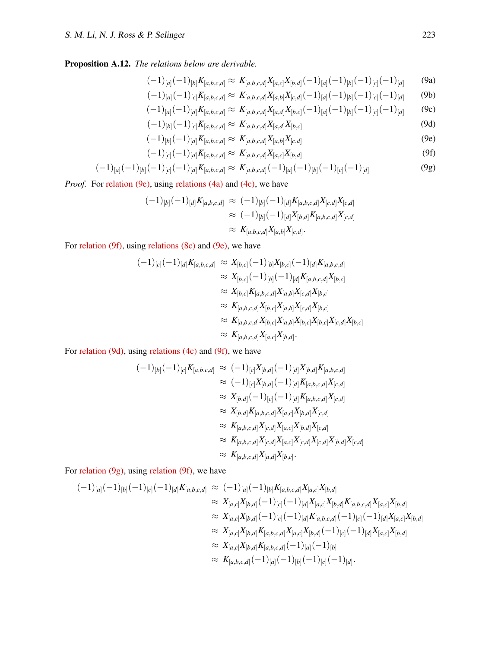## Proposition A.12. *The relations below are derivable.*

$$
(-1)_{[a]}(-1)_{[b]}K_{[a,b,c,d]} \approx K_{[a,b,c,d]}X_{[a,c]}X_{[b,d]}(-1)_{[a]}(-1)_{[b]}(-1)_{[c]}(-1)_{[d]} \tag{9a}
$$

<span id="page-13-3"></span><span id="page-13-2"></span><span id="page-13-1"></span><span id="page-13-0"></span>
$$
(-1)_{[a]}(-1)_{[c]}K_{[a,b,c,d]} \approx K_{[a,b,c,d]}X_{[a,b]}K_{[c,d]}(-1)_{[a]}(-1)_{[b]}(-1)_{[c]}(-1)_{[d]} \tag{9b}
$$

$$
(-1)_{[a]}(-1)_{[d]}K_{[a,b,c,d]}\approx K_{[a,b,c,d]}X_{[a,d]}X_{[b,c]}(-1)_{[a]}(-1)_{[b]}(-1)_{[c]}(-1)_{[d]} \qquad (9c)
$$

$$
(-1)_{[b]}(-1)_{[c]}K_{[a,b,c,d]} \approx K_{[a,b,c,d]}X_{[a,d]}X_{[b,c]}
$$
\n(9d)

<span id="page-13-4"></span>
$$
(-1)_{[b]}(-1)_{[d]}K_{[a,b,c,d]} \approx K_{[a,b,c,d]}X_{[a,b]}X_{[c,d]}
$$
\n(9e)

<span id="page-13-6"></span><span id="page-13-5"></span>
$$
(-1)_{[c]}(-1)_{[d]}K_{[a,b,c,d]} \approx K_{[a,b,c,d]}X_{[a,c]}X_{[b,d]}
$$
\n(9f)

$$
(-1)_{[a]}(-1)_{[b]}(-1)_{[c]}(-1)_{[d]}K_{[a,b,c,d]} \approx K_{[a,b,c,d]}(-1)_{[a]}(-1)_{[b]}(-1)_{[c]}(-1)_{[d]} \tag{9g}
$$

*Proof.* For [relation \(9e\),](#page-13-4) using [relations \(4a\)](#page-5-1) and [\(4c\),](#page-5-3) we have

$$
\begin{aligned} (-1)_{[b]}(-1)_{[d]}K_{[a,b,c,d]} &\approx (-1)_{[b]}(-1)_{[d]}K_{[a,b,c,d]}X_{[c,d]}X_{[c,d]}\\ &\approx (-1)_{[b]}(-1)_{[d]}X_{[b,d]}K_{[a,b,c,d]}X_{[c,d]}\\ &\approx K_{[a,b,c,d]}X_{[a,b]}X_{[c,d]}.\end{aligned}
$$

For [relation \(9f\),](#page-13-5) using [relations \(8c\)](#page-13-0) and [\(9e\),](#page-13-4) we have

$$
(-1)_{[c]}(-1)_{[d]}K_{[a,b,c,d]} \approx X_{[b,c]}(-1)_{[b]}X_{[b,c]}(-1)_{[d]}K_{[a,b,c,d]}
$$
  
\n
$$
\approx X_{[b,c]}(-1)_{[b]}(-1)_{[d]}K_{[a,b,c,d]}X_{[b,c]}
$$
  
\n
$$
\approx X_{[b,c]}K_{[a,b,c,d]}X_{[a,b]}X_{[c,d]}X_{[b,c]}
$$
  
\n
$$
\approx K_{[a,b,c,d]}X_{[b,c]}X_{[a,b]}X_{[c,d]}X_{[b,c]}
$$
  
\n
$$
\approx K_{[a,b,c,d]}X_{[b,c]}X_{[a,b]}X_{[b,c]}X_{[b,c]}X_{[c,d]}X_{[b,c]}
$$
  
\n
$$
\approx K_{[a,b,c,d]}X_{[a,c]}X_{[b,d]}.
$$

For [relation \(9d\),](#page-13-3) using [relations \(4c\)](#page-5-3) and [\(9f\),](#page-13-5) we have

$$
(-1)_{[b]}(-1)_{[c]}K_{[a,b,c,d]} \approx (-1)_{[c]}X_{[b,d]}(-1)_{[d]}X_{[b,d]}K_{[a,b,c,d]}
$$
  
\n
$$
\approx (-1)_{[c]}X_{[b,d]}(-1)_{[d]}K_{[a,b,c,d]}X_{[c,d]}
$$
  
\n
$$
\approx X_{[b,d]}(-1)_{[c]}(-1)_{[d]}K_{[a,b,c,d]}X_{[c,d]}
$$
  
\n
$$
\approx X_{[b,d]}K_{[a,b,c,d]}X_{[a,c]}X_{[b,d]}X_{[c,d]}
$$
  
\n
$$
\approx K_{[a,b,c,d]}X_{[c,d]}X_{[a,c]}X_{[b,d]}X_{[c,d]}
$$
  
\n
$$
\approx K_{[a,b,c,d]}X_{[c,d]}X_{[a,c]}X_{[c,d]}X_{[c,d]}X_{[b,d]}X_{[c,d]}
$$
  
\n
$$
\approx K_{[a,b,c,d]}X_{[a,d]}X_{[b,c]}.
$$

For [relation \(9g\),](#page-13-6) using [relation \(9f\),](#page-13-5) we have

$$
\begin{split}\n(-1)_{[a]}(-1)_{[b]}(-1)_{[c]}(-1)_{[d]}K_{[a,b,c,d]} &\approx (-1)_{[a]}(-1)_{[b]}K_{[a,b,c,d]}X_{[a,c]}X_{[b,d]} \\
&\approx X_{[a,c]}X_{[b,d]}(-1)_{[c]}(-1)_{[d]}X_{[a,c]}X_{[b,d]}K_{[a,b,c,d]}X_{[a,c]}X_{[b,d]} \\
&\approx X_{[a,c]}X_{[b,d]}(-1)_{[c]}(-1)_{[d]}K_{[a,b,c,d]}(-1)_{[c]}(-1)_{[d]}X_{[a,c]}X_{[b,d]} \\
&\approx X_{[a,c]}X_{[b,d]}K_{[a,b,c,d]}X_{[a,c]}X_{[b,d]}(-1)_{[c]}(-1)_{[d]}X_{[a,c]}X_{[b,d]} \\
&\approx X_{[a,c]}X_{[b,d]}K_{[a,b,c,d]}(-1)_{[a]}(-1)_{[b]}(-1)_{[b]} \\
&\approx K_{[a,b,c,d]}(-1)_{[a]}(-1)_{[b]}(-1)_{[c]}(-1)_{[d]}\n\end{split}
$$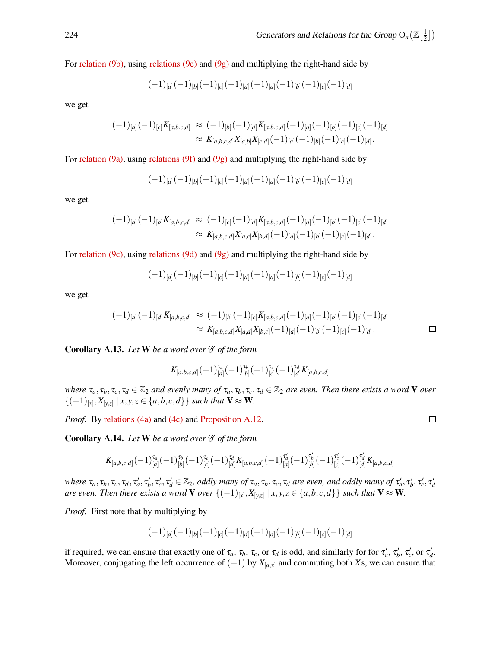For [relation \(9b\),](#page-13-2) using [relations \(9e\)](#page-13-4) and [\(9g\)](#page-13-6) and multiplying the right-hand side by

$$
(-1)_{[a]}(-1)_{[b]}(-1)_{[c]}(-1)_{[d]}(-1)_{[a]}(-1)_{[b]}(-1)_{[c]}(-1)_{[d]}
$$

we get

$$
\begin{aligned} (-1)_{[a]}(-1)_{[c]}K_{[a,b,c,d]} &\approx (-1)_{[b]}(-1)_{[d]}K_{[a,b,c,d]}(-1)_{[a]}(-1)_{[b]}(-1)_{[c]}(-1)_{[d]}\\ &\approx K_{[a,b,c,d]}X_{[a,b]}X_{[c,d]}(-1)_{[a]}(-1)_{[b]}(-1)_{[c]}(-1)_{[d]}.\end{aligned}
$$

For [relation \(9a\),](#page-13-1) using [relations \(9f\)](#page-13-5) and [\(9g\)](#page-13-6) and multiplying the right-hand side by

$$
(-1)_{[a]}(-1)_{[b]}(-1)_{[c]}(-1)_{[d]}(-1)_{[a]}(-1)_{[b]}(-1)_{[c]}(-1)_{[d]}
$$

we get

$$
\begin{aligned} (-1)_{[a]}(-1)_{[b]}K_{[a,b,c,d]} &\approx (-1)_{[c]}(-1)_{[d]}K_{[a,b,c,d]}(-1)_{[a]}(-1)_{[b]}(-1)_{[c]}(-1)_{[d]}\\ &\approx K_{[a,b,c,d]}X_{[a,c]}X_{[b,d]}(-1)_{[a]}(-1)_{[b]}(-1)_{[c]}(-1)_{[d]}.\end{aligned}
$$

For [relation \(9c\),](#page-13-0) using [relations \(9d\)](#page-13-3) and [\(9g\)](#page-13-6) and multiplying the right-hand side by

$$
(-1)_{[a]}(-1)_{[b]}(-1)_{[c]}(-1)_{[d]}(-1)_{[a]}(-1)_{[b]}(-1)_{[c]}(-1)_{[d]}
$$

we get

$$
\begin{aligned} (-1)_{[a]}(-1)_{[a]}K_{[a,b,c,d]} &\approx (-1)_{[b]}(-1)_{[c]}K_{[a,b,c,d]}(-1)_{[a]}(-1)_{[b]}(-1)_{[c]}(-1)_{[d]}\\ &\approx K_{[a,b,c,d]}X_{[a,d]}X_{[b,c]}(-1)_{[a]}(-1)_{[b]}(-1)_{[c]}(-1)_{[d]}. \end{aligned}
$$

<span id="page-14-0"></span>Corollary A.13. Let W be a word over  $\mathscr G$  of the form

$$
K_{[a,b,c,d]}(-1)^{\tau_a}_{[a]}(-1)^{\tau_b}_{[b]}(-1)^{\tau_c}_{[c]}(-1)^{\tau_d}_{[d]}K_{[a,b,c,d]}
$$

*where*  $\tau_a, \tau_b, \tau_c, \tau_d \in \mathbb{Z}_2$  *and evenly many of*  $\tau_a, \tau_b, \tau_c, \tau_d \in \mathbb{Z}_2$  *are even. Then there exists a word* **V** *over*  ${(-1)}_{[x]}, X_{[y,z]} | x, y, z \in {a,b,c,d}$ } *such that* **V** ≈ **W**.

<span id="page-14-1"></span>*Proof.* By [relations \(4a\)](#page-5-1) and [\(4c\)](#page-5-3) and [Proposition A.12.](#page-12-2)

Corollary A.14. Let W be a word over  $\mathscr G$  of the form

$$
K_{[a,b,c,d]}(-1)^{\tau_a}_{[a]}(-1)^{\tau_b}_{[b]}(-1)^{\tau_c}_{[c]}(-1)^{\tau_d}_{[d]}K_{[a,b,c,d]}(-1)^{\tau'_a}_{[a]}(-1)^{\tau'_b}_{[b]}(-1)^{\tau'_c}_{[c]}(-1)^{\tau'_d}_{[d]}K_{[a,b,c,d]}
$$

where  $\tau_a, \tau_b, \tau_c, \tau_d, \tau'_a, \tau'_b, \tau'_c, \tau'_d \in \mathbb{Z}_2$ , oddly many of  $\tau_a, \tau_b, \tau_c, \tau_d$  are even, and oddly many of  $\tau'_a, \tau'_b, \tau'_c, \tau'_d$ *are even. Then there exists a word*  $V$  *over*  $\{(-1)_{[x]}, X_{[y,z]} \mid x, y, z \in \{a,b,c,d\}\}$  such that  $V \approx W$ *.* 

*Proof.* First note that by multiplying by

$$
(-1)_{[a]}(-1)_{[b]}(-1)_{[c]}(-1)_{[d]}(-1)_{[a]}(-1)_{[b]}(-1)_{[c]}(-1)_{[d]}\\
$$

if required, we can ensure that exactly one of  $\tau_a$ ,  $\tau_b$ ,  $\tau_c$ , or  $\tau_d$  is odd, and similarly for for  $\tau'_a$ ,  $\tau'_b$ ,  $\tau'_c$ , or  $\tau'_d$ . Moreover, conjugating the left occurrence of  $(-1)$  by  $X_{a,x}$  and commuting both *X*s, we can ensure that

$$
\overline{a}
$$

 $\Box$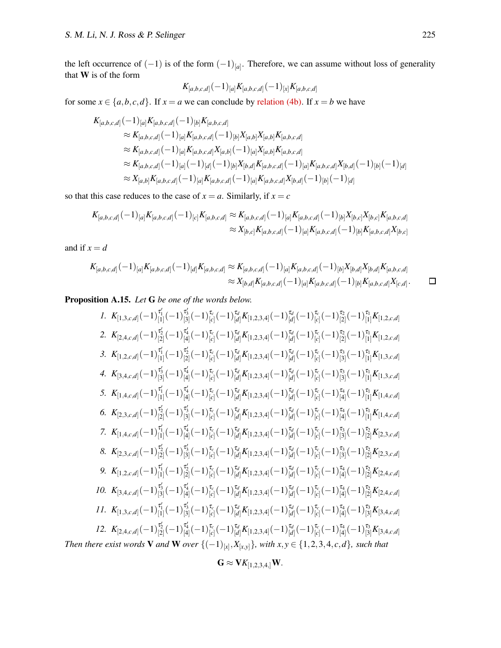$\Box$ 

the left occurrence of  $(-1)$  is of the form  $(-1)_{[a]}$ . Therefore, we can assume without loss of generality that W is of the form

$$
K_{[a,b,c,d]}(-1)_{[a]}K_{[a,b,c,d]}(-1)_{[x]}K_{[a,b,c,d]}
$$

for some  $x \in \{a, b, c, d\}$ . If  $x = a$  we can conclude by [relation \(4b\).](#page-5-2) If  $x = b$  we have

$$
K_{[a,b,c,d]}(-1)_{[a]}K_{[a,b,c,d]}(-1)_{[b]}K_{[a,b,c,d]}
$$
  
\n
$$
\approx K_{[a,b,c,d]}(-1)_{[a]}K_{[a,b,c,d]}(-1)_{[b]}X_{[a,b]}X_{[a,b]}K_{[a,b,c,d]}
$$
  
\n
$$
\approx K_{[a,b,c,d]}(-1)_{[a]}K_{[a,b,c,d]}X_{[a,b]}(-1)_{[a]}X_{[a,b]}K_{[a,b,c,d]}
$$
  
\n
$$
\approx K_{[a,b,c,d]}(-1)_{[a]}(-1)_{[d]}(-1)_{[b]}X_{[b,d]}K_{[a,b,c,d]}(-1)_{[a]}K_{[a,b,c,d]}X_{[b,d]}(-1)_{[b]}(-1)_{[d]}
$$
  
\n
$$
\approx X_{[a,b]}K_{[a,b,c,d]}(-1)_{[a]}K_{[a,b,c,d]}(-1)_{[a]}K_{[a,b,c,d]}X_{[b,d]}(-1)_{[b]}(-1)_{[d]}
$$

so that this case reduces to the case of  $x = a$ . Similarly, if  $x = c$ 

$$
K_{[a,b,c,d]}(-1)_{[a]}K_{[a,b,c,d]}(-1)_{[c]}K_{[a,b,c,d]} \approx K_{[a,b,c,d]}(-1)_{[a]}K_{[a,b,c,d]}(-1)_{[b]}X_{[b,c]}X_{[b,c]}K_{[a,b,c,d]}
$$

$$
\approx X_{[b,c]}K_{[a,b,c,d]}(-1)_{[a]}K_{[a,b,c,d]}(-1)_{[b]}K_{[a,b,c,d]}X_{[b,c]}
$$

and if  $x = d$ 

$$
K_{[a,b,c,d]}(-1)_{[a]}K_{[a,b,c,d]}(-1)_{[d]}K_{[a,b,c,d]} \approx K_{[a,b,c,d]}(-1)_{[a]}K_{[a,b,c,d]}(-1)_{[b]}X_{[b,d]}X_{[b,d]}K_{[a,b,c,d]}\approx X_{[b,d]}K_{[a,b,c,d]}(-1)_{[a]}K_{[a,b,c,d]}(-1)_{[b]}K_{[a,b,c,d]}X_{[c,d]}.
$$

<span id="page-15-0"></span>Proposition A.15. *Let* G *be one of the words below.*

1. 
$$
K_{[1,3,c,d]}(-1)^{\tau_1'}_{[1]}(-1)^{\tau_2'}_{[2]}(-1)^{\tau_2'}_{[d]}K_{[1,2,3,4]}(-1)^{\tau_2'}_{[d]}(-1)^{\tau_2'}_{[c]}(-1)^{\tau_2}_{[2]}(-1)^{\tau_1}_{[1]}K_{[1,2,c,d]}
$$
  
\n2.  $K_{[2,4,c,d]}(-1)^{\tau_2'}_{[1]}(-1)^{\tau_2'}_{[d]}(-1)^{\tau_2'}_{[c]}(-1)^{\tau_2'}_{[d]}K_{[1,2,3,4]}(-1)^{\tau_2'}_{[d]}(-1)^{\tau_2'}_{[c]}(-1)^{\tau_2}_{[2]}(-1)^{\tau_1}_{[1]}K_{[1,2,c,d]}$   
\n3.  $K_{[1,2,c,d]}(-1)^{\tau_1'}_{[1]}(-1)^{\tau_2'}_{[2]}(-1)^{\tau_2'}_{[d]}(-1)^{\tau_2'}_{[d]}K_{[1,2,3,4]}(-1)^{\tau_2'}_{[d]}(-1)^{\tau_2'}_{[c]}(-1)^{\tau_3}_{[3]}(-1)^{\tau_1}_{[1]}K_{[1,3,c,d]}$   
\n4.  $K_{[3,4,c,d]}(-1)^{\tau_1'}_{[3]}(-1)^{\tau_2'}_{[4]}(-1)^{\tau_2'}_{[c]}(-1)^{\tau_2'}_{[d]}K_{[1,2,3,4]}(-1)^{\tau_2'}_{[d]}(-1)^{\tau_2'}_{[c]}(-1)^{\tau_3'}_{[3]}(-1)^{\tau_1}_{[1]}K_{[1,3,c,d]}$   
\n5.  $K_{[1,4,c,d]}(-1)^{\tau_1'}_{[1]}(-1)^{\tau_2'}_{[d]}(-1)^{\tau_2'}_{[d]}K_{[1,2,3,4]}(-1)^{\tau_2'}_{[d]}(-1)^{\tau_2'}_{[c]}(-1)^{\tau_3'}_{[d]}(-1)^{\tau_1}_{[1]}K_{[1,4,c,d]}$   
\n6.  $K_{[2,3,c,d]}(-1)^{\tau_2'}_{[1]}(-1)^{\tau_2'}_{[3]}(-1)^{\tau_2'}_{[d]}K_{[1,2,3,4]}(-1)^{\tau_2'}_{[d]}(-1)^{\tau_2'}_{[c]}(-1)^{\tau_3'}_{[d]}(-1)^{\tau_1}_{[1]}K_{[1,4,c,d]}$   
\n7.  $K_{$ 

$$
\mathbf{G} \approx \mathbf{V} K_{[1,2,3,4,]} \mathbf{W}.
$$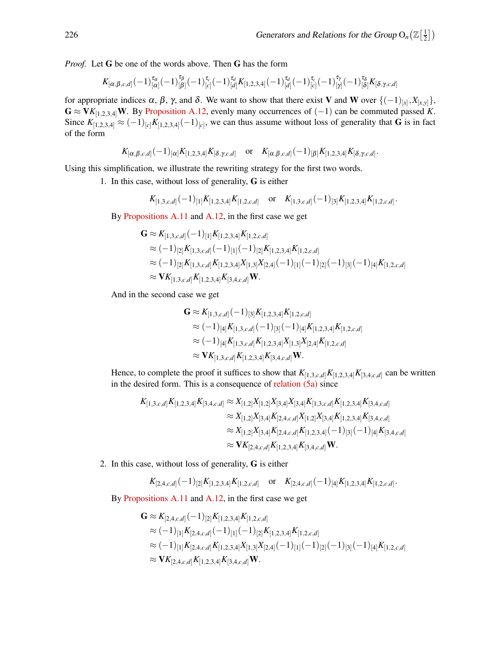*Proof.* Let G be one of the words above. Then G has the form

$$
K_{[\alpha,\beta,c,d]}(-1)^{\tau_{\alpha}}_{[\alpha]}(-1)^{\tau_{\beta}}_{[\beta]}(-1)^{\tau_{c}}_{[c]}(-1)^{\tau_{d}}_{[d]}K_{[1,2,3,4]}(-1)^{\tau_{d}}_{[d]}(-1)^{\tau_{c}}_{[c]}(-1)^{\tau_{\gamma}}_{[\gamma]}(-1)^{\tau_{\delta}}_{[\delta]}K_{[\delta,\gamma,c,d]}
$$

for appropriate indices  $\alpha$ ,  $\beta$ ,  $\gamma$ , and  $\delta$ . We want to show that there exist V and W over  $\{(-1)_{[x]}, X_{[x,y]}\},$  $\mathbf{G} \approx \mathbf{V} K_{[1,2,3,4]} \mathbf{W}$ . By [Proposition A.12,](#page-12-2) evenly many occurrences of (-1) can be commuted passed *K*. Since  $K_{[1,2,3,4]} \approx (-1)_{[c]} K_{[1,2,3,4]}(-1)_{[c]}$ , we can thus assume without loss of generality that **G** is in fact of the form

$$
K_{[\alpha,\beta,c,d]}(-1)_{[\alpha]}K_{[1,2,3,4]}K_{[\delta,\gamma,c,d]}
$$
 or  $K_{[\alpha,\beta,c,d]}(-1)_{[\beta]}K_{[1,2,3,4]}K_{[\delta,\gamma,c,d]}.$ 

Using this simplification, we illustrate the rewriting strategy for the first two words.

1. In this case, without loss of generality, G is either

$$
K_{[1,3,c,d]}(-1)_{[1]}K_{[1,2,3,4]}K_{[1,2,c,d]}
$$
 or  $K_{[1,3,c,d]}(-1)_{[3]}K_{[1,2,3,4]}K_{[1,2,c,d]}.$ 

By [Propositions A.11](#page-12-1) and [A.12,](#page-12-2) in the first case we get

$$
G \approx K_{[1,3,c,d]}(-1)_{[1]}K_{[1,2,3,4]}K_{[1,2,c,d]}
$$
  
\n
$$
\approx (-1)_{[2]}K_{[1,3,c,d]}(-1)_{[1]}(-1)_{[2]}K_{[1,2,3,4]}K_{[1,2,c,d]}
$$
  
\n
$$
\approx (-1)_{[2]}K_{[1,3,c,d]}K_{[1,2,3,4]}X_{[1,3]}X_{[2,4]}(-1)_{[1]}(-1)_{[2]}(-1)_{[3]}(-1)_{[4]}K_{[1,2,c,d]}
$$
  
\n
$$
\approx VK_{[1,3,c,d]}K_{[1,2,3,4]}K_{[3,4,c,d]}W.
$$

And in the second case we get

$$
\mathbf{G} \approx K_{[1,3,c,d]}(-1)_{[3]}K_{[1,2,3,4]}K_{[1,2,c,d]}
$$
  
\n
$$
\approx (-1)_{[4]}K_{[1,3,c,d]}(-1)_{[3]}(-1)_{[4]}K_{[1,2,3,4]}K_{[1,2,c,d]}
$$
  
\n
$$
\approx (-1)_{[4]}K_{[1,3,c,d]}K_{[1,2,3,4]}X_{[1,3]}X_{[2,4]}K_{[1,2,c,d]}
$$
  
\n
$$
\approx \mathbf{V}K_{[1,3,c,d]}K_{[1,2,3,4]}K_{[3,4,c,d]} \mathbf{W}.
$$

Hence, to complete the proof it suffices to show that  $K_{[1,3,c,d]}K_{[1,2,3,4]}K_{[3,4,c,d]}$  can be written in the desired form. This is a consequence of [relation \(5a\)](#page-5-1) since

$$
K_{[1,3,c,d]}K_{[1,2,3,4]}K_{[3,4,c,d]} \approx X_{[1,2]}X_{[1,2]}X_{[3,4]}X_{[3,4]}K_{[1,3,c,d]}K_{[1,2,3,4]}K_{[3,4,c,d]}
$$
  
\n
$$
\approx X_{[1,2]}X_{[3,4]}K_{[2,4,c,d]}X_{[1,2]}X_{[3,4]}K_{[1,2,3,4]}K_{[3,4,c,d]}
$$
  
\n
$$
\approx X_{[1,2]}X_{[3,4]}K_{[2,4,c,d]}K_{[1,2,3,4]}(-1)_{[3]}(-1)_{[4]}K_{[3,4,c,d]}
$$
  
\n
$$
\approx \mathbf{V}K_{[2,4,c,d]}K_{[1,2,3,4]}K_{[3,4,c,d]} \mathbf{W}.
$$

2. In this case, without loss of generality, G is either

$$
K_{[2,4,c,d]}(-1)_{[2]}K_{[1,2,3,4]}K_{[1,2,c,d]}
$$
 or  $K_{[2,4,c,d]}(-1)_{[4]}K_{[1,2,3,4]}K_{[1,2,c,d]}.$ 

By [Propositions A.11](#page-12-1) and [A.12,](#page-12-2) in the first case we get

$$
G \approx K_{[2,4,c,d]}(-1)_{[2]}K_{[1,2,3,4]}K_{[1,2,c,d]}
$$
  
\n
$$
\approx (-1)_{[1]}K_{[2,4,c,d]}(-1)_{[1]}(-1)_{[2]}K_{[1,2,3,4]}K_{[1,2,c,d]}
$$
  
\n
$$
\approx (-1)_{[1]}K_{[2,4,c,d]}K_{[1,2,3,4]}X_{[1,3]}X_{[2,4]}(-1)_{[1]}(-1)_{[2]}(-1)_{[3]}(-1)_{[4]}K_{[1,2,c,d]}
$$
  
\n
$$
\approx VK_{[2,4,c,d]}K_{[1,2,3,4]}K_{[3,4,c,d]}W.
$$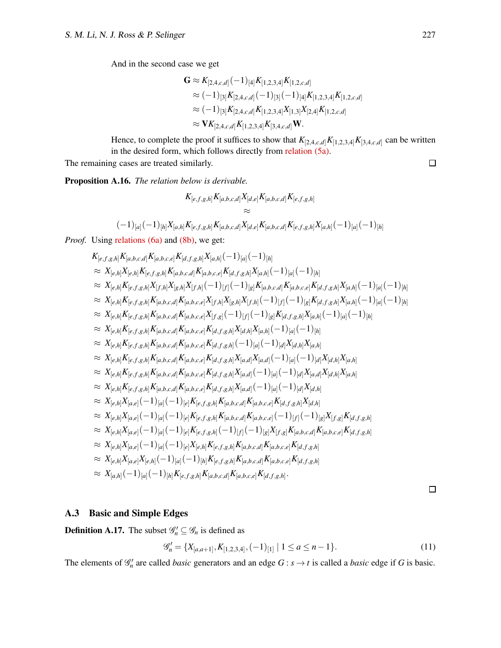And in the second case we get

$$
\mathbf{G} \approx K_{[2,4,c,d]}(-1)_{[4]}K_{[1,2,3,4]}K_{[1,2,c,d]}
$$
  
\n
$$
\approx (-1)_{[3]}K_{[2,4,c,d]}(-1)_{[3]}(-1)_{[4]}K_{[1,2,3,4]}K_{[1,2,c,d]}
$$
  
\n
$$
\approx (-1)_{[3]}K_{[2,4,c,d]}K_{[1,2,3,4]}X_{[1,3]}X_{[2,4]}K_{[1,2,c,d]}
$$
  
\n
$$
\approx \mathbf{V}K_{[2,4,c,d]}K_{[1,2,3,4]}K_{[3,4,c,d]}\mathbf{W}.
$$

Hence, to complete the proof it suffices to show that  $K_{[2,4,c,d]}K_{[1,2,3,4]}K_{[3,4,c,d]}$  can be written in the desired form, which follows directly from [relation \(5a\).](#page-5-1)

<span id="page-17-1"></span>The remaining cases are treated similarly.

Proposition A.16. *The relation below is derivable.*

$$
K_{[e,f,g,h]}K_{[a,b,c,d]}X_{[d,e]}K_{[a,b,c,d]}K_{[e,f,g,h]}
$$
  
\n
$$
\approx
$$
  
\n
$$
(-1)_{[a]}(-1)_{[h]}X_{[a,h]}K_{[e,f,g,h]}K_{[a,b,c,d]}X_{[d,e]}K_{[a,b,c,d]}K_{[e,f,g,h]}X_{[a,h]}(-1)_{[a]}(-1)_{[h]}
$$

*Proof.* Using [relations \(6a\)](#page-5-1) and [\(8b\),](#page-13-2) we get:

$$
K_{[e,f,g,h]}K_{[a,b,c,d]}K_{[a,b,c,e]}K_{[a,f,g,h]}X_{[a,b,c,e]}K_{[d,f,g,h]}X_{[a,h]}(-1)_{[a]}(-1)_{[b]}
$$
\n
$$
\approx X_{[e,h]}X_{[e,f,g,h]}K_{[e,f,g,h]}K_{[a,b,c,d]}K_{[a,b,c,e]}K_{[d,f,g,h]}X_{[a,h]}(-1)_{[a]}(-1)_{[h]}
$$
\n
$$
\approx X_{[e,h]}K_{[e,f,g,h]}K_{[f,h]}X_{[g,h]}X_{[f,h]}(-1)_{[f]}(-1)_{[g]}K_{[a,b,c,d]}K_{[a,b,c,e]}K_{[d,f,g,h]}X_{[a,h]}(-1)_{[a]}(-1)_{[b]}
$$
\n
$$
\approx X_{[e,h]}K_{[e,f,g,h]}K_{[a,b,c,d]}K_{[a,b,c,e]}X_{[f,h]}X_{[g,h]}X_{[f,h]}(-1)_{[f]}(-1)_{[g]}K_{[d,f,g,h]}X_{[a,h]}(-1)_{[a]}(-1)_{[b]}
$$
\n
$$
\approx X_{[e,h]}K_{[e,f,g,h]}K_{[a,b,c,d]}K_{[a,b,c,e]}X_{[f,g]}(-1)_{[f]}(-1)_{[g]}K_{[d,f,g,h]}X_{[a,h]}(-1)_{[a]}(-1)_{[h]}
$$
\n
$$
\approx X_{[e,h]}K_{[e,f,g,h]}K_{[a,b,c,d]}K_{[a,b,c,e]}K_{[d,f,g,h]}X_{[a,h]}X_{[a,h]}(-1)_{[a]}(-1)_{[h]}
$$
\n
$$
\approx X_{[e,h]}K_{[e,f,g,h]}K_{[a,b,c,d]}K_{[a,b,c,e]}K_{[d,f,g,h]}X_{[a,h]}X_{[a,h]}(-1)_{[a]}(-1)_{[a]}X_{[a,h]}
$$
\n
$$
\approx X_{[e,h]}K_{[e,f,g,h]}K_{[a,b,c,d]}K_{[a,b,c,e]}K_{[d,f,g,h]}X_{[a,d]}(-1)_{[a]}(-1)_{[d]}X_{[a,h]}X_{[a,h]}
$$
\n
$$
\approx X_{[e,h]}K_{[e,f,g,h]}K_{[a,b,c,d]}K_{[a,b,c,e]}K_{[d,f,g,h]}X_{[a,d]}(-1)_{[a]}(-1)_{[d]}X_{[a,h]}X_{[a,h]}
$$
\n
$$
\approx X_{[
$$

 $\Box$ 

### <span id="page-17-0"></span>A.3 Basic and Simple Edges

**Definition A.17.** The subset  $\mathscr{G}'_n \subseteq \mathscr{G}_n$  is defined as

$$
\mathcal{G}'_n = \{X_{[a,a+1]}, K_{[1,2,3,4]}, (-1)_{[1]} \mid 1 \le a \le n-1\}.
$$
\n(11)

The elements of  $\mathcal{G}'_n$  are called *basic* generators and an edge  $G : s \to t$  is called a *basic* edge if *G* is basic.

 $\Box$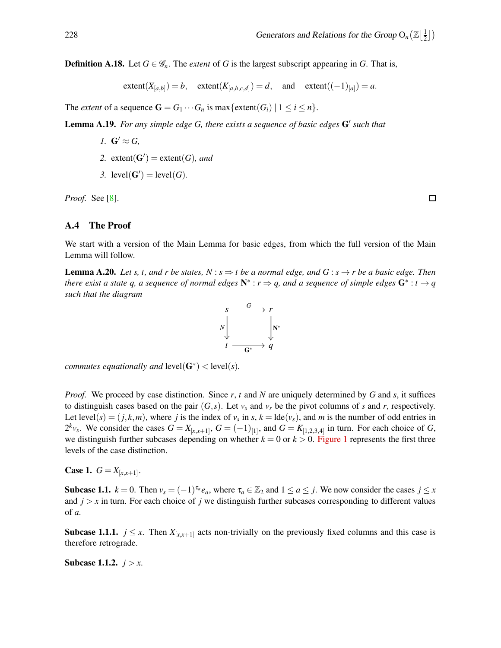**Definition A.18.** Let  $G \in \mathcal{G}_n$ . The *extent* of *G* is the largest subscript appearing in *G*. That is,

 $\text{extent}(X_{[a,b]}) = b, \quad \text{extent}(K_{[a,b,c,d]}) = d, \quad \text{and} \quad \text{extent}((-1)_{[a]}) = a.$ 

<span id="page-18-0"></span>The *extent* of a sequence  $\mathbf{G} = G_1 \cdots G_n$  is max {extent( $G_i$ ) |  $1 \leq i \leq n$  }.

Lemma A.19. *For any simple edge G, there exists a sequence of basic edges* G′ *such that*

- *1.*  $G' \approx G$ ,
- 2. extent( $G'$ ) = extent( $G$ )*, and*
- 3. level( $G'$ ) = level( $G$ ).

*Proof.* See [\[8\]](#page-54-12).

### <span id="page-18-1"></span>A.4 The Proof

<span id="page-18-2"></span>We start with a version of the Main Lemma for basic edges, from which the full version of the Main Lemma will follow.

**Lemma A.20.** *Let s, t, and r be states, N* :  $s \Rightarrow t$  *be a normal edge, and*  $G : s \rightarrow r$  *be a basic edge. Then there exist a state q, a sequence of normal edges*  $N^* : r \Rightarrow q$ , and a sequence of simple edges  $G^* : t \rightarrow q$ *such that the diagram*



*commutes equationally and*  $level(G^*)$  <  $level(s)$ *.* 

*Proof.* We proceed by case distinction. Since *r*, *t* and *N* are uniquely determined by *G* and *s*, it suffices to distinguish cases based on the pair  $(G, s)$ . Let  $v_s$  and  $v_r$  be the pivot columns of *s* and *r*, respectively. Let level(*s*) = (*j*,*k*,*m*), where *j* is the index of  $v_s$  in *s*,  $k = \text{lde}(v_s)$ , and *m* is the number of odd entries in  $2^k v_s$ . We consider the cases  $G = X_{[x,x+1]}$ ,  $G = (-1)_{[1]}$ , and  $G = K_{[1,2,3,4]}$  in turn. For each choice of *G*, we distinguish further subcases depending on whether  $k = 0$  or  $k > 0$ . [Figure 1](#page-19-0) represents the first three levels of the case distinction.

**Case 1.**  $G = X_{[x,x+1]}$ .

Subcase 1.1.  $k = 0$ . Then  $v_s = (-1)^{\tau_a} e_a$ , where  $\tau_a \in \mathbb{Z}_2$  and  $1 \le a \le j$ . We now consider the cases  $j \le x$ and  $j > x$  in turn. For each choice of *j* we distinguish further subcases corresponding to different values of *a*.

**Subcase 1.1.1.**  $j \leq x$ . Then  $X_{[x,x+1]}$  acts non-trivially on the previously fixed columns and this case is therefore retrograde.

**Subcase 1.1.2.**  $j > x$ .

 $\Box$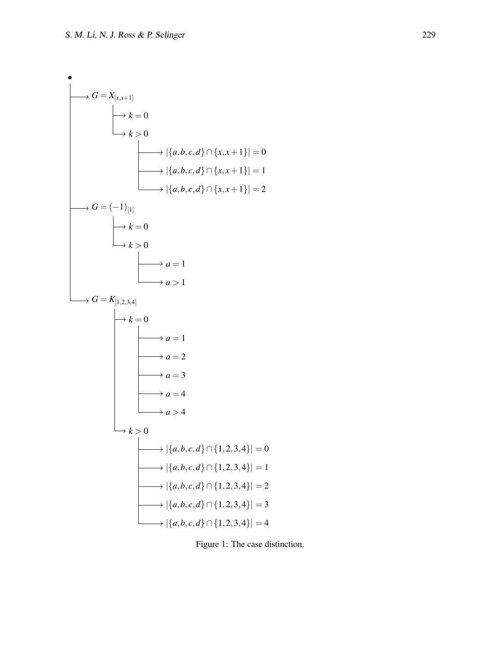<span id="page-19-0"></span>

Figure 1: The case distinction.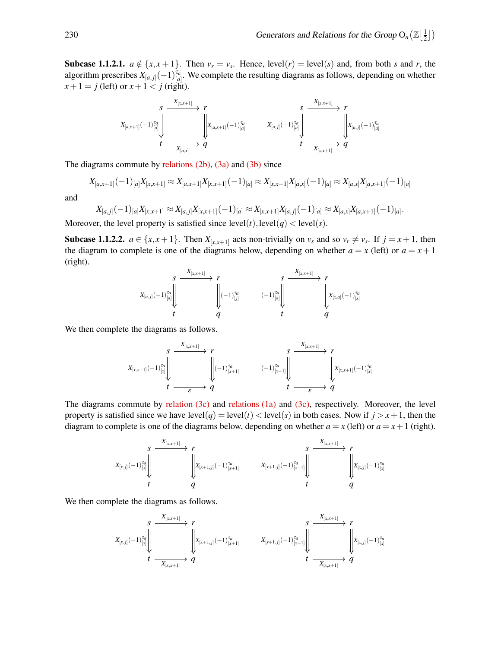**Subcase 1.1.2.1.**  $a \notin \{x, x+1\}$ . Then  $v_r = v_s$ . Hence, level(*r*) = level(*s*) and, from both *s* and *r*, the algorithm prescribes  $X_{[a,j]}(-1)^{\tau_a}_{[a]}$ . We complete the resulting diagrams as follows, depending on whether  $x+1 = j$  (left) or  $x+1 < j$  (right).



The diagrams commute by relations  $(2b)$ ,  $(3a)$  and  $(3b)$  since

$$
X_{[a,x+1]}(-1)_{[a]}X_{[x,x+1]} \approx X_{[a,x+1]}X_{[x,x+1]}(-1)_{[a]} \approx X_{[x,x+1]}X_{[a,x]}(-1)_{[a]} \approx X_{[a,x]}X_{[a,x+1]}(-1)_{[a]}
$$

and

$$
X_{[a,j]}(-1)_{[a]}X_{[x,x+1]} \approx X_{[a,j]}X_{[x,x+1]}(-1)_{[a]} \approx X_{[x,x+1]}X_{[a,j]}(-1)_{[a]} \approx X_{[a,x]}X_{[a,x+1]}(-1)_{[a]}.
$$

Moreover, the level property is satisfied since  $level(t)$ ,  $level(q) < level(s)$ .

**Subcase 1.1.2.2.**  $a \in \{x, x+1\}$ . Then  $X_{[x,x+1]}$  acts non-trivially on  $v_s$  and so  $v_r \neq v_s$ . If  $j = x+1$ , then the diagram to complete is one of the diagrams below, depending on whether  $a = x$  (left) or  $a = x + 1$ (right).

$$
X_{[a,j]}(-1)^{\tau_a}_{[a]}\left\|\begin{array}{ccc}\sum\limits_{i=1}^N\sum\limits_{j=1}^N\left\lvert\left(-1\right)^{\tau_a}_{[j]} & \left(-1\right)^{\tau_a}_{[a]}\right\rvert & \left\lvert\left\lvert\left(-1\right)^{\tau_a}_{[k]}\right\rvert\right. & \left.\left.\left(-1\right)^{\tau_a}_{[a]}\right\rvert\right\downarrow & \left\lvert\left\lvert X_{[x,a]}(-1)^{\tau_a}_{[x]}\right\rvert\right. \\ \left.t & q & t & q\end{array}\right.
$$

We then complete the diagrams as follows.

$$
\begin{array}{ccc}\n & s & \xrightarrow{X_{[x,x+1]}} & r & s & \xrightarrow{X_{[x,x+1]}} & r \\
\downarrow x_{[x,x+1]}(-1)^{\tau_a}_{[x]} \parallel & & \downarrow x_{[x+1]} & & (-1)^{\tau_a}_{[x+1]} \parallel & & \downarrow x_{[x,x+1]}(-1)^{\tau_a}_{[x]} \\
 & t & \xrightarrow{\epsilon} q & t & \xrightarrow{\epsilon} q\n\end{array}
$$

The diagrams commute by [relation \(3c\)](#page-5-3) and [relations \(1a\)](#page-5-1) and [\(3c\),](#page-5-3) respectively. Moreover, the level property is satisfied since we have  $level(q) = level(t) < level(s)$  in both cases. Now if  $j > x + 1$ , then the diagram to complete is one of the diagrams below, depending on whether  $a = x$  (left) or  $a = x + 1$  (right).

*s r t q X*[*x*, *<sup>j</sup>*] (−1) τ*a* [*x*] *X*[*x*,*x*+1] *X*[*x*+1, *<sup>j</sup>*] (−1) τ*a* [*x*+1] *s r t q X*[*x*+1, *<sup>j</sup>*] (−1) τ*a* [*x*+1] *X*[*x*,*x*+1] *X*[*x*, *<sup>j</sup>*] (−1) τ*a* [*x*]

We then complete the diagrams as follows.

$$
\begin{array}{ccc} \begin{array}{ccc} \begin{matrix} \begin{matrix} \mathcal{S} & \mathcal{X}_{[x,x+1]} \end{matrix} & \longrightarrow & r \\ \mathcal{S} & \longrightarrow & \mathcal{S} & \longrightarrow & \mathcal{S} \\ \mathcal{S} & \longrightarrow & \mathcal{S} & \longrightarrow & \mathcal{S} \\ \mathcal{S} & \longrightarrow & \mathcal{S} & \longrightarrow & \mathcal{S} \\ \mathcal{S} & \longrightarrow & \mathcal{S} & \longrightarrow & \mathcal{S} \\ \mathcal{S} & \longrightarrow & \mathcal{S} & \longrightarrow & \mathcal{S} \end{matrix} \end{array} & \begin{array}{ccc} \begin{matrix} \mathcal{S} & \longrightarrow & \mathcal{S} & \longrightarrow & \mathcal{S} \\ \mathcal{S} & \longrightarrow & \mathcal{S} & \longrightarrow & \mathcal{S} \\ \mathcal{S} & \longrightarrow & \mathcal{S} & \longrightarrow & \mathcal{S} \\ \mathcal{S} & \longrightarrow & \mathcal{S} & \longrightarrow & \mathcal{S} & \longrightarrow & \mathcal{S} \end{matrix} \end{array} & \begin{array}{ccc} \begin{matrix} \mathcal{S} & \longrightarrow & \mathcal{S} & \longrightarrow & \mathcal{S} & \longrightarrow & \mathcal{S} \\ \mathcal{S} & \longrightarrow & \mathcal{S} & \longrightarrow & \mathcal{S} & \longrightarrow & \mathcal{S} \\ \mathcal{S} & \longrightarrow & \mathcal{S} & \longrightarrow & \mathcal{S} & \longrightarrow & \mathcal{S} \end{matrix} \end{array} & \begin{array}{ccc} \begin{matrix} \mathcal{S} & \longrightarrow & \mathcal{S} & \longrightarrow & \mathcal{S} & \longrightarrow & \mathcal{S} \\ \mathcal{S} & \longrightarrow & \mathcal{S} & \longrightarrow & \mathcal{S} & \longrightarrow & \mathcal{S} & \longrightarrow & \mathcal{S} \end{matrix} \end{array} & \begin{array}{ccc} \mathcal{S} & \longrightarrow & \mathcal{S} & \longrightarrow & \mathcal{S} & \longrightarrow & \mathcal{S} & \longrightarrow & \mathcal{S} & \longrightarrow & \mathcal{S} & \longrightarrow & \mathcal{S} \end{array} & \begin{array}{ccc} \mathcal{S} & \longrightarrow & \mathcal{S} & \longrightarrow & \mathcal{S} & \longrightarrow & \mathcal{S} & \longrightarrow & \mathcal{S} & \longrightarrow & \mathcal{S} & \longrightarrow & \mathcal{S} & \longrightarrow & \mathcal{S} & \longrightarrow & \mathcal{S} & \longrightarrow & \mathcal{S}
$$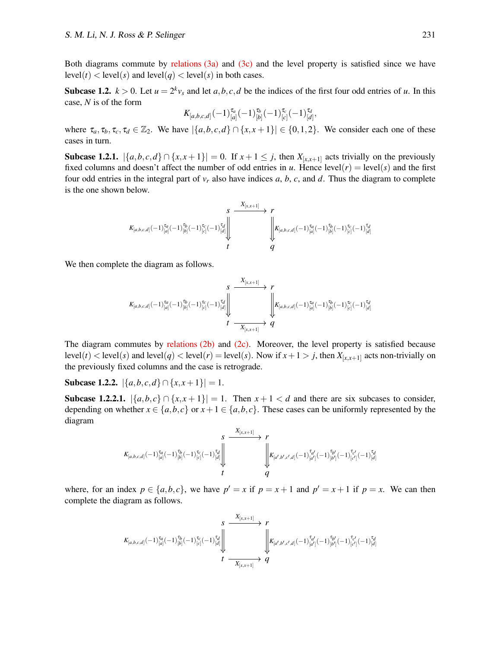Both diagrams commute by [relations \(3a\)](#page-5-1) and [\(3c\)](#page-5-3) and the level property is satisfied since we have  $level(t) < level(s)$  and  $level(q) < level(s)$  in both cases.

**Subcase 1.2.**  $k > 0$ . Let  $u = 2^k v_s$  and let  $a, b, c, d$  be the indices of the first four odd entries of *u*. In this case, *N* is of the form

$$
K_{[a,b,c,d]}(-1)^{\tau_a}_{[a]}(-1)^{\tau_b}_{[b]}(-1)^{\tau_c}_{[c]}(-1)^{\tau_d}_{[d]},
$$

where  $\tau_a, \tau_b, \tau_c, \tau_d \in \mathbb{Z}_2$ . We have  $|\{a,b,c,d\} \cap \{x,x+1\}| \in \{0,1,2\}$ . We consider each one of these cases in turn.

Subcase 1.2.1.  $|\{a,b,c,d\} \cap \{x,x+1\}| = 0$ . If  $x+1 \leq j$ , then  $X_{[x,x+1]}$  acts trivially on the previously fixed columns and doesn't affect the number of odd entries in *u*. Hence  $level(r) = level(s)$  and the first four odd entries in the integral part of  $v_r$  also have indices *a*, *b*, *c*, and *d*. Thus the diagram to complete is the one shown below.

$$
K_{[a,b,c,d]}(-1)^{\tau_a}_{[a]}(-1)^{\tau_b}_{[b]}(-1)^{\tau_c}_{[c]}(-1)^{\tau_d}_{[d]}\Bigg\downarrow \begin{array}{c}X_{[x,x+1]}\\ \downarrow\\ \downarrow\\ \downarrow\\ \downarrow\\ \tau\end{array}\rightarrow \begin{array}{c}P\\ \downarrow\\ \downarrow\\ \downarrow\\ \downarrow\\ \downarrow\\ \downarrow\\ \end{array}
$$

We then complete the diagram as follows.

$$
\begin{array}{ccc}\n & S & \xrightarrow{\quad X_{[x,x+1]}} & r \\
 & \searrow^{X_{[x,x+1]}} & & \nearrow & \\
 & \searrow^{X_{[x,x+1]}} & & \searrow^{X_{[a,b,c,d]}(-1)^{\tau_a}_{[a]}(-1)^{\tau_c}_{[b]}(-1)^{\tau_c}_{[d]}(-1)^{\tau_c}_{[d]}(-1)^{\tau_c}_{[d]} \\
 & \downarrow^{x} & \searrow^{x}_{[x,x+1]} & q\n\end{array}
$$

The diagram commutes by [relations \(2b\)](#page-5-2) and [\(2c\).](#page-5-3) Moreover, the level property is satisfied because level(*t*) < level(*s*) and level(*q*) < level(*r*) = level(*s*). Now if  $x + 1 > j$ , then  $X_{[x,x+1]}$  acts non-trivially on the previously fixed columns and the case is retrograde.

<span id="page-21-0"></span>Subcase 1.2.2.  $|\{a,b,c,d\} \cap \{x,x+1\}| = 1$ .

Subcase 1.2.2.1.  $|\{a,b,c\} \cap \{x,x+1\}| = 1$ . Then  $x+1 < d$  and there are six subcases to consider, depending on whether  $x \in \{a,b,c\}$  or  $x+1 \in \{a,b,c\}$ . These cases can be uniformly represented by the diagram

$$
\begin{array}{ccc}&&S&\x_{[x,x+1]}\longrightarrow & r\\ &\swarrow&&\searrow\\ K_{[a,b,c,d]}(-1)^{\tau_d}_{[a]}(-1)^{\tau_d}_{[b]}(-1)^{\tau_c}_{[c]}(-1)^{\tau_d}_{[d]}\Big\downarrow&&\qquad \qquad \bigg\downarrow &\\ &t&\searrow&\\ t&&q&&\\ \end{array}
$$

where, for an index  $p \in \{a, b, c\}$ , we have  $p' = x$  if  $p = x + 1$  and  $p' = x + 1$  if  $p = x$ . We can then complete the diagram as follows.

$$
\begin{array}{ccc}&&S&\x_{[x,x+1]}\longrightarrow & r\\ &\swarrow&&\searrow\\ K_{[a,b,c,d]}(-1)^{\tau_d}_{[a]}(-1)^{\tau_b}_{[b]}(-1)^{\tau_c}_{[c]}(-1)^{\tau_d}_{[d]}\end{array}\bigg|\xrightarrow[t]{\x_{[x,x+1]}\longrightarrow & r\\ &\qquad \qquad \bigg\downarrow & K_{[a',b',c',d]}(-1)^{\tau_{a'}}_{[a']}(-1)^{\tau_{b'}}_{[b']}(-1)^{\tau_{c'}}_{[c']}(-1)^{\tau_{d'}}_{[d]}\end{array}
$$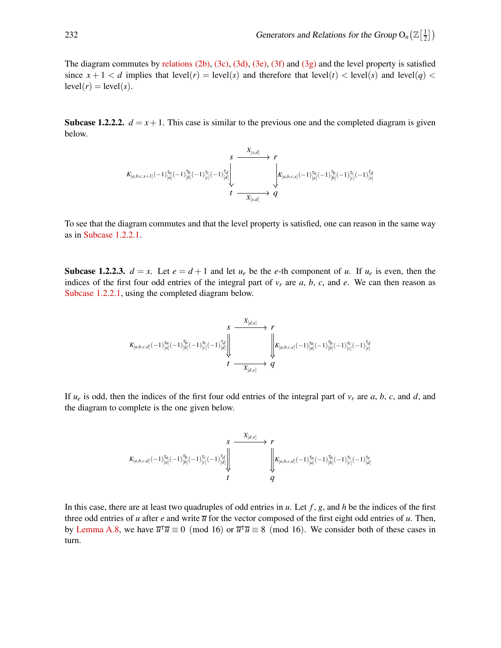The diagram commutes by [relations \(2b\),](#page-5-2) [\(3c\),](#page-5-3) [\(3d\),](#page-5-4) [\(3e\),](#page-5-5) [\(3f\)](#page-5-6) and [\(3g\)](#page-5-7) and the level property is satisfied since  $x + 1 < d$  implies that level(*r*) = level(*s*) and therefore that level(*t*) < level(*s*) and level(*q*) <  $level(r) = level(s)$ .

**Subcase 1.2.2.2.**  $d = x + 1$ . This case is similar to the previous one and the completed diagram is given below.

$$
\begin{array}{ccc}\n & S & \xrightarrow{\quad X_{[x,d]}} & r \\
 & K_{[a,b,c,x+1]}(-1)^{\tau_a}_{[a]}(-1)^{\tau_b}_{[b]}(-1)^{\tau_c}_{[c]}(-1)^{\tau_d}_{[d]} & & \downarrow \\
 & & \downarrow \xrightarrow{\quad \ \ \, } & K_{[a,b,c,x]}(-1)^{\tau_a}_{[a]}(-1)^{\tau_b}_{[b]}(-1)^{\tau_c}_{[c]}(-1)^{\tau_d}_{[x]} \\
 & t & \xrightarrow{\quad \ \ \, } & X_{[x,d]} & q\n\end{array}
$$

To see that the diagram commutes and that the level property is satisfied, one can reason in the same way as in [Subcase 1.2.2.1.](#page-21-0)

**Subcase 1.2.2.3.**  $d = x$ . Let  $e = d + 1$  and let  $u_e$  be the *e*-th component of *u*. If  $u_e$  is even, then the indices of the first four odd entries of the integral part of  $v_r$  are  $a, b, c$ , and  $e$ . We can then reason as [Subcase 1.2.2.1,](#page-21-0) using the completed diagram below.

$$
\begin{array}{ccc}\n & S & \xrightarrow{\text{ $X_{[d,e]}$}} & r \\
 & K_{[a,b,c,d]}(-1)^{\tau_d}_{[a]}(-1)^{\tau_b}_{[b]}(-1)^{\tau_c}_{[c]}(-1)^{\tau_d}_{[d]} & & \downarrow \\
 & & \downarrow \xrightarrow{\text{ $X_{[d,e]}$}} & q & \\
 & & t & \xrightarrow{\text{ $X_{[d,e]}$}} & q & \\
\end{array}
$$

If *u<sup>e</sup>* is odd, then the indices of the first four odd entries of the integral part of *v<sup>r</sup>* are *a*, *b*, *c*, and *d*, and the diagram to complete is the one given below.

$$
K_{[a,b,c,d]}(-1)^{\tau_a}_{[a]}(-1)^{\tau_b}_{[b]}(-1)^{\tau_c}_{[c]}(-1)^{\tau_d}_{[d]}\Bigg\downarrow \begin{array}{c}X_{[d,e]}\\ \downarrow\\ \downarrow\\ t\\ \end{array}\qquad \qquad \left\vert\begin{array}{c}X_{[d,e]}\\ \downarrow\\ \downarrow\\ \end{array}\right\vert K_{[a,b,c,d]}(-1)^{\tau_a}_{[a]}(-1)^{\tau_b}_{[b]}(-1)^{\tau_c}_{[c]}(-1)^{\tau_c}_{[d]}(-1)^{\tau_c}_{[d]}\end{array}
$$

In this case, there are at least two quadruples of odd entries in *u*. Let *f* , *g*, and *h* be the indices of the first three odd entries of *u* after *e* and write  $\overline{u}$  for the vector composed of the first eight odd entries of *u*. Then, by [Lemma A.8,](#page-11-2) we have  $\overline{u}^T \overline{u} \equiv 0 \pmod{16}$  or  $\overline{u}^T \overline{u} \equiv 8 \pmod{16}$ . We consider both of these cases in turn.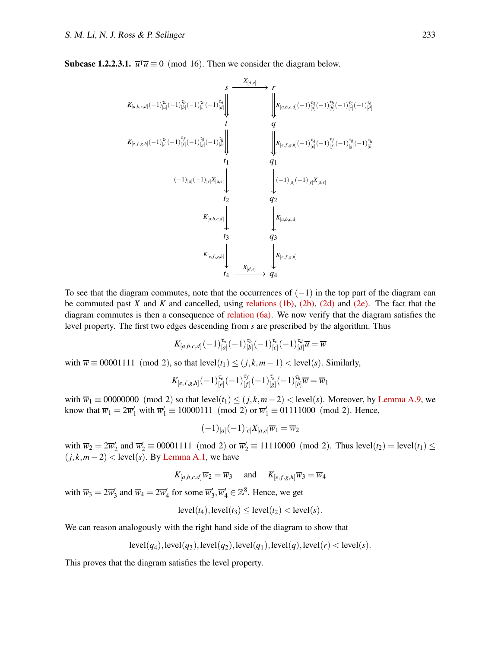**Subcase 1.2.2.3.1.**  $\overline{u}^{\dagger} \overline{u} \equiv 0 \pmod{16}$ . Then we consider the diagram below.

$$
K_{[a,b,c,d]}(-1)^{\tau_{a}}_{[a]}(-1)^{\tau_{b}}_{[a]}(-1)^{\tau_{b}}_{[c]}(-1)^{\tau_{a}}_{[d]})
$$
\n
$$
K_{[a,b,c,d]}(-1)^{\tau_{a}}_{[c]}(-1)^{\tau_{b}}_{[c]}(-1)^{\tau_{b}}_{[d]})
$$
\n
$$
K_{[e,f,g,h]}(-1)^{\tau_{e}}_{[e]}(-1)^{\tau_{f}}_{[f]}(-1)^{\tau_{b}}_{[g]}(-1)^{\tau_{b}}_{[g]})
$$
\n
$$
K_{[e,f,g,h]}(-1)^{\tau_{e}}_{[e]}(-1)^{\tau_{f}}_{[h]}(-1)^{\tau_{b}}_{[g]}(-1)^{\tau_{b}}_{[g]}(-1)^{\tau_{b}}_{[h]})
$$
\n
$$
K_{[a,b,c,d]}(-1)^{\tau_{a}}_{[a]}(-1)^{\tau_{a}}_{[a]}(-1)^{\tau_{a}}_{[a]}(-1)^{\tau_{b}}_{[g]}(-1)^{\tau_{b}}_{[h]}(-1)^{\tau_{b}}_{[h]}(-1)^{\tau_{b}}_{[h]}(-1)^{\tau_{b}}_{[h]}(-1)^{\tau_{b}}_{[h]}(-1)^{\tau_{b}}_{[h]}(-1)^{\tau_{b}}_{[h]}(-1)^{\tau_{b}}_{[h]}(-1)^{\tau_{b}}_{[h]}(-1)^{\tau_{b}}_{[h]}(-1)^{\tau_{b}}_{[h]}(-1)^{\tau_{b}}_{[h]}(-1)^{\tau_{b}}_{[h]}(-1)^{\tau_{b}}_{[h]}(-1)^{\tau_{b}}_{[h]}(-1)^{\tau_{b}}_{[h]}(-1)^{\tau_{b}}_{[h]}(-1)^{\tau_{b}}_{[h]}(-1)^{\tau_{b}}_{[h]}(-1)^{\tau_{b}}_{[h]}(-1)^{\tau_{b}}_{[h]}(-1)^{\tau_{b}}_{[h]}(-1)^{\tau_{b}}_{[h]}(-1)^{\tau_{b}}_{[h]}(-1)^{\tau_{b}}_{[h]}(-1)^{\tau_{b}}_{[h]}(-1)^{\tau_{b}}_{[h]}(-1)^{\tau_{b}}_{[h]}(-1)^{\tau_{b}}_{[h]}(-1)^{\tau_{b}}_{[h]}(-1)^{\tau_{b}}_{[h]}(-1)^{\tau_{b}}_{[h]}(-1)^{\tau_{b}}_{[h]}(-1)^{\tau_{b}}_{[h]}(-1)^{\tau_{b}}_{[h]}(-1)^{\tau_{b}}_{[h]}(-1)^{\tau_{b
$$

To see that the diagram commutes, note that the occurrences of  $(-1)$  in the top part of the diagram can be commuted past *X* and *K* and cancelled, using [relations \(1b\),](#page-5-2) [\(2b\),](#page-5-2) [\(2d\)](#page-5-4) and [\(2e\).](#page-5-5) The fact that the diagram commutes is then a consequence of [relation \(6a\).](#page-5-1) We now verify that the diagram satisfies the level property. The first two edges descending from *s* are prescribed by the algorithm. Thus

$$
K_{[a,b,c,d]}(-1)^{\tau_a}_{[a]}(-1)^{\tau_b}_{[b]}(-1)^{\tau_c}_{[c]}(-1)^{\tau_d}_{[d]}\overline{u}=\overline{w}
$$

with  $\overline{w} \equiv 00001111 \pmod{2}$ , so that  $\text{level}(t_1) \leq (j,k,m-1) < \text{level}(s)$ . Similarly,

$$
K_{[e,f,g,h]}(-1)^{\tau_e}_{[e]}(-1)^{\tau_f}_{[f]}(-1)^{\tau_g}_{[g]}(-1)^{\tau_h}_{[h]} \overline{w} = \overline{w}_1
$$

with  $\overline{w}_1 \equiv 00000000$  (mod 2) so that  $level(t_1) \le (j,k,m-2) < level(s)$ . Moreover, by [Lemma A.9,](#page-11-1) we know that  $\overline{w}_1 = 2\overline{w}'_1$  with  $\overline{w}'_1 \equiv 10000111 \pmod{2}$  or  $\overline{w}'_1 \equiv 01111000 \pmod{2}$ . Hence,

$$
(-1)_{[a]}(-1)_{[e]}X_{[a,e]}\overline{w}_1=\overline{w}_2
$$

with  $\overline{w}_2 = 2\overline{w}'_2$  and  $\overline{w}'_2 \equiv 00001111 \pmod{2}$  or  $\overline{w}'_2 \equiv 11110000 \pmod{2}$ . Thus level $(t_2) = \text{level}(t_1) \le$  $(j,k,m-2)$  < level(s). By [Lemma A.1,](#page-9-2) we have

$$
K_{[a,b,c,d]}\overline{w}_2 = \overline{w}_3 \quad \text{ and } \quad K_{[e,f,g,h]}\overline{w}_3 = \overline{w}_4
$$

with  $\overline{w}_3 = 2\overline{w}'_3$  and  $\overline{w}_4 = 2\overline{w}'_4$  for some  $\overline{w}'_3, \overline{w}'_4 \in \mathbb{Z}^8$ . Hence, we get

$$
level(t_4), level(t_3) \le level(t_2) < level(s).
$$

We can reason analogously with the right hand side of the diagram to show that

$$
level(q_4), level(q_3), level(q_2), level(q_1), level(q), level(r) < level(s).
$$

This proves that the diagram satisfies the level property.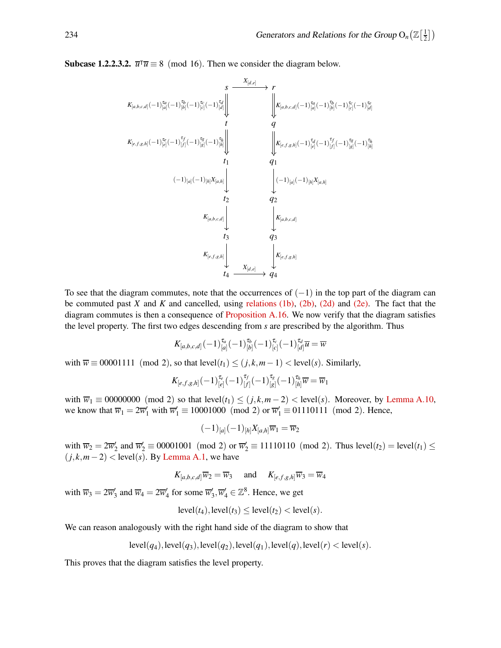**Subcase 1.2.2.3.2.**  $\overline{u}^{\dagger} \overline{u} \equiv 8 \pmod{16}$ . Then we consider the diagram below.

*s r t q t*<sup>1</sup> *q*<sup>1</sup> *t*<sup>2</sup> *q*<sup>2</sup> *t*<sup>3</sup> *q*<sup>3</sup> *t*<sup>4</sup> *q*<sup>4</sup> *K*[*a*,*b*,*c*,*d*] (−1) τ*a* [*a*] (−1) τ*b* [*b*] (−1) τ*c* [*c*] (−1) τ*d* [*d*] *X*[*d*,*e*] *K*[*a*,*b*,*c*,*d*] (−1) τ*a* [*a*] (−1) τ*b* [*b*] (−1) τ*c* [*c*] (−1) τ*e* [*d*] *K*[*e*, *<sup>f</sup>* ,*g*,*h*] (−1) τ*e* [*e*] (−1) τ *f* [ *f* ] (−1) τ*g* [*g*] (−1) τ*h* [*h*] *K*[*e*, *<sup>f</sup>* ,*g*,*h*] (−1) τ*d* [*e*] (−1) τ *f* [ *f* ] (−1) τ*g* [*g*] (−1) τ*h* [*h*] (−1)[*a*] (−1)[*h*]*X*[*a*,*h*] (−1)[*a*] (−1)[*h*]*X*[*a*,*h*] *K*[*a*,*b*,*c*,*d*] *K*[*a*,*b*,*c*,*d*] *K*[*e*, *<sup>f</sup>* ,*g*,*h*] *K*[*e*, *<sup>f</sup>* ,*g*,*h*] *X*[*d*,*e*]

To see that the diagram commutes, note that the occurrences of  $(-1)$  in the top part of the diagram can be commuted past *X* and *K* and cancelled, using [relations \(1b\),](#page-5-2) [\(2b\),](#page-5-2) [\(2d\)](#page-5-4) and [\(2e\).](#page-5-5) The fact that the diagram commutes is then a consequence of [Proposition A.16.](#page-17-1) We now verify that the diagram satisfies the level property. The first two edges descending from *s* are prescribed by the algorithm. Thus

$$
K_{[a,b,c,d]}(-1)^{\tau_a}_{[a]}(-1)^{\tau_b}_{[b]}(-1)^{\tau_c}_{[c]}(-1)^{\tau_d}_{[d]}\overline{u}=\overline{w}
$$

with  $\overline{w} \equiv 00001111 \pmod{2}$ , so that  $level(t_1) \leq (j,k,m-1) < level(s)$ . Similarly,

$$
K_{[e,f,g,h]}(-1)^{\tau_e}_{[e]}(-1)^{\tau_f}_{[f]}(-1)^{\tau_g}_{[g]}(-1)^{\tau_h}_{[h]} \overline{w} = \overline{w}_1
$$

with  $\overline{w}_1 \equiv 00000000$  (mod 2) so that level( $t_1$ )  $\leq$  ( $j$ , $k$ , $m-2$ ) < level( $s$ ). Moreover, by [Lemma A.10,](#page-11-3) we know that  $\overline{w}_1 = 2\overline{w}'_1$  with  $\overline{w}'_1 \equiv 10001000 \pmod{2}$  or  $\overline{w}'_1 \equiv 01110111 \pmod{2}$ . Hence,

$$
(-1)_{[a]}(-1)_{[h]}X_{[a,h]}\overline{w}_1 = \overline{w}_2
$$

with  $\overline{w}_2 = 2\overline{w}'_2$  and  $\overline{w}'_2 \equiv 00001001 \pmod{2}$  or  $\overline{w}'_2 \equiv 11110110 \pmod{2}$ . Thus level(*t*<sub>2</sub>) = level(*t*<sub>1</sub>)  $\leq$  $(j,k,m-2)$  < level(s). By [Lemma A.1,](#page-9-2) we have

$$
K_{[a,b,c,d]}\overline{w}_2 = \overline{w}_3 \quad \text{ and } \quad K_{[e,f,g,h]}\overline{w}_3 = \overline{w}_4
$$

with  $\overline{w}_3 = 2\overline{w}'_3$  and  $\overline{w}_4 = 2\overline{w}'_4$  for some  $\overline{w}'_3, \overline{w}'_4 \in \mathbb{Z}^8$ . Hence, we get

$$
level(t_4), level(t_3) \le level(t_2) < level(s).
$$

We can reason analogously with the right hand side of the diagram to show that

$$
level(q_4), level(q_3), level(q_2), level(q_1), level(q), level(r) < level(s).
$$

This proves that the diagram satisfies the level property.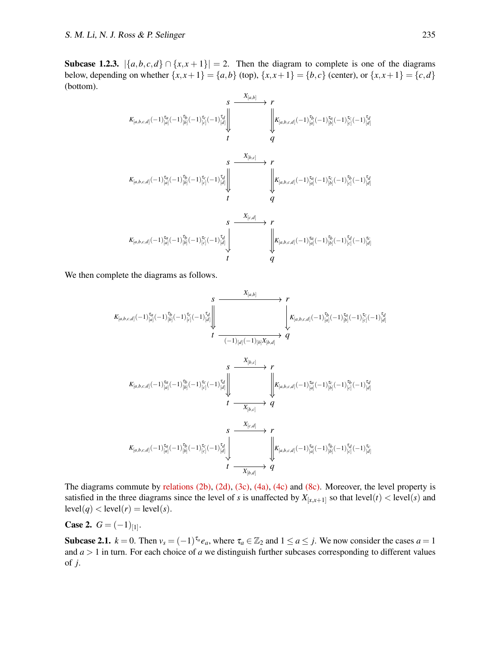Subcase 1.2.3.  $|\{a,b,c,d\} \cap \{x,x+1\}| = 2$ . Then the diagram to complete is one of the diagrams below, depending on whether  $\{x, x+1\} = \{a, b\}$  (top),  $\{x, x+1\} = \{b, c\}$  (center), or  $\{x, x+1\} = \{c, d\}$ (bottom).

$$
K_{[a,b,c,d]}(-1)^{\tau_{a}}_{[a]}(-1)^{\tau_{b}}_{[b]}(-1)^{\tau_{b}}_{[c]}(-1)^{\tau_{b}}_{[d]} \bigg|
$$
\n
$$
K_{[a,b,c,d]}(-1)^{\tau_{a}}_{[a]}(-1)^{\tau_{b}}_{[a]}(-1)^{\tau_{b}}_{[d]}(-1)^{\tau_{b}}_{[d]}(-1)^{\tau_{b}}_{[d]}(-1)^{\tau_{b}}_{[d]}(-1)^{\tau_{b}}_{[d]}(-1)^{\tau_{b}}_{[d]}(-1)^{\tau_{b}}_{[d]}(-1)^{\tau_{b}}_{[d]}(-1)^{\tau_{b}}_{[d]}(-1)^{\tau_{b}}_{[d]}(-1)^{\tau_{b}}_{[d]}(-1)^{\tau_{b}}_{[d]}(-1)^{\tau_{b}}_{[d]}(-1)^{\tau_{b}}_{[d]}(-1)^{\tau_{b}}_{[d]}(-1)^{\tau_{b}}_{[d]}(-1)^{\tau_{b}}_{[d]}(-1)^{\tau_{b}}_{[d]}(-1)^{\tau_{b}}_{[d]}(-1)^{\tau_{b}}_{[d]}(-1)^{\tau_{b}}_{[d]}(-1)^{\tau_{b}}_{[d]}(-1)^{\tau_{b}}_{[d]}(-1)^{\tau_{b}}_{[d]}(-1)^{\tau_{b}}_{[d]}(-1)^{\tau_{b}}_{[d]}(-1)^{\tau_{b}}_{[d]}(-1)^{\tau_{b}}_{[d]}(-1)^{\tau_{b}}_{[d]}(-1)^{\tau_{b}}_{[d]}(-1)^{\tau_{b}}_{[d]}(-1)^{\tau_{b}}_{[d]}(-1)^{\tau_{b}}_{[d]}(-1)^{\tau_{b}}_{[d]}(-1)^{\tau_{b}}_{[d]}(-1)^{\tau_{b}}_{[d]}(-1)^{\tau_{b}}_{[d]}(-1)^{\tau_{b}}_{[d]}(-1)^{\tau_{b}}_{[d]}(-1)^{\tau_{b}}_{[d]}(-1)^{\tau_{b}}_{[d]}(-1)^{\tau_{b}}_{[d]}(-1)^{\tau_{b}}_{[d]}(-1)^{\tau_{b}}_{[d]}(-1)^{\tau_{b}}_{[d]}(-1)^{\tau_{b}}_{[d]}(-1)^{\tau_{b}}_{[d]}(-1)^{\tau_{b}}_{[d]}(-1)^{\tau_{b}}_{[d]}(-1)^{\tau_{b}}_{[d]}(-1)^{\tau_{b}}_{[d]}(-1)^{\tau_{b}}_{[d]}(-1)^{\tau_{b}}_{[d]}(-1)^{\tau_{b}}_{[d]}(-1)^{\tau_{b}}_{
$$

We then complete the diagrams as follows.

$$
K_{[a,b,c,d]}(-1)^{\tau_{a}}_{[a]}(-1)^{\tau_{b}}_{[b]}(-1)^{\tau_{c}}_{[c]}(-1)^{\tau_{d}}_{[d]}\Big\downarrow
$$
\n
$$
\downarrow \frac{\sum_{[a,b]}\sum_{[a,b,c,d]} \left\{K_{[a,b,c,d]}(-1)^{\tau_{b}}_{[a]}(-1)^{\tau_{a}}_{[b]}(-1)^{\tau_{a}}_{[c]}(-1)^{\tau_{a}}_{[d]}\right\}}{\sum_{[a,b,c,d]} \left\{K_{[a,b,c,d]}(-1)^{\tau_{a}}_{[a]}(-1)^{\tau_{a}}_{[a]}(-1)^{\tau_{a}}_{[d]}\right\}} \longrightarrow q
$$
\n
$$
K_{[a,b,c,d]}(-1)^{\tau_{a}}_{[a]}(-1)^{\tau_{a}}_{[b]}(-1)^{\tau_{c}}_{[c]}(-1)^{\tau_{a}}_{[d]}\Big\downarrow
$$
\n
$$
\downarrow \frac{\sum_{[a,b,c]} \left\{K_{[a,b,c,d]}(-1)^{\tau_{a}}_{[a]}(-1)^{\tau_{a}}_{[b]}(-1)^{\tau_{a}}_{[c]}(-1)^{\tau_{a}}_{[d]}\right\}}{\sum_{[a,b,c,d]} \left\{K_{[a,b,c,d]}(-1)^{\tau_{a}}_{[a]}(-1)^{\tau_{a}}_{[b]}(-1)^{\tau_{a}}_{[c]}(-1)^{\tau_{a}}_{[d]}\right\}} \longrightarrow q
$$
\n
$$
K_{[a,b,c,d]}(-1)^{\tau_{a}}_{[a]}(-1)^{\tau_{a}}_{[b]}(-1)^{\tau_{a}}_{[b]}(-1)^{\tau_{a}}_{[b]}(-1)^{\tau_{a}}_{[d]}\longrightarrow q
$$
\n
$$
\downarrow \longrightarrow q
$$

The diagrams commute by [relations \(2b\),](#page-5-2) [\(2d\),](#page-5-4) [\(3c\),](#page-5-3) [\(4a\),](#page-5-1) [\(4c\)](#page-5-3) and [\(8c\).](#page-13-0) Moreover, the level property is satisfied in the three diagrams since the level of *s* is unaffected by  $X_{[x,x+1]}$  so that level(*t*) < level(*s*) and  $level(q) < level(r) = level(s).$ 

**Case 2.**  $G = (-1)_{[1]}$ .

Subcase 2.1.  $k = 0$ . Then  $v_s = (-1)^{\tau_a} e_a$ , where  $\tau_a \in \mathbb{Z}_2$  and  $1 \le a \le j$ . We now consider the cases  $a = 1$ and  $a > 1$  in turn. For each choice of  $a$  we distinguish further subcases corresponding to different values of *j*.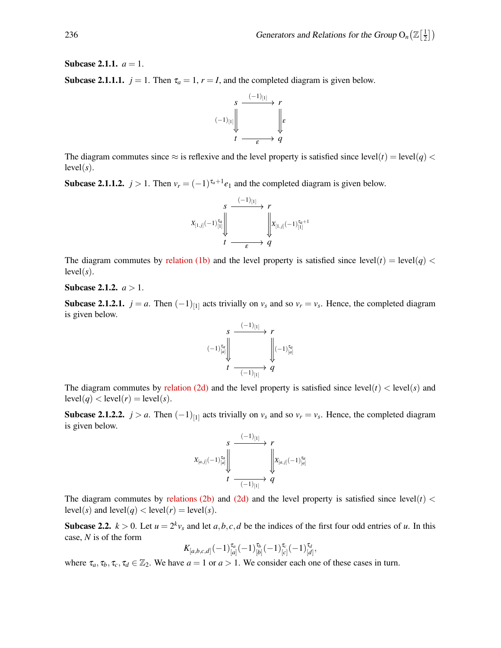**Subcase 2.1.1.**  $a = 1$ .

**Subcase 2.1.1.1.**  $j = 1$ . Then  $\tau_a = 1$ ,  $r = I$ , and the completed diagram is given below.



The diagram commutes since  $\approx$  is reflexive and the level property is satisfied since level(*t*) = level(*q*) <  $level(s)$ .

**Subcase 2.1.1.2.**  $j > 1$ . Then  $v_r = (-1)^{\tau_a+1} e_1$  and the completed diagram is given below.



The diagram commutes by [relation \(1b\)](#page-5-2) and the level property is satisfied since level(*t*) = level(*q*) <  $level(s)$ .

#### **Subcase 2.1.2.**  $a > 1$ .

**Subcase 2.1.2.1.**  $j = a$ . Then  $(-1)_{[1]}$  acts trivially on  $v_s$  and so  $v_r = v_s$ . Hence, the completed diagram is given below.



The diagram commutes by [relation \(2d\)](#page-5-4) and the level property is satisfied since  $|evel(t)| < |evel(s)|$  and  $level(q) < level(r) = level(s).$ 

**Subcase 2.1.2.2.**  $j > a$ . Then  $(-1)_{[1]}$  acts trivially on  $v_s$  and so  $v_r = v_s$ . Hence, the completed diagram is given below.



The diagram commutes by [relations \(2b\)](#page-5-2) and [\(2d\)](#page-5-4) and the level property is satisfied since  $level(t)$  <  $level(s)$  and  $level(q) < level(r) = level(s)$ .

**Subcase 2.2.**  $k > 0$ . Let  $u = 2^k v_s$  and let  $a, b, c, d$  be the indices of the first four odd entries of *u*. In this case, *N* is of the form

$$
K_{[a,b,c,d]}(-1)^{\tau_a}_{[a]}(-1)^{\tau_b}_{[b]}(-1)^{\tau_c}_{[c]}(-1)^{\tau_d}_{[d]},
$$

where  $\tau_a, \tau_b, \tau_c, \tau_d \in \mathbb{Z}_2$ . We have  $a = 1$  or  $a > 1$ . We consider each one of these cases in turn.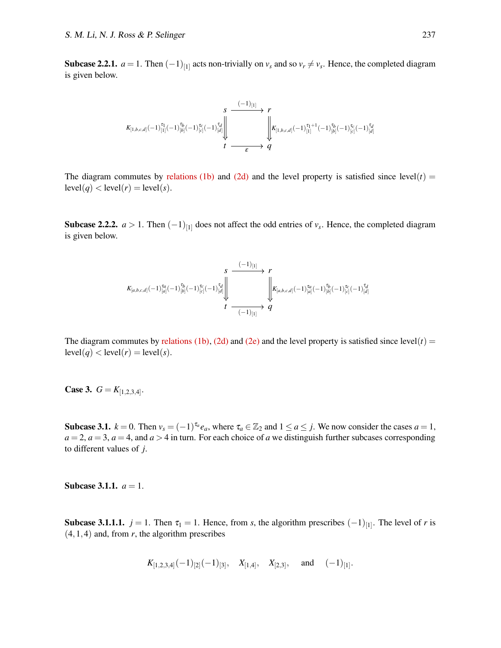**Subcase 2.2.1.**  $a = 1$ . Then  $(-1)_{[1]}$  acts non-trivially on  $v_s$  and so  $v_r \neq v_s$ . Hence, the completed diagram is given below.

$$
\begin{array}{ccc}\nK_{[1,b,c,d]}(-1)^{\tau_{1}}_{[1]}(-1)^{\tau_{b}}_{[b]}(-1)^{\tau_{c}}_{[c]}(-1)^{\tau_{d}}_{[d]}\n\end{array}\n\longrightarrow \n\begin{array}{ccc}\n\downarrow & & \\
\downarrow & & \\
\downarrow & & \downarrow \\
\downarrow & & \downarrow \\
\downarrow & & \downarrow \\
\downarrow & & \downarrow \\
\downarrow & & \downarrow \\
\downarrow & & \downarrow \\
\downarrow & & \downarrow \\
\downarrow & & \downarrow \\
\downarrow & & \downarrow \\
\downarrow & & \downarrow \\
\downarrow & & \downarrow \\
\downarrow & & \downarrow \\
\downarrow & & \downarrow \\
\downarrow & & \downarrow \\
\downarrow & & \downarrow \\
\downarrow & & \downarrow \\
\downarrow & & \downarrow \\
\downarrow & & \downarrow \\
\downarrow & & \downarrow \\
\downarrow & & \downarrow \\
\downarrow & & \downarrow \\
\downarrow & & \downarrow \\
\downarrow & & \downarrow \\
\downarrow & & \downarrow \\
\downarrow & & \downarrow \\
\downarrow & & \downarrow \\
\downarrow & & \downarrow \\
\downarrow & & \downarrow \\
\downarrow & & \downarrow \\
\downarrow & & \downarrow \\
\downarrow & & \downarrow \\
\downarrow & & \downarrow \\
\downarrow & & \downarrow \\
\downarrow & & \downarrow \\
\downarrow & & \downarrow \\
\downarrow & & \downarrow \\
\downarrow & & \downarrow \\
\downarrow & & \downarrow \\
\downarrow & & \downarrow \\
\downarrow & & \downarrow \\
\downarrow & & \downarrow \\
\downarrow & & \downarrow \\
\downarrow & & \downarrow \\
\downarrow & & \downarrow \\
\downarrow & & \downarrow \\
\downarrow & & \downarrow \\
\downarrow & & \downarrow \\
\downarrow & & \downarrow \\
\downarrow & & \downarrow \\
\downarrow & & \downarrow \\
\downarrow & & \downarrow \\
\downarrow & & \downarrow \\
\downarrow & & \downarrow \\
\downarrow & & \downarrow \\
\downarrow & & \downarrow \\
\downarrow & & \downarrow \\
\downarrow & & \downarrow \\
\downarrow & & \downarrow \\
\downarrow & & \downarrow \\
\downarrow & & \downarrow \\
\downarrow & & \downarrow \\
\downarrow & & \downarrow \\
\downarrow & & \downarrow \\
\downarrow & & \downarrow \\
\downarrow & & \downarrow \\
\downarrow & & \downarrow \\
\downarrow & & \downarrow \\
\downarrow & & \downarrow \\
\downarrow & & \downarrow \\
\downarrow & & \downarrow \\
\downarrow & & \downarrow \\
\downarrow & & \downarrow \\
\downarrow & & \downarrow \\
\downarrow & & \down
$$

The diagram commutes by [relations \(1b\)](#page-5-2) and [\(2d\)](#page-5-4) and the level property is satisfied since level( $t$ ) =  $level(q) < level(r) = level(s).$ 

**Subcase 2.2.2.**  $a > 1$ . Then  $(-1)_{[1]}$  does not affect the odd entries of  $v_s$ . Hence, the completed diagram is given below.

$$
K_{[a,b,c,d]}(-1)^{\tau_a}_{[a]}(-1)^{\tau_b}_{[b]}(-1)^{\tau_c}_{[c]}(-1)^{\tau_d}_{[d]}\Bigg\| \frac{s}{t} \frac{(-1)_{[1]}}{\left\|\left\|\left(K_{[a,b,c,d]}(-1)^{\tau_a}_{[a]}(-1)^{\tau_b}_{[a]}(-1)^{\tau_c}_{[b]}(-1)^{\tau_c}_{[c]}(-1)^{\tau_d}_{[d]}\right)\right\|} \frac{s}{t} \frac{t}{-(-1)_{[1]}}\Bigg\}
$$

The diagram commutes by [relations \(1b\),](#page-5-2) [\(2d\)](#page-5-4) and [\(2e\)](#page-5-5) and the level property is satisfied since  $level(t)$  =  $level(q) < level(r) = level(s).$ 

**Case 3.**  $G = K_{[1,2,3,4]}$ .

Subcase 3.1.  $k = 0$ . Then  $v_s = (-1)^{\tau_a} e_a$ , where  $\tau_a \in \mathbb{Z}_2$  and  $1 \le a \le j$ . We now consider the cases  $a = 1$ ,  $a = 2$ ,  $a = 3$ ,  $a = 4$ , and  $a > 4$  in turn. For each choice of *a* we distinguish further subcases corresponding to different values of *j*.

**Subcase 3.1.1.**  $a = 1$ .

**Subcase 3.1.1.1.**  $j = 1$ . Then  $\tau_1 = 1$ . Hence, from *s*, the algorithm prescribes  $(-1)_{[1]}$ . The level of *r* is  $(4,1,4)$  and, from *r*, the algorithm prescribes

$$
K_{[1,2,3,4]}(-1)_{[2]}(-1)_{[3]}, \quad X_{[1,4]}, \quad X_{[2,3]}, \quad \text{and} \quad (-1)_{[1]}.
$$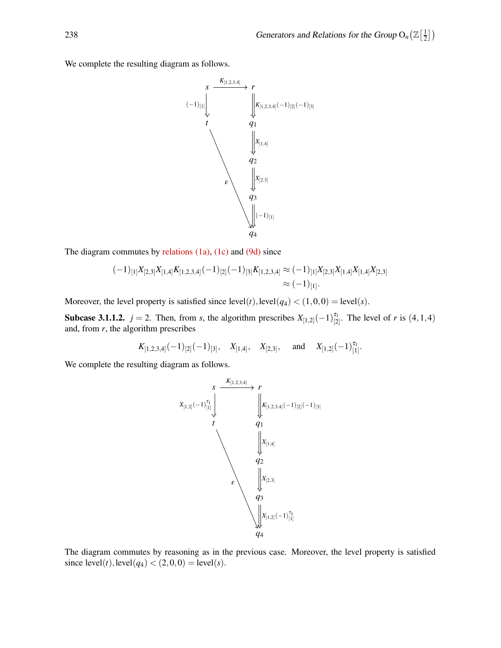We complete the resulting diagram as follows.



The diagram commutes by [relations \(1a\),](#page-5-1) [\(1c\)](#page-5-3) and [\(9d\)](#page-13-3) since

$$
(-1)_{[1]}X_{[2,3]}X_{[1,4]}K_{[1,2,3,4]}(-1)_{[2]}(-1)_{[3]}K_{[1,2,3,4]} \approx (-1)_{[1]}X_{[2,3]}X_{[1,4]}X_{[1,4]}X_{[2,3]}
$$

$$
\approx (-1)_{[1]}.
$$

Moreover, the level property is satisfied since  $level(t)$ ,  $level(q_4) < (1,0,0) = level(s)$ .

**Subcase 3.1.1.2.**  $j = 2$ . Then, from *s*, the algorithm prescribes  $X_{[1,2]}(-1)_{[2]}^{\tau_1}$ . The level of *r* is  $(4,1,4)$ and, from *r*, the algorithm prescribes

$$
K_{[1,2,3,4]}(-1)_{[2]}(-1)_{[3]}, \quad X_{[1,4]}, \quad X_{[2,3]}, \quad \text{and} \quad X_{[1,2]}(-1)_{[1]}^{\tau_1}.
$$

We complete the resulting diagram as follows.



The diagram commutes by reasoning as in the previous case. Moreover, the level property is satisfied since  $level(t)$ ,  $level(q_4) < (2, 0, 0) = level(s)$ .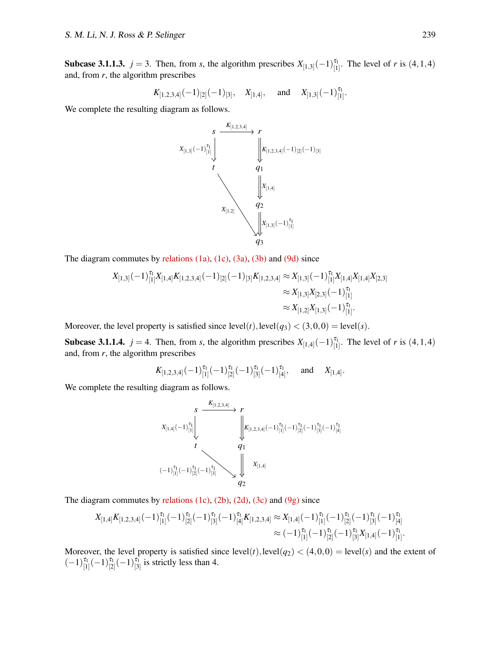**Subcase 3.1.1.3.**  $j = 3$ . Then, from *s*, the algorithm prescribes  $X_{[1,3]}(-1)^{\tau_1}_{[1]}$ . The level of *r* is  $(4,1,4)$ and, from *r*, the algorithm prescribes

$$
K_{[1,2,3,4]}(-1)_{[2]}(-1)_{[3]}, \quad X_{[1,4]}, \quad \text{and} \quad X_{[1,3]}(-1)_{[1]}^{\tau_1}.
$$

We complete the resulting diagram as follows.



The diagram commutes by [relations \(1a\),](#page-5-1) [\(1c\),](#page-5-3) [\(3a\),](#page-5-1) [\(3b\)](#page-5-2) and [\(9d\)](#page-13-3) since

$$
X_{[1,3]}(-1)^{\tau_1}_{[1]}X_{[1,4]}K_{[1,2,3,4]}(-1)_{[2]}(-1)_{[3]}K_{[1,2,3,4]} \approx X_{[1,3]}(-1)^{\tau_1}_{[1]}X_{[1,4]}X_{[1,4]}X_{[2,3]}\approx X_{[1,3]}X_{[2,3]}(-1)^{\tau_1}_{[1]}\approx X_{[1,2]}X_{[1,3]}(-1)^{\tau_1}_{[1]}.
$$

Moreover, the level property is satisfied since  $level(t)$ ,  $level(q_3) < (3,0,0) = level(s)$ .

**Subcase 3.1.1.4.**  $j = 4$ . Then, from *s*, the algorithm prescribes  $X_{[1,4]}(-1)^{\tau_1}_{[1]}$ . The level of *r* is  $(4,1,4)$ and, from *r*, the algorithm prescribes

$$
K_{[1,2,3,4]}(-1)^{\tau_1}_{[1]}(-1)^{\tau_1}_{[2]}(-1)^{\tau_1}_{[3]}(-1)^{\tau_1}_{[4]}, \text{ and } X_{[1,4]}.
$$

We complete the resulting diagram as follows.

*s r t q*<sup>1</sup> *q*2 *X*[1,4] (−1) τ1 [1] *K*[1,2,3,4] *K*[1,2,3,4] (−1) τ1 [1] (−1) τ1 [2] (−1) τ1 [3] (−1) τ1 [4] (−1) τ1 [1] (−1) τ1 [2] (−1) τ1 [3] *X*[1,4]

The diagram commutes by relations  $(1c)$ ,  $(2b)$ ,  $(2d)$ ,  $(3c)$  and  $(9g)$  since

$$
X_{[1,4]}K_{[1,2,3,4]}(-1)^{\tau_1}_{[1]}(-1)^{\tau_1}_{[2]}(-1)^{\tau_1}_{[3]}(-1)^{\tau_1}_{[4]}K_{[1,2,3,4]}\approx X_{[1,4]}(-1)^{\tau_1}_{[1]}(-1)^{\tau_1}_{[2]}(-1)^{\tau_1}_{[3]}(-1)^{\tau_1}_{[4]}\approx(-1)^{\tau_1}_{[1]}(-1)^{\tau_1}_{[2]}(-1)^{\tau_1}_{[3]}X_{[1,4]}(-1)^{\tau_1}_{[1]}.
$$

Moreover, the level property is satisfied since  $level(t)$ ,  $level(q_2) < (4,0,0) = level(s)$  and the extent of  $(-1)^{\tau_1}_{[1]}(-1)^{\tau_1}_{[2]}(-1)^{\tau_1}_{[3]}$  is strictly less than 4.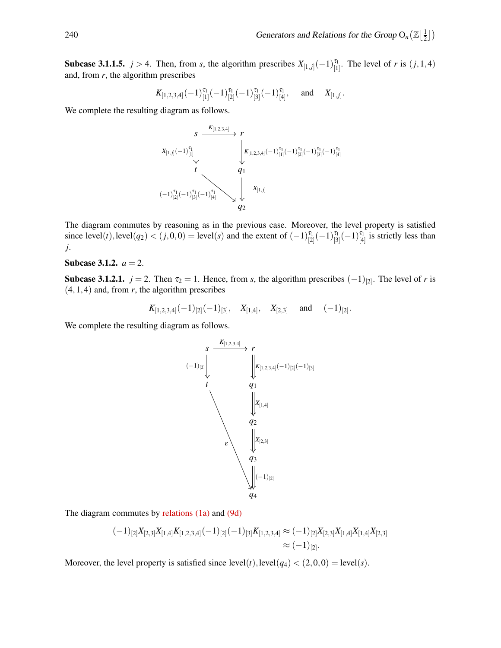.

**Subcase 3.1.1.5.**  $j > 4$ . Then, from *s*, the algorithm prescribes  $X_{[1,j]}(-1)^{\tau_1}_{[1]}$ . The level of *r* is  $(j,1,4)$ and, from *r*, the algorithm prescribes

$$
K_{[1,2,3,4]}(-1)^{\tau_1}_{[1]}(-1)^{\tau_1}_{[2]}(-1)^{\tau_1}_{[3]}(-1)^{\tau_1}_{[4]}, \text{ and } X_{[1,j]}
$$

We complete the resulting diagram as follows.

$$
\begin{array}{ccc}\n & s & \xrightarrow{K_{[1,2,3,4]}} & r \\
 & \downarrow & \searrow & \\
X_{[1,j]}(-1)^{\tau_1}_{[1]}\n & & \downarrow & \\
 & t & & q_1 \\
 & & & q_1\n\end{array}
$$
\n
$$
(-1)^{\tau_1}_{[2]}(-1)^{\tau_1}_{[3]}(-1)^{\tau_1}_{[4]}\n & & q_2\n\end{array}
$$
\n
$$
K_{[1,j]}
$$
\n
$$
X_{[1,j]}
$$

The diagram commutes by reasoning as in the previous case. Moreover, the level property is satisfied since  $level(t)$ ,  $level(q_2) < (j, 0, 0) = level(s)$  and the extent of  $(-1)^{\tau_1}_{[2]}(-1)^{\tau_1}_{[3]}(-1)^{\tau_1}_{[4]}$  is strictly less than *j*.

## Subcase 3.1.2.  $a = 2$ .

**Subcase 3.1.2.1.**  $j = 2$ . Then  $\tau_2 = 1$ . Hence, from *s*, the algorithm prescribes  $(-1)_{[2]}$ . The level of *r* is  $(4,1,4)$  and, from *r*, the algorithm prescribes

$$
K_{[1,2,3,4]}(-1)_{[2]}(-1)_{[3]}, \quad X_{[1,4]}, \quad X_{[2,3]} \quad \text{and} \quad (-1)_{[2]}.
$$

We complete the resulting diagram as follows.



The diagram commutes by [relations \(1a\)](#page-5-1) and [\(9d\)](#page-13-3)

$$
(-1)_{[2]}X_{[2,3]}X_{[1,4]}K_{[1,2,3,4]}(-1)_{[2]}(-1)_{[3]}K_{[1,2,3,4]} \approx (-1)_{[2]}X_{[2,3]}X_{[1,4]}X_{[1,4]}X_{[2,3]} \approx (-1)_{[2]}.
$$

Moreover, the level property is satisfied since  $level(t)$ ,  $level(q_4) < (2,0,0) = level(s)$ .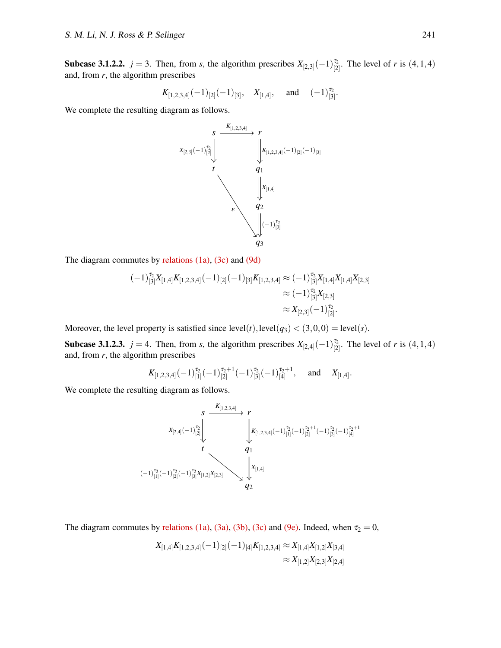**Subcase 3.1.2.2.**  $j = 3$ . Then, from *s*, the algorithm prescribes  $X_{[2,3]}(-1)_{[2]}^{\tau_2}$ . The level of *r* is  $(4,1,4)$ and, from *r*, the algorithm prescribes

$$
K_{[1,2,3,4]}(-1)_{[2]}(-1)_{[3]}, \quad X_{[1,4]}, \quad \text{and} \quad (-1)_{[3]}^{\tau_2}.
$$

We complete the resulting diagram as follows.



The diagram commutes by [relations \(1a\),](#page-5-1) [\(3c\)](#page-5-3) and [\(9d\)](#page-13-3)

$$
\begin{aligned} (-1)^{\tau_2}_{[3]} X_{[1,4]} K_{[1,2,3,4]}(-1)_{[2]}(-1)_{[3]} K_{[1,2,3,4]} &\approx (-1)^{\tau_2}_{[3]} X_{[1,4]} X_{[1,4]} X_{[2,3]} \\ &\approx (-1)^{\tau_2}_{[3]} X_{[2,3]} \\ &\approx X_{[2,3]}(-1)^{\tau_2}_{[2]}. \end{aligned}
$$

Moreover, the level property is satisfied since  $level(t)$ ,  $level(q_3) < (3,0,0) = level(s)$ .

**Subcase 3.1.2.3.**  $j = 4$ . Then, from *s*, the algorithm prescribes  $X_{[2,4]}(-1)_{[2]}^{\tau_2}$ . The level of *r* is  $(4,1,4)$ and, from *r*, the algorithm prescribes

$$
K_{[1,2,3,4]}(-1)^{\tau_2}_{[1]}(-1)^{\tau_2+1}_{[2]}(-1)^{\tau_2}_{[3]}(-1)^{\tau_2+1}_{[4]}, \text{ and } X_{[1,4]}.
$$

We complete the resulting diagram as follows.

$$
\begin{array}{ccc}\n & s & \xrightarrow{K_{[1,2,3,4]}} & r \\
 & X_{[2,4]}(-1)^{\frac{r_{2}}{2}} \left\| & & \xrightarrow{K_{[1,2,3,4]}(-1)^{\frac{r_{2}}{2}}(-1)^{\frac{r_{2}+1}{2}}(-1)^{\frac{r_{2}}{2}}(-1)^{\frac{r_{2}+1}{2}}\n\end{array}
$$
\n
$$
\begin{array}{ccc}\n t & & q_{1} \\
 & & q_{2}\n\end{array}
$$
\n
$$
\begin{array}{ccc}\n & & x_{[1,4]} \\
 & & & x_{[1,4]} \\
 & & q_{2}\n\end{array}
$$

The diagram commutes by [relations \(1a\),](#page-5-1) [\(3a\),](#page-5-1) [\(3b\),](#page-5-2) [\(3c\)](#page-5-3) and [\(9e\).](#page-13-4) Indeed, when  $\tau_2 = 0$ ,

$$
X_{[1,4]}K_{[1,2,3,4]}(-1)_{[2]}(-1)_{[4]}K_{[1,2,3,4]} \approx X_{[1,4]}X_{[1,2]}X_{[3,4]}\\ \approx X_{[1,2]}X_{[2,3]}X_{[2,4]}
$$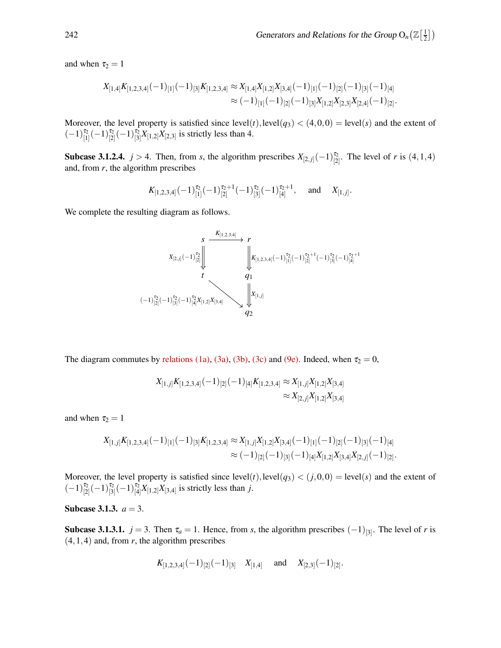and when  $\tau_2 = 1$ 

$$
X_{[1,4]}K_{[1,2,3,4]}(-1)_{[1]}(-1)_{[3]}K_{[1,2,3,4]} \approx X_{[1,4]}X_{[1,2]}X_{[3,4]}(-1)_{[1]}(-1)_{[2]}(-1)_{[3]}(-1)_{[4]}\approx (-1)_{[1]}(-1)_{[2]}(-1)_{[3]}X_{[1,2]}X_{[2,3]}X_{[2,4]}(-1)_{[2]}.
$$

Moreover, the level property is satisfied since  $level(t)$ ,  $level(q_3) < (4,0,0) = level(s)$  and the extent of  $(-1)^{\tau_2}_{[1]}(-1)^{\tau_2}_{[2]}(-1)^{\tau_2}_{[3]}X_{[1,2]}X_{[2,3]}$  is strictly less than 4.

**Subcase 3.1.2.4.**  $j > 4$ . Then, from *s*, the algorithm prescribes  $X_{[2,j]}(-1)_{[2]}^{\tau_2}$ . The level of *r* is  $(4,1,4)$ and, from *r*, the algorithm prescribes

$$
K_{[1,2,3,4]}(-1)^{\tau_2}_{[1]}(-1)^{\tau_2+1}_{[2]}(-1)^{\tau_2}_{[3]}(-1)^{\tau_2+1}_{[4]}, \text{ and } X_{[1,j]}.
$$

We complete the resulting diagram as follows.

$$
\begin{array}{ccc}\n & s & \xrightarrow{K_{[1,2,3,4]}} & r \\
 & X_{[2,j]}(-1)^{\tau_{2}}_{[2]} \downarrow & & \downarrow \\
 & & & \downarrow \\
 & & & q_{1} \\
 & & & q_{2}\n\end{array}
$$
\n
$$
\begin{array}{ccc}\n & & \downarrow & \\
 & & \downarrow & \\
 & & & \downarrow & \\
 & & & q_{1} \\
 & & & q_{2}\n\end{array}
$$
\n
$$
\begin{array}{ccc}\n & & \downarrow & \\
 & & \downarrow & \\
 & & & \downarrow & \\
 & & & q_{2}\n\end{array}
$$

The diagram commutes by [relations \(1a\),](#page-5-1) [\(3a\),](#page-5-1) [\(3b\),](#page-5-2) [\(3c\)](#page-5-3) and [\(9e\).](#page-13-4) Indeed, when  $\tau_2 = 0$ ,

$$
X_{[1,j]}K_{[1,2,3,4]}(-1)_{[2]}(-1)_{[4]}K_{[1,2,3,4]} \approx X_{[1,j]}X_{[1,2]}X_{[3,4]} \approx X_{[2,j]}X_{[1,2]}X_{[3,4]}
$$

and when  $\tau_2 = 1$ 

$$
X_{[1,j]}K_{[1,2,3,4]}(-1)_{[1]}(-1)_{[3]}K_{[1,2,3,4]} \approx X_{[1,j]}X_{[1,2]}X_{[3,4]}(-1)_{[1]}(-1)_{[2]}(-1)_{[3]}(-1)_{[4]}\approx (-1)_{[2]}(-1)_{[3]}(-1)_{[4]}X_{[1,2]}X_{[3,4]}X_{[2,j]}(-1)_{[2]}.
$$

Moreover, the level property is satisfied since  $level(t)$ ,  $level(q_3) < (j, 0, 0) = level(s)$  and the extent of  $(-1)^{\tau_2}_{[2]}(-1)^{\tau_2}_{[3]}(-1)^{\tau_2}_{[4]}X_{[1,2]}X_{[3,4]}$  is strictly less than *j*.

### **Subcase 3.1.3.**  $a = 3$ .

**Subcase 3.1.3.1.**  $j = 3$ . Then  $\tau_a = 1$ . Hence, from *s*, the algorithm prescribes  $(-1)_{[3]}$ . The level of *r* is  $(4,1,4)$  and, from *r*, the algorithm prescribes

$$
K_{[1,2,3,4]}(-1)_{[2]}(-1)_{[3]}
$$
  $X_{[1,4]}$  and  $X_{[2,3]}(-1)_{[2]}.$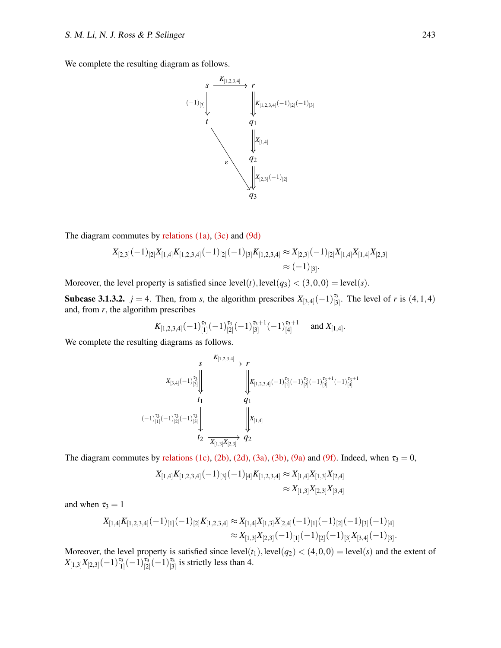We complete the resulting diagram as follows.



The diagram commutes by [relations \(1a\),](#page-5-1) [\(3c\)](#page-5-3) and [\(9d\)](#page-13-3)

$$
X_{[2,3]}(-1)_{[2]}X_{[1,4]}K_{[1,2,3,4]}(-1)_{[2]}(-1)_{[3]}K_{[1,2,3,4]} \approx X_{[2,3]}(-1)_{[2]}X_{[1,4]}X_{[1,4]}X_{[2,3]} \approx (-1)_{[3]}.
$$

Moreover, the level property is satisfied since  $level(t)$ ,  $level(q_3) < (3,0,0) = level(s)$ .

**Subcase 3.1.3.2.**  $j = 4$ . Then, from *s*, the algorithm prescribes  $X_{[3,4]}(-1)^{\tau_3}_{[3]}$ . The level of *r* is  $(4,1,4)$ and, from *r*, the algorithm prescribes

$$
K_{[1,2,3,4]}(-1)^{\tau_3}_{[1]}(-1)^{\tau_3}_{[2]}(-1)^{\tau_3+1}_{[3]}(-1)^{\tau_3+1}_{[4]}
$$
 and  $X_{[1,4]}.$ 

We complete the resulting diagrams as follows.

$$
\begin{array}{ccc}\n & s & \xrightarrow{K_{[1,2,3,4]}} & r \\
 & x_{[3,4]}(-1)^{\frac{\tau_{3}}{2}}_{[3]} \n\end{array}\n\begin{array}{ccc}\n & & & \\
 & & & \\
 & & & \\
 & & & \\
 & & & & \\
 t_{1} & & & q_{1} \\
 & & & & q_{1} \\
 & & & & q_{1} \\
 & & & & q_{1} \\
 & & & & & q_{1} \\
 & & & & & q_{1} \\
 & & & & & & q_{1} \\
 & & & & & & q_{1} \\
 & & & & & & & q_{2} \\
 & & & & & & & & q_{2}\n\end{array}
$$

The diagram commutes by [relations \(1c\),](#page-5-3) [\(2b\),](#page-5-2) [\(2d\),](#page-5-4) [\(3a\),](#page-5-1) [\(3b\),](#page-5-2) [\(9a\)](#page-13-1) and [\(9f\).](#page-13-5) Indeed, when  $\tau_3 = 0$ ,

$$
X_{[1,4]}K_{[1,2,3,4]}(-1)_{[3]}(-1)_{[4]}K_{[1,2,3,4]} \approx X_{[1,4]}X_{[1,3]}X_{[2,4]}\\ \approx X_{[1,3]}X_{[2,3]}X_{[3,4]}
$$

and when  $\tau_3 = 1$ 

$$
X_{[1,4]}K_{[1,2,3,4]}(-1)_{[1]}(-1)_{[2]}K_{[1,2,3,4]}\approx X_{[1,4]}X_{[1,3]}X_{[2,4]}(-1)_{[1]}(-1)_{[2]}(-1)_{[3]}(-1)_{[4]}\\ \approx X_{[1,3]}X_{[2,3]}(-1)_{[1]}(-1)_{[2]}(-1)_{[3]}X_{[3,4]}(-1)_{[3]}.
$$

Moreover, the level property is satisfied since  $level(t_1)$ ,  $level(q_2) < (4,0,0) = level(s)$  and the extent of  $X_{[1,3]}X_{[2,3]}(-1)^{\tau_3}_{[1]}(-1)^{\tau_3}_{[2]}(-1)^{\tau_3}_{[3]}$  is strictly less than 4.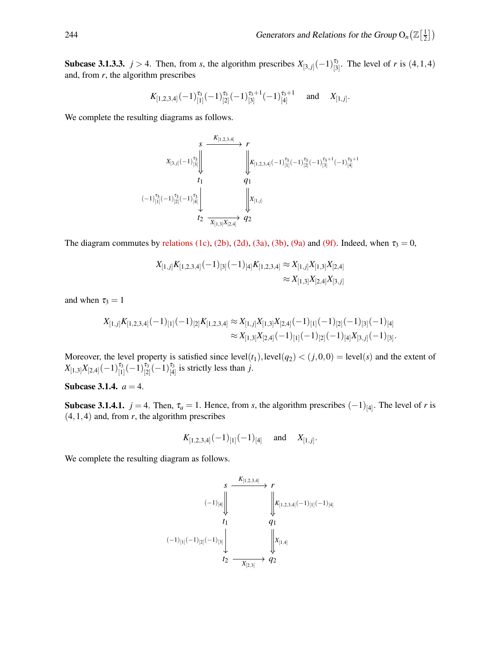**Subcase 3.1.3.3.**  $j > 4$ . Then, from *s*, the algorithm prescribes  $X_{[3,j]}(-1)^{\tau_3}_{[3]}$ . The level of *r* is  $(4,1,4)$ and, from *r*, the algorithm prescribes

$$
K_{[1,2,3,4]}(-1)^{\tau_3}_{[1]}(-1)^{\tau_3}_{[2]}(-1)^{\tau_3+1}_{[3]}(-1)^{\tau_3+1}_{[4]}
$$
 and  $X_{[1,j]}$ .

We complete the resulting diagrams as follows.

$$
\begin{array}{ccc}\n & s & \xrightarrow{K_{[1,2,3,4]}} & r \\
 & X_{[3,j]}(-1)^{\tau_{3}}_{[3]}\n & \xrightarrow{K_{[1,2,3,4]}} (-1)^{\tau_{3}}_{[1]}(-1)^{\tau_{3}+1}_{[2]}(-1)^{\tau_{3}+1}_{[3]}(-1)^{\tau_{3}+1}_{[4]} \\
 & t_{1} & q_{1} \\
 & t_{1} & q_{1} \\
 & t_{2} & \xrightarrow{K_{[1,3]}X_{[2,4]}} & q_{2}\n\end{array}
$$

The diagram commutes by [relations \(1c\),](#page-5-3) [\(2b\),](#page-5-2) [\(2d\),](#page-5-4) [\(3a\),](#page-5-1) [\(3b\),](#page-5-2) [\(9a\)](#page-13-1) and [\(9f\).](#page-13-5) Indeed, when  $\tau_3 = 0$ ,

$$
X_{[1,j]}K_{[1,2,3,4]}(-1)_{[3]}(-1)_{[4]}K_{[1,2,3,4]} \approx X_{[1,j]}X_{[1,3]}X_{[2,4]}
$$

$$
\approx X_{[1,3]}X_{[2,4]}X_{[3,j]}
$$

and when  $\tau_3 = 1$ 

$$
X_{[1,j]}K_{[1,2,3,4]}(-1)_{[1]}(-1)_{[2]}K_{[1,2,3,4]}\approx X_{[1,j]}X_{[1,3]}X_{[2,4]}(-1)_{[1]}(-1)_{[2]}(-1)_{[3]}(-1)_{[4]}\\ \approx X_{[1,3]}X_{[2,4]}(-1)_{[1]}(-1)_{[2]}(-1)_{[4]}X_{[3,j]}(-1)_{[3]}.
$$

Moreover, the level property is satisfied since  $level(t_1)$ ,  $level(q_2) < (j, 0, 0) = level(s)$  and the extent of  $X_{[1,3]}X_{[2,4]}(-1)^{\tau_3}_{[1]}(-1)^{\tau_3}_{[2]}(-1)^{\tau_3}_{[4]}$  is strictly less than *j*.

### Subcase 3.1.4.  $a = 4$ .

**Subcase 3.1.4.1.**  $j = 4$ . Then,  $\tau_a = 1$ . Hence, from *s*, the algorithm prescribes  $(-1)_{[4]}$ . The level of *r* is  $(4,1,4)$  and, from *r*, the algorithm prescribes

$$
K_{[1,2,3,4]}(-1)_{[1]}(-1)_{[4]}
$$
 and  $X_{[1,j]}.$ 

We complete the resulting diagram as follows.

$$
\begin{array}{ccc}\n & s & \xrightarrow{K_{[1,2,3,4]}} & r \\
 & (-1)_{[4]} & & \downarrow & \\
 & t_1 & & q_1 & \\
 & & t_2 & & \downarrow & \\
 & & & t_2 & & \downarrow \\
 & & & & t_2 & & \downarrow \\
 & & & & & t_2 & & \downarrow \\
 & & & & & & t_2 & & \end{array}
$$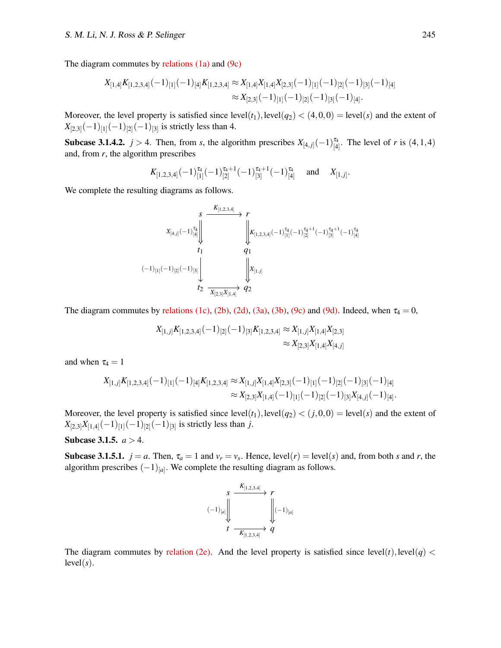The diagram commutes by [relations \(1a\)](#page-5-1) and [\(9c\)](#page-13-0)

$$
X_{[1,4]}K_{[1,2,3,4]}(-1)_{[1]}(-1)_{[4]}K_{[1,2,3,4]} \approx X_{[1,4]}X_{[1,4]}X_{[2,3]}(-1)_{[1]}(-1)_{[2]}(-1)_{[3]}(-1)_{[4]}\approx X_{[2,3]}(-1)_{[1]}(-1)_{[2]}(-1)_{[3]}(-1)_{[4]}.
$$

Moreover, the level property is satisfied since  $level(t_1)$ ,  $level(q_2) < (4,0,0) = level(s)$  and the extent of  $X_{[2,3]}(-1)_{[1]}(-1)_{[2]}(-1)_{[3]}$  is strictly less than 4.

**Subcase 3.1.4.2.**  $j > 4$ . Then, from *s*, the algorithm prescribes  $X_{[4,j]}(-1)^{\tau_4}_{[4]}$ . The level of *r* is  $(4,1,4)$ and, from *r*, the algorithm prescribes

$$
K_{[1,2,3,4]}(-1)^{\tau_4}_{[1]}(-1)^{\tau_4+1}_{[2]}(-1)^{\tau_4+1}_{[3]}(-1)^{\tau_4}_{[4]}
$$
 and  $X_{[1,j]}.$ 

We complete the resulting diagrams as follows.

*s r t*<sup>1</sup> *q*<sup>1</sup> *t*<sup>2</sup> *q*<sup>2</sup> *X*[4, *<sup>j</sup>*] (−1) τ4 [4] *K*[1,2,3,4] *K*[1,2,3,4] (−1) τ4 [1] (−1) <sup>τ</sup>4+1 [2] (−1) <sup>τ</sup>4+1 [3] (−1) τ4 [4] (−1)[1] (−1)[2] (−1)[3] *X*[1, *<sup>j</sup>*] *X*[2,3]*X*[1,4]

The diagram commutes by [relations \(1c\),](#page-5-3) [\(2b\),](#page-5-2) [\(2d\),](#page-5-4) [\(3a\),](#page-5-1) [\(3b\),](#page-5-2) [\(9c\)](#page-13-0) and [\(9d\).](#page-13-3) Indeed, when  $\tau_4 = 0$ ,

$$
X_{[1,j]}K_{[1,2,3,4]}(-1)_{[2]}(-1)_{[3]}K_{[1,2,3,4]} \approx X_{[1,j]}X_{[1,4]}X_{[2,3]}\\ \approx X_{[2,3]}X_{[1,4]}X_{[4,j]}
$$

and when  $\tau_4 = 1$ 

$$
X_{[1,j]}K_{[1,2,3,4]}(-1)_{[1]}(-1)_{[4]}K_{[1,2,3,4]}\approx X_{[1,j]}X_{[1,4]}X_{[2,3]}(-1)_{[1]}(-1)_{[2]}(-1)_{[3]}(-1)_{[4]}\approx X_{[2,3]}X_{[1,4]}(-1)_{[1]}(-1)_{[2]}(-1)_{[3]}X_{[4,j]}(-1)_{[4]}.
$$

Moreover, the level property is satisfied since  $level(t_1)$ ,  $level(q_2) < (j, 0, 0) = level(s)$  and the extent of  $X_{[2,3]}X_{[1,4]}(-1)_{[1]}(-1)_{[2]}(-1)_{[3]}$  is strictly less than *j*.

#### **Subcase 3.1.5.**  $a > 4$ .

**Subcase 3.1.5.1.**  $j = a$ . Then,  $\tau_a = 1$  and  $v_r = v_s$ . Hence, level(*r*) = level(*s*) and, from both *s* and *r*, the algorithm prescribes  $(-1)_{[a]}$ . We complete the resulting diagram as follows.

$$
\begin{array}{ccc}\n & s \xrightarrow{\quad K_{[1,2,3,4]}} & r \\
 & \downarrow \left( -1 \right)_{[a]} & \downarrow \left( -1 \right)_{[a]} \\
 & t \xrightarrow{\quad K_{[1,2,3,4]}} & q\n\end{array}
$$

The diagram commutes by [relation \(2e\).](#page-5-5) And the level property is satisfied since  $level(t)$ ,  $level(q)$  <  $level(s)$ .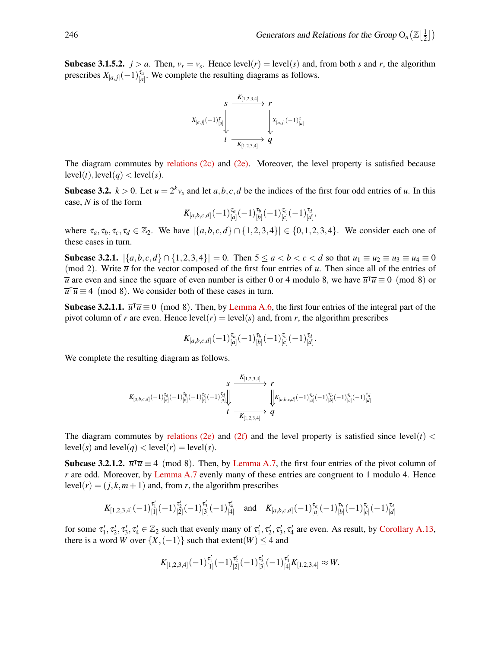**Subcase 3.1.5.2.**  $j > a$ . Then,  $v_r = v_s$ . Hence level(*r*) = level(*s*) and, from both *s* and *r*, the algorithm prescribes  $X_{[a,j]}(-1)^{\tau_a}_{[a]}$ . We complete the resulting diagrams as follows.



The diagram commutes by [relations \(2c\)](#page-5-3) and [\(2e\).](#page-5-5) Moreover, the level property is satisfied because  $level(t)$ ,  $level(q) < level(s)$ .

**Subcase 3.2.**  $k > 0$ . Let  $u = 2^k v_s$  and let  $a, b, c, d$  be the indices of the first four odd entries of *u*. In this case, *N* is of the form

$$
K_{[a,b,c,d]}(-1)^{\tau_a}_{[a]}(-1)^{\tau_b}_{[b]}(-1)^{\tau_c}_{[c]}(-1)^{\tau_d}_{[d]},
$$

where  $\tau_a, \tau_b, \tau_c, \tau_d \in \mathbb{Z}_2$ . We have  $|\{a, b, c, d\} \cap \{1, 2, 3, 4\}| \in \{0, 1, 2, 3, 4\}$ . We consider each one of these cases in turn.

Subcase 3.2.1.  $\{a, b, c, d\} ∩ \{1, 2, 3, 4\} = 0$ . Then  $5 ≤ a < b < c < d$  so that  $u_1 ≡ u_2 ≡ u_3 ≡ u_4 ≡ 0$ (mod 2). Write  $\overline{u}$  for the vector composed of the first four entries of *u*. Then since all of the entries of *u* are even and since the square of even number is either 0 or 4 modulo 8, we have  $\overline{u}^T \overline{u} \equiv 0 \pmod{8}$  or  $\overline{u}^T \overline{u} \equiv 4 \pmod{8}$ . We consider both of these cases in turn.

Subcase 3.2.1.1.  $\overline{u}^{\dagger} \overline{u} \equiv 0 \pmod{8}$ . Then, by [Lemma A.6,](#page-11-0) the first four entries of the integral part of the pivot column of *r* are even. Hence  $level(r) = level(s)$  and, from *r*, the algorithm prescribes

$$
K_{[a,b,c,d]}(-1)^{\tau_a}_{[a]}(-1)^{\tau_b}_{[b]}(-1)^{\tau_c}_{[c]}(-1)^{\tau_d}_{[d]}.
$$

We complete the resulting diagram as follows.

$$
\begin{array}{ccc}&&S\\{K_{[a,b,c,d]}(-1)^{\tau_a}_{[a]}(-1)^{\tau_b}_{[b]}(-1)^{\tau_c}_{[c]}(-1)^{\tau_d}_{[d]}}\end{array}\begin{array}{c}\begin{array}{c}K_{[1,2,3,4]}\end{array}\\\begin{array}{c}\begin{array}{c}\end{array}\\ \end{array}\end{array}\begin{array}{c}\begin{array}{c}\end{array}\\ \end{array}\end{array}\begin{array}{c}\end{array}\begin{array}{c}\end{array}\\ \begin{array}{c}\end{array}\end{array}\begin{array}{c}\end{array}\begin{array}{c}\end{array}\begin{array}{c}\end{array}\begin{array}{c}\end{array}\begin{array}{c}\end{array}\begin{array}{c}\end{array}\begin{array}{c}\end{array}\begin{array}{c}\end{array}\begin{array}{c}\end{array}\begin{array}{c}\end{array}\begin{array}{c}\end{array}\begin{array}{c}\end{array}\begin{array}{c}\end{array}\begin{array}{c}\end{array}\begin{array}{c}\end{array}\begin{array}{c}\end{array}\begin{array}{c}\end{array}\begin{array}{c}\end{array}\begin{array}{c}\end{array}\begin{array}{c}\end{array}_{\begin{array}{c}\begin{array}{c}\end{array}}\\ \end{array}\begin{array}{c}\end{array}\begin{array}{c}\end{array}\begin{array}{c}\end{array}\begin{array}{c}\end{array}\begin{array}{c}\end{array}_{\begin{array}{c}\begin{array}{c}\end{array}}\end{array}\begin{array}{c}\end{array}\begin{array}{c}\end{array}\begin{array}{c}\end{array}\begin{array}{c}\end{array}\begin{array}{c}\end{array}\begin{array}{c}\end{array}\begin{array}{c}\end{array}\begin{array}{c}\end{array}\begin{array}{c}\end{array}\begin{array}{\begin{array}{c}\end{array}}\\ \end{array}\begin{array}{c}\end{array}\begin{array}{\begin{array}{c}\end{array}}\begin{array}{\begin{array}{c}\end{array}}\begin{array}{\begin{array}{c}\end{array}}\begin{array}{\begin{array}{c}\end{array}}\end{array}\begin{array}{\begin{array}{c}\end{array}}}} \end{array}\begin{array}{\begin{array}{c}\end{array}}\begin{array}{\begin{array}{c}\end{array}}}} \begin{array}{\begin{array}{c}\end{array}}\begin{array}{\begin{array}{c}\end{array}}\begin{array}{\begin{array}{c}\
$$

The diagram commutes by [relations \(2e\)](#page-5-5) and [\(2f\)](#page-5-6) and the level property is satisfied since level( $t$ ) < level(s) and level(q) < level(r) = level(s).

Subcase 3.2.1.2.  $\overline{u}^T \overline{u} \equiv 4 \pmod{8}$ . Then, by [Lemma A.7,](#page-11-4) the first four entries of the pivot column of *r* are odd. Moreover, by [Lemma A.7](#page-11-4) evenly many of these entries are congruent to 1 modulo 4. Hence level( $r$ ) = ( $j$ , $k$ , $m$  + 1) and, from  $r$ , the algorithm prescribes

$$
K_{[1,2,3,4]}(-1)^{\tau_1'}_{[1]}(-1)^{\tau_2'}_{[2]}(-1)^{\tau_3'}_{[3]}(-1)^{\tau_4'}_{[4]} \text{ and } K_{[a,b,c,d]}(-1)^{\tau_a}_{[a]}(-1)^{\tau_b}_{[b]}(-1)^{\tau_c}_{[c]}(-1)^{\tau_d}_{[d]}
$$

for some  $\tau'_1, \tau'_2, \tau'_3, \tau'_4 \in \mathbb{Z}_2$  such that evenly many of  $\tau'_1, \tau'_2, \tau'_3, \tau'_4$  are even. As result, by [Corollary A.13,](#page-14-0) there is a word *W* over  $\{X, (-1)\}$  such that extent(*W*)  $\leq 4$  and

$$
K_{[1,2,3,4]}(-1)^{\tau'_1}_{[1]}(-1)^{\tau'_2}_{[2]}(-1)^{\tau'_3}_{[3]}(-1)^{\tau'_4}_{[4]}K_{[1,2,3,4]} \approx W.
$$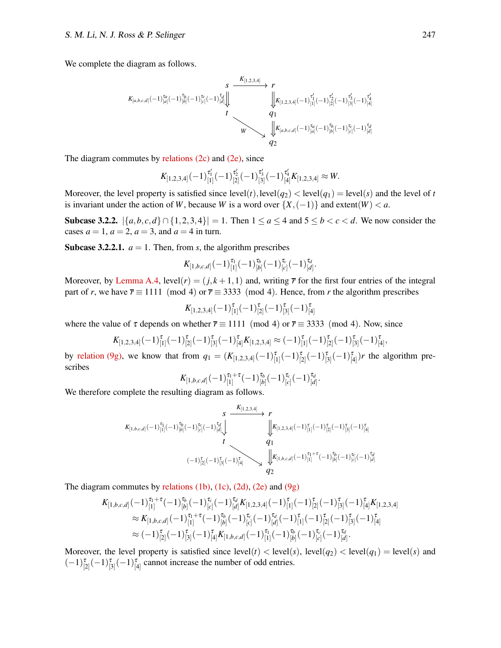We complete the diagram as follows.

$$
\begin{array}{ccccc}&&S&\xrightarrow{K_{[1,2,3,4]}}&r\\ &\swarrow&&\searrow&\\ K_{[a,b,c,d]}(-1)^{\tau_d}_{[a]}(-1)^{\tau_b}_{[b]}(-1)^{\tau_c}_{[c]}(-1)^{\tau_d}_{[d]}\downarrow&&\downarrow\\ &&t&&\downarrow\\ &&&&\downarrow\\ &&&&\downarrow\\ &&&&\downarrow\\ &&&&\downarrow\\ &&&&\downarrow\\ &&&&\downarrow\\ &&&&\downarrow\\ &&&&\downarrow\\ &&&&\downarrow\\ &&&&\downarrow\\ &&&&\downarrow\\ &&&&\downarrow\\ &&&&\downarrow\\ &&&&\downarrow\\ &&&&\downarrow\\ &&&&\downarrow\\ &&&&\downarrow\\ &&&&\downarrow\\ &&&&\downarrow\\ &&&&\downarrow\\ &&&&\downarrow\\ &&&&\downarrow\\ &&&&&&\downarrow\\ &&&&&&\downarrow\\ &&&&&&\downarrow\\ &&&&&&\downarrow\\ &&&&&&\downarrow\\ &&&&&&\downarrow\\ &&&&&&\downarrow\\ &&&&&&\downarrow\\ &&&&&&\downarrow\\ &&&&&&\downarrow\\ &&&&&&\downarrow\\ &&&&&&\downarrow\\ &&&&&&\downarrow\\ &&&&&&\downarrow\\ &&&&&&\downarrow\\ &&&&&&\downarrow\\ &&&&&&\downarrow\\ &&&&&&\downarrow\\ &&&&&&\downarrow\\ &&&&&&\downarrow\\ &&&&&&\downarrow\\ &&&&&&\downarrow\\ &&&&&&\downarrow\\ &&&&&&\downarrow\\ &&&&&&\downarrow\\ &&&&&&\downarrow\\ &&&&&&\downarrow\\ &&&&&&\downarrow\\ &&&&&&\downarrow\\ &&&&&&\downarrow\\ &&&&&&\downarrow\\ &&&&&&\downarrow\\ &&&&&&\downarrow\\ &&&&&&\downarrow\\ &&&&&&\downarrow\\ &&&&&&\downarrow\\ &&&&&&\downarrow\\ &&&&&&\downarrow\\ &&&&&&\downarrow\\ &&&&&&\downarrow\\ &&&&&&\downarrow\\ &&&&&&\downarrow\\ &&&&&&\downarrow\\ &&&&&&\downarrow\\ &&&&&&\downarrow\\ &&&&&&\downarrow\\ &&&&&&\downarrow\\ &&&&&&&&\downarrow\\ &&&&&&&&\downarrow\\ &&&&&&&&\downarrow\\ &&&&&&&&\downarrow\\ &&&&&&&&\downarrow\\ &&&&&&&&\downarrow\\ &&&&&&&&\downarrow\\ &&&&&&&&\downarrow\\ &&&&&&&&\downarrow\\ &&&&&&&&\downarrow\\ &&&&&&&&\downarrow\\ &&&&&&&&\downarrow\\ &&&&&&&&\downarrow\\ &&&&&&&&\downarrow\\ &&&&&&&&\downarrow\\ &&&&&&&&\downarrow\\ &&&&&&&&\downarrow\\ &&&&&&&&\downarrow\\ &&&&&&&&\downarrow\\ &&&&&&&&\downarrow\\ &&&&&&&&\downarrow\\ &&&&&&&&\downarrow\\ \end{array}
$$

The diagram commutes by relations  $(2c)$  and  $(2e)$ , since

$$
K_{[1,2,3,4]}(-1)^{\tau'_1}_{[1]}(-1)^{\tau'_2}_{[2]}(-1)^{\tau'_3}_{[3]}(-1)^{\tau'_4}_{[4]}K_{[1,2,3,4]} \approx W.
$$

Moreover, the level property is satisfied since  $level(t)$ ,  $level(q_2) < level(q_1) = level(s)$  and the level of *t* is invariant under the action of *W*, because *W* is a word over  $\{X, (-1)\}$  and extent(*W*) < *a*.

Subcase 3.2.2.  $\{a,b,c,d\} ∩ \{1,2,3,4\}$  = 1. Then  $1 ≤ a ≤ 4$  and  $5 ≤ b < c < d$ . We now consider the cases  $a = 1$ ,  $a = 2$ ,  $a = 3$ , and  $a = 4$  in turn.

**Subcase 3.2.2.1.**  $a = 1$ . Then, from *s*, the algorithm prescribes

$$
K_{[1,b,c,d]}(-1)^{\tau_1}_{[1]}(-1)^{\tau_b}_{[b]}(-1)^{\tau_c}_{[c]}(-1)^{\tau_d}_{[d]}.
$$

Moreover, by [Lemma A.4,](#page-10-1)  $level(r) = (j, k + 1, 1)$  and, writing  $\bar{r}$  for the first four entries of the integral part of *r*, we have  $\overline{r} \equiv 1111 \pmod{4}$  or  $\overline{r} \equiv 3333 \pmod{4}$ . Hence, from *r* the algorithm prescribes

$$
K_{[1,2,3,4]}(-1)^{\tau}_{[1]}(-1)^{\tau}_{[2]}(-1)^{\tau}_{[3]}(-1)^{\tau}_{[4]}
$$

where the value of  $\tau$  depends on whether  $\overline{r} \equiv 1111 \pmod{4}$  or  $\overline{r} \equiv 3333 \pmod{4}$ . Now, since

$$
K_{[1,2,3,4]}(-1)^{\tau}_{[1]}(-1)^{\tau}_{[2]}(-1)^{\tau}_{[3]}(-1)^{\tau}_{[4]}K_{[1,2,3,4]}\approx(-1)^{\tau}_{[1]}(-1)^{\tau}_{[2]}(-1)^{\tau}_{[3]}(-1)^{\tau}_{[4]},
$$

by [relation \(9g\),](#page-13-6) we know that from  $q_1 = (K_{[1,2,3,4]}(-1)^{\tau}_{[1]}(-1)^{\tau}_{[2]}(-1)^{\tau}_{[3]}(-1)^{\tau}_{[4]})$ *r* the algorithm prescribes

$$
K_{[1,b,c,d]}(-1)^{\tau_1+\tau}_{[1]}(-1)^{\tau_b}_{[b]}(-1)^{\tau_c}_{[c]}(-1)^{\tau_d}_{[d]}.
$$

We therefore complete the resulting diagram as follows.

*s r t q*<sup>1</sup> *q*2 *K*[1,*b*,*c*,*d*] (−1) τ1 [1] (−1) τ*b* [*b*] (−1) τ*c* [*c*] (−1) τ*d* [*d*] *K*[1,2,3,4] *K*[1,2,3,4] (−1) τ [1] (−1) τ [2] (−1) τ [3] (−1) τ [4] (−1) τ [2] (−1) τ [3] (−1) τ [4] *K*[1,*b*,*c*,*d*] (−1) <sup>τ</sup>1+<sup>τ</sup> [1] (−1) τ*b* [*b*] (−1) τ*c* [*c*] (−1) τ*d* [*d*]

The diagram commutes by [relations \(1b\),](#page-5-2) [\(1c\),](#page-5-3) [\(2d\),](#page-5-4) [\(2e\)](#page-5-5) and [\(9g\)](#page-13-6)

$$
\begin{split} K_{[1,b,c,d]}(-1)^{\tau_1+\tau}_{[1]}(-1)^{\tau_b}_{[b]}(-1)^{\tau_c}_{[c]}(-1)^{\tau_d}_{[d]}K_{[1,2,3,4]}(-1)^{\tau}_{[1]}(-1)^{\tau_c}_{[2]}(-1)^{\tau_c}_{[3]}(-1)^{\tau_d}_{[4]}K_{[1,2,3,4]}\\ \approx & K_{[1,b,c,d]}(-1)^{\tau_1+\tau}_{[1]}(-1)^{\tau_b}_{[b]}(-1)^{\tau_c}_{[c]}(-1)^{\tau_d}_{[d]}(-1)^{\tau_c}_{[1]}(-1)^{\tau_c}_{[2]}(-1)^{\tau_c}_{[3]}(-1)^{\tau_c}_{[4]}\\ \approx & (-1)^{\tau_c}_{[2]}(-1)^{\tau_c}_{[3]}(-1)^{\tau_c}_{[4]}K_{[1,b,c,d]}(-1)^{\tau_c}_{[1]}(-1)^{\tau_b}_{[b]}(-1)^{\tau_c}_{[c]}(-1)^{\tau_d}_{[d]}.\end{split}
$$

Moreover, the level property is satisfied since  $level(t) < level(s)$ ,  $level(q_2) < level(q_1) = level(s)$  and  $(-1)^{\tau}_{[2]}(-1)^{\tau}_{[3]}(-1)^{\tau}_{[4]}$  cannot increase the number of odd entries.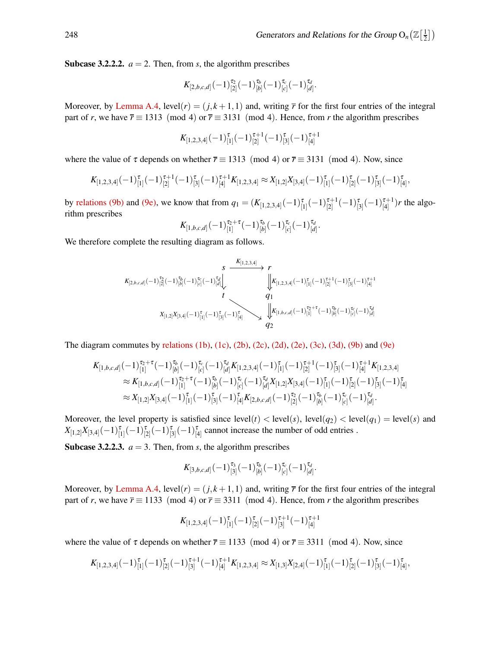**Subcase 3.2.2.2.**  $a = 2$ . Then, from *s*, the algorithm prescribes

$$
K_{[2,b,c,d]}(-1)^{\tau_2}_{[2]}(-1)^{\tau_b}_{[b]}(-1)^{\tau_c}_{[c]}(-1)^{\tau_d}_{[d]}.
$$

Moreover, by [Lemma A.4,](#page-10-1) level( $r$ ) = ( $j, k+1, 1$ ) and, writing  $\overline{r}$  for the first four entries of the integral part of *r*, we have  $\overline{r} \equiv 1313 \pmod{4}$  or  $\overline{r} \equiv 3131 \pmod{4}$ . Hence, from *r* the algorithm prescribes

$$
K_{[1,2,3,4]}(-1)^{\tau}_{[1]}(-1)^{\tau+1}_{[2]}(-1)^{\tau}_{[3]}(-1)^{\tau+1}_{[4]}
$$

where the value of  $\tau$  depends on whether  $\overline{r} \equiv 1313 \pmod{4}$  or  $\overline{r} \equiv 3131 \pmod{4}$ . Now, since

$$
K_{[1,2,3,4]}(-1)^{\tau}_{[1]}(-1)^{\tau+1}_{[2]}(-1)^{\tau+1}_{[3]}(-1)^{\tau+1}_{[4]}K_{[1,2,3,4]}\approx X_{[1,2]}X_{[3,4]}(-1)^{\tau}_{[1]}(-1)^{\tau}_{[2]}(-1)^{\tau}_{[3]}(-1)^{\tau}_{[4]},
$$

by [relations \(9b\)](#page-13-2) and [\(9e\),](#page-13-4) we know that from  $q_1 = (K_{[1,2,3,4]}(-1)_{[1]}^{\tau}(-1)_{[2]}^{\tau+1}$  $\frac{\tau+1}{[2]}(-1)\frac{\tau}{[3]}(-1)\frac{\tau+1}{[4]}$  $\binom{t+1}{4}$  *r* the algorithm prescribes

$$
K_{[1,b,c,d]}(-1)^{\tau_2+\tau}_{[1]}(-1)^{\tau_b}_{[b]}(-1)^{\tau_c}_{[c]}(-1)^{\tau_d}_{[d]}.
$$

We therefore complete the resulting diagram as follows.

$$
K_{[2,b,c,d]}(-1)^{\tau_{2}}_{[2]}(-1)^{\tau_{b}}_{[b]}(-1)^{\tau_{c}}_{[c]}(-1)^{\tau_{d}}_{[d]}\downarrow \xrightarrow{\qquad \qquad }K_{[1,2,3,4]}(-1)^{\tau_{1}}_{[1]}(-1)^{\tau_{2}+1}_{[2]}(-1)^{\tau_{1}+1}_{[3]}(-1)^{\tau_{1}+1}_{[4]}(-1)^{\tau_{2}+1}_{[4]}(-1)^{\tau_{2}+1}_{[5]}(-1)^{\tau_{2}+1}_{[6]}(-1)^{\tau_{2}+1}_{[7]}(-1)^{\tau_{2}+1}_{[8]}(-1)^{\tau_{2}+1}_{[8]}(-1)^{\tau_{2}+1}_{[8]}(-1)^{\tau_{2}+1}_{[8]}(-1)^{\tau_{2}+1}_{[8]}(-1)^{\tau_{2}+1}_{[8]}(-1)^{\tau_{2}+1}_{[8]}(-1)^{\tau_{2}+1}_{[8]}(-1)^{\tau_{2}+1}_{[8]}(-1)^{\tau_{2}+1}_{[8]}(-1)^{\tau_{2}+1}_{[8]}(-1)^{\tau_{2}+1}_{[8]}(-1)^{\tau_{2}+1}_{[8]}(-1)^{\tau_{2}+1}_{[8]}(-1)^{\tau_{2}+1}_{[8]}(-1)^{\tau_{2}+1}_{[8]}(-1)^{\tau_{2}+1}_{[8]}(-1)^{\tau_{2}+1}_{[8]}(-1)^{\tau_{2}+1}_{[8]}(-1)^{\tau_{2}+1}_{[8]}(-1)^{\tau_{2}+1}_{[8]}(-1)^{\tau_{2}+1}_{[8]}(-1)^{\tau_{2}+1}_{[8]}(-1)^{\tau_{2}+1}_{[8]}(-1)^{\tau_{2}+1}_{[8]}(-1)^{\tau_{2}+1}_{[8]}(-1)^{\tau_{2}+1}_{[8]}(-1)^{\tau_{2}+1}_{[8]}(-1)^{\tau_{2}+1}_{[8]}(-1)^{\tau_{2}+1}_{[8]}(-1)^{\tau_{2}+1}_{[8]}(-1)^{\tau_{2}+1}_{[8]}(-1)^{\tau_{2}+1}_{[8]}(-1)^{\tau_{2}+1}_{[8]}(-1)^{\tau_{2}+1}_{[8]}(-1)^{\tau_{2}+1}_{[8]}(-1)^{\tau_{2}+1}_{[8]}(-1)^{\tau_{2}+1}_{[8]}(-1)^{\tau_{2}+1}_{[8]}(-1)^{\tau_{2}+1}_{[8]}(-1)^{\tau_{2}+
$$

The diagram commutes by [relations \(1b\),](#page-5-2) [\(1c\),](#page-5-3) [\(2b\),](#page-5-2) [\(2c\),](#page-5-3) [\(2d\),](#page-5-4) [\(2e\),](#page-5-5) [\(3c\),](#page-5-3) [\(3d\),](#page-5-4) [\(9b\)](#page-13-2) and [\(9e\)](#page-13-4)

$$
K_{[1,b,c,d]}(-1)^{\tau_2+\tau}_{[1]}(-1)^{\tau_b}_{[b]}(-1)^{\tau_c}_{[c]}(-1)^{\tau_d}_{[d]}K_{[1,2,3,4]}(-1)^{\tau-1}_{[2]}(-1)^{\tau+1}_{[2]}(-1)^{\tau+1}_{[3]}(-1)^{\tau+1}_{[4]}K_{[1,2,3,4]}\approx K_{[1,b,c,d]}(-1)^{\tau_2+\tau}_{[1]}(-1)^{\tau_b}_{[b]}(-1)^{\tau_c}_{[c]}(-1)^{\tau_d}_{[d]}X_{[1,2]}X_{[3,4]}(-1)^{\tau}_{[1]}(-1)^{\tau_c}_{[2]}(-1)^{\tau_c}_{[3]}(-1)^{\tau_c}_{[4]}\approx X_{[1,2]}X_{[3,4]}(-1)^{\tau}_{[1]}(-1)^{\tau_c}_{[3]}(-1)^{\tau_c}_{[4]}K_{[2,b,c,d]}(-1)^{\tau_c}_{[2]}(-1)^{\tau_c}_{[b]}(-1)^{\tau_c}_{[c]}(-1)^{\tau_d}_{[d]}.
$$

Moreover, the level property is satisfied since  $level(t) < level(s)$ ,  $level(q_2) < level(q_1) = level(s)$  and  $X_{[1,2]}X_{[3,4]}(-1)_{[1]}^{\tau}(-1)_{[2]}^{\tau}(-1)_{[3]}^{\tau}(-1)_{[4]}^{\tau}$  cannot increase the number of odd entries .

**Subcase 3.2.2.3.**  $a = 3$ . Then, from *s*, the algorithm prescribes

$$
K_{[3,b,c,d]}(-1)^{\tau_3}_{[3]}(-1)^{\tau_b}_{[b]}(-1)^{\tau_c}_{[c]}(-1)^{\tau_d}_{[d]}.
$$

Moreover, by [Lemma A.4,](#page-10-1) level( $r$ ) = ( $j, k+1, 1$ ) and, writing  $\overline{r}$  for the first four entries of the integral part of *r*, we have  $\overline{r} \equiv 1133 \pmod{4}$  or  $\overline{r} \equiv 3311 \pmod{4}$ . Hence, from *r* the algorithm prescribes

$$
K_{[1,2,3,4]}(-1)^{\tau}_{[1]}(-1)^{\tau}_{[2]}(-1)^{\tau+1}_{[3]}(-1)^{\tau+1}_{[4]}
$$

where the value of  $\tau$  depends on whether  $\overline{r} \equiv 1133 \pmod{4}$  or  $\overline{r} \equiv 3311 \pmod{4}$ . Now, since

$$
K_{[1,2,3,4]}(-1)^{\tau}_{[1]}(-1)^{\tau}_{[2]}(-1)^{\tau+1}_{[3]}(-1)^{\tau+1}_{[4]}K_{[1,2,3,4]}\approx X_{[1,3]}X_{[2,4]}(-1)^{\tau}_{[1]}(-1)^{\tau}_{[2]}(-1)^{\tau}_{[3]}(-1)^{\tau}_{[4]},
$$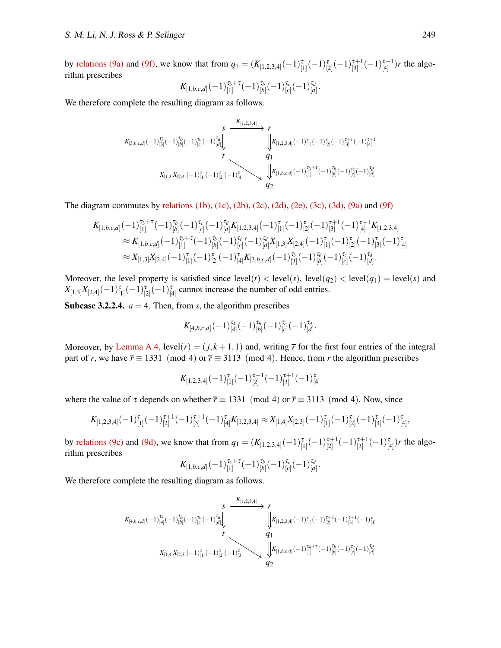by [relations \(9a\)](#page-13-1) and [\(9f\),](#page-13-5) we know that from  $q_1 = (K_{[1,2,3,4]}(-1)^{\tau}_{[1]}(-1)^{\tau}_{[2]}(-1)^{\tau+1}_{[3]}$  $\frac{\tau+1}{[3]}(-1)\frac{\tau+1}{[4]}$  $\binom{r+1}{4}$  *r* the algorithm prescribes

$$
K_{[1,b,c,d]}(-1)^{\tau_3+\tau}_{[1]}(-1)^{\tau_b}_{[b]}(-1)^{\tau_c}_{[c]}(-1)^{\tau_d}_{[d]}.
$$

We therefore complete the resulting diagram as follows.

$$
\begin{array}{ccc}\n & s & \xrightarrow{K_{[1,2,3,4]}} & r \\
\downarrow & & \searrow & \\
K_{[3,b,c,d]}(-1)^{\tau_{3}}_{[3]}(-1)^{\tau_{b}}_{[b]}(-1)^{\tau_{c}}_{[c]}(-1)^{\tau_{d}}_{[d]} & & \downarrow & \\
 & & & \downarrow & \\
 & & & & \\
 & & & & \\
 & & & & \\
 & & & & \\
 & & & & \\
 & & & & \\
 X_{[1,3]}X_{[2,4]}(-1)^{\tau}_{[1]}(-1)^{\tau}_{[2]}(-1)^{\tau}_{[4]} & & \downarrow & \\
 & & & & \\
 & & & & \\
 X_{[1,3]}X_{[2,4]}(-1)^{\tau}_{[1]}(-1)^{\tau}_{[2]}(-1)^{\tau}_{[4]} & & & \\
 & & & & \\
 & & & & \\
 & & & & \\
 & & & & \\
 & & & & \\
 & & & & \\
 & & & & \\
 & & & & \\
 \end{array}
$$

The diagram commutes by [relations \(1b\),](#page-5-2) [\(1c\),](#page-5-3) [\(2b\),](#page-5-2) [\(2c\),](#page-5-3) [\(2d\),](#page-5-4) [\(2e\),](#page-5-5) [\(3c\),](#page-5-3) [\(3d\),](#page-5-4) [\(9a\)](#page-13-1) and [\(9f\)](#page-13-5)

$$
K_{[1,b,c,d]}(-1)^{\tau_{3}+\tau}_{[1]}(-1)^{\tau_{b}}_{[b]}(-1)^{\tau_{c}}_{[c]}(-1)^{\tau_{d}}_{[d]}K_{[1,2,3,4]}(-1)^{\tau}_{[1]}(-1)^{\tau_{c}}_{[2]}(-1)^{\tau+1}_{[3]}(-1)^{\tau+1}_{[4]}K_{[1,2,3,4]}\approx K_{[1,b,c,d]}(-1)^{\tau_{3}+\tau}_{[1]}(-1)^{\tau_{b}}_{[b]}(-1)^{\tau_{c}}_{[c]}(-1)^{\tau_{d}}_{[d]}X_{[1,3]}X_{[2,4]}(-1)^{\tau}_{[1]}(-1)^{\tau}_{[2]}(-1)^{\tau}_{[3]}(-1)^{\tau}_{[4]}\approx X_{[1,3]}X_{[2,4]}(-1)^{\tau}_{[1]}(-1)^{\tau}_{[2]}(-1)^{\tau}_{[4]}K_{[3,b,c,d]}(-1)^{\tau_{3}}_{[3]}(-1)^{\tau_{b}}_{[b]}(-1)^{\tau_{c}}_{[c]}(-1)^{\tau_{d}}_{[d]}.
$$

Moreover, the level property is satisfied since  $level(t) < level(s)$ ,  $level(q_2) < level(q_1) = level(s)$  and  $X_{[1,3]}X_{[2,4]}(-1)_{[1]}^{\tau}(-1)_{[2]}^{\tau}(-1)_{[4]}^{\tau}$  cannot increase the number of odd entries.

**Subcase 3.2.2.4.**  $a = 4$ . Then, from *s*, the algorithm prescribes

$$
K_{[4,b,c,d]}(-1)^{\tau_4}_{[4]}(-1)^{\tau_b}_{[b]}(-1)^{\tau_c}_{[c]}(-1)^{\tau_d}_{[d]}.
$$

Moreover, by [Lemma A.4,](#page-10-1) level( $r$ ) = ( $j, k+1, 1$ ) and, writing  $\bar{r}$  for the first four entries of the integral part of *r*, we have  $\overline{r} \equiv 1331 \pmod{4}$  or  $\overline{r} \equiv 3113 \pmod{4}$ . Hence, from *r* the algorithm prescribes

$$
K_{[1,2,3,4]}(-1)^{\tau}_{[1]}(-1)^{\tau+1}_{[2]}(-1)^{\tau+1}_{[3]}(-1)^{\tau}_{[4]}
$$

where the value of  $\tau$  depends on whether  $\overline{r} \equiv 1331 \pmod{4}$  or  $\overline{r} \equiv 3113 \pmod{4}$ . Now, since

$$
K_{[1,2,3,4]}(-1)^{\tau}_{[1]}(-1)^{\tau+1}_{[2]}(-1)^{\tau+1}_{[3]}(-1)^{\tau}_{[4]}K_{[1,2,3,4]}\approx X_{[1,4]}X_{[2,3]}(-1)^{\tau}_{[1]}(-1)^{\tau}_{[2]}(-1)^{\tau}_{[3]}(-1)^{\tau}_{[4]},
$$

by [relations \(9c\)](#page-13-0) and [\(9d\),](#page-13-3) we know that from  $q_1 = (K_{[1,2,3,4]}(-1)_{[1]}^{\tau}(-1)_{[2]}^{\tau+1}$  $\frac{\tau+1}{[2]}(-1)\frac{\tau+1}{[3]}$  $\binom{[3]}{[3]}(-1)\binom{[4]}{[4]}$ *r* the algorithm prescribes

$$
K_{[1,b,c,d]}(-1)^{\tau_4+\tau}_{[1]}(-1)^{\tau_b}_{[b]}(-1)^{\tau_c}_{[c]}(-1)^{\tau_d}_{[d]}.
$$

We therefore complete the resulting diagram as follows.

$$
K_{[4,b,c,d]}(-1)^{\tau_4}_{[4]}(-1)^{\tau_b}_{[b]}(-1)^{\tau_c}_{[c]}(-1)^{\tau_d}_{[d]}\}\qquad \qquad \downarrow \mathbf{r} \\ \downarrow K_{[1,2,3,4]}(-1)^{\tau_1}_{[1]}(-1)^{\tau_1+1}_{[2]}(-1)^{\tau_{d}+1}_{[3]}(-1)^{\tau_{d}+1}_{[4]}(-1)^{\tau_{d}+1}_{[5]}(-1)^{\tau_{d}+1}_{[6]}(-1)^{\tau_{d}+1}_{[7]}(-1)^{\tau_{d}+1}_{[8]}(-1)^{\tau_{d}+1}_{[8]}(-1)^{\tau_{d}+1}_{[8]}(-1)^{\tau_{d}+1}_{[8]}(-1)^{\tau_{d}+1}_{[8]}(-1)^{\tau_{d}+1}_{[8]}(-1)^{\tau_{d}+1}_{[8]}(-1)^{\tau_{d}+1}_{[8]}(-1)^{\tau_{d}+1}_{[8]}(-1)^{\tau_{d}+1}_{[8]}(-1)^{\tau_{d}+1}_{[8]}(-1)^{\tau_{d}+1}_{[8]}(-1)^{\tau_{d}+1}_{[8]}(-1)^{\tau_{d}+1}_{[8]}(-1)^{\tau_{d}+1}_{[8]}(-1)^{\tau_{d}+1}_{[8]}(-1)^{\tau_{d}+1}_{[8]}(-1)^{\tau_{d}+1}_{[8]}(-1)^{\tau_{d}+1}_{[8]}(-1)^{\tau_{d}+1}_{[8]}(-1)^{\tau_{d}+1}_{[8]}(-1)^{\tau_{d}+1}_{[8]}(-1)^{\tau_{d}+1}_{[8]}(-1)^{\tau_{d}+1}_{[8]}(-1)^{\tau_{d}+1}_{[8]}(-1)^{\tau_{d}+1}_{[8]}(-1)^{\tau_{d}+1}_{[8]}(-1)^{\tau_{d}+1}_{[8]}(-1)^{\tau_{d}+1}_{[8]}(-1)^{\tau_{d}+1}_{[8]}(-1)^{\tau_{d}+1}_{[8]}(-1)^{\tau_{d}+1}_{[8]}(-1)^{\tau_{d}+1}_{[8]}(-1)^{\tau_{d}+1}_{[8]}(-1)^{\tau_{d}+1}_{[8]}(-1)^{\tau_{d}+1}_{[8]}(-1)^{\tau_{d}+1}_{[8]}(-1)^{\tau_{d}+1}_{[8]}(-1)^{\tau_{d}+1}_{[8]}(-1)^{\tau_{d}+1}_{[8]}(-1)^{\tau_{d}+1}_{[8]}(-1)^{\tau_{d}+1}_{
$$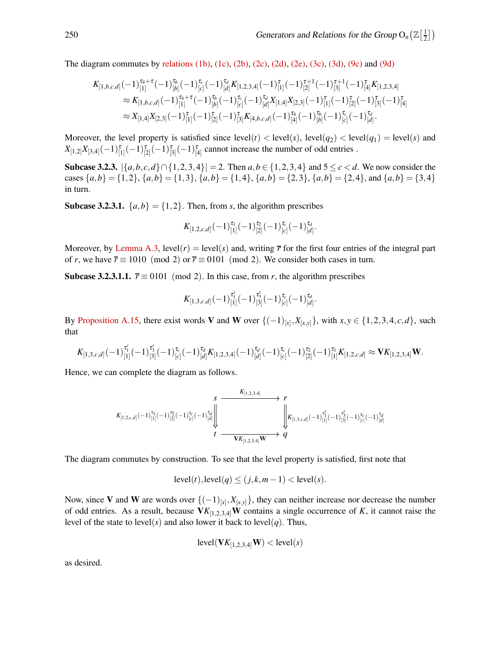The diagram commutes by [relations \(1b\),](#page-5-2) [\(1c\),](#page-5-3) [\(2b\),](#page-5-2) [\(2c\),](#page-5-3) [\(2d\),](#page-5-4) [\(2e\),](#page-5-5) [\(3c\),](#page-5-3) [\(3d\),](#page-5-4) [\(9c\)](#page-13-0) and [\(9d\)](#page-13-3)

$$
K_{[1,b,c,d]}(-1)^{\tau_4+\tau}_{[1]}(-1)^{\tau_b}_{[b]}(-1)^{\tau_c}_{[d]}K_{[1,2,3,4]}(-1)^{\tau-1}_{[2]}(-1)^{\tau+1}_{[2]}(-1)^{\tau+1}_{[3]}(-1)^{\tau-1}_{[4]}K_{[1,2,3,4]}\approx K_{[1,b,c,d]}(-1)^{\tau_4+\tau}_{[1]}(-1)^{\tau_b}_{[b]}(-1)^{\tau_c}_{[c]}(-1)^{\tau_d}_{[d]}K_{[1,4]}X_{[2,3]}(-1)^{\tau-1}_{[1]}(-1)^{\tau-1}_{[2]}(-1)^{\tau-1}_{[3]}(-1)^{\tau-1}_{[4]}\approx X_{[1,4]}X_{[2,3]}(-1)^{\tau-1}_{[1]}(-1)^{\tau-1}_{[2]}(-1)^{\tau-1}_{[3]}K_{[4,b,c,d]}(-1)^{\tau-1}_{[4]}(-1)^{\tau-1}_{[b]}(-1)^{\tau-1}_{[c]}(-1)^{\tau-1}_{[d]}.
$$

Moreover, the level property is satisfied since  $level(t) < level(s)$ ,  $level(q_2) < level(q_1) = level(s)$  and  $X_{[1,2]}X_{[3,4]}(-1)_{[1]}^{\tau}(-1)_{[2]}^{\tau}(-1)_{[3]}^{\tau}(-1)_{[4]}^{\tau}$  cannot increase the number of odd entries .

Subcase 3.2.3.  $\{a,b,c,d\} ∩ \{1,2,3,4\}$  = 2. Then  $a,b \in \{1,2,3,4\}$  and  $5 ≤ c < d$ . We now consider the cases  $\{a,b\} = \{1,2\}, \{a,b\} = \{1,3\}, \{a,b\} = \{1,4\}, \{a,b\} = \{2,3\}, \{a,b\} = \{2,4\}, \text{and } \{a,b\} = \{3,4\}$ in turn.

**Subcase 3.2.3.1.**  $\{a,b\} = \{1,2\}$ . Then, from *s*, the algorithm prescribes

$$
K_{[1,2,c,d]}(-1)^{\tau_1}_{[1]}(-1)^{\tau_2}_{[2]}(-1)^{\tau_c}_{[c]}(-1)^{\tau_d}_{[d]}.
$$

Moreover, by [Lemma A.3,](#page-9-3) level(*r*) = level(*s*) and, writing  $\bar{r}$  for the first four entries of the integral part of *r*, we have  $\overline{r} \equiv 1010 \pmod{2}$  or  $\overline{r} \equiv 0101 \pmod{2}$ . We consider both cases in turn.

**Subcase 3.2.3.1.1.**  $\bar{r} \equiv 0101 \pmod{2}$ . In this case, from *r*, the algorithm prescribes

$$
K_{[1,3,c,d]}(-1)^{\tau'_{1}}_{[1]}(-1)^{\tau'_{3}}_{[3]}(-1)^{\tau_{c}}_{[c]}(-1)^{\tau_{d}}_{[d]}.
$$

By [Proposition A.15,](#page-15-0) there exist words V and W over  $\{(-1)_{[x]}, X_{[x,y]}\}$ , with  $x, y \in \{1, 2, 3, 4, c, d\}$ , such that

$$
K_{[1,3,c,d]}(-1)^{\tau_1'}_{[1]}(-1)^{\tau_3'}_{[3]}(-1)^{\tau_c}_{[c]}(-1)^{\tau_d}_{[d]}K_{[1,2,3,4]}(-1)^{\tau_d}_{[d]}(-1)^{\tau_c}_{[c]}(-1)^{\tau_2}_{[2]}(-1)^{\tau_1}_{[1]}K_{[1,2,c,d]}\approx \mathbf{V} K_{[1,2,3,4]}\mathbf{W}.
$$

Hence, we can complete the diagram as follows.

$$
\begin{array}{ccc}\nK_{[1,2,c,d]}(-1)^{\tau_{1}}_{[1]}(-1)^{\tau_{2}}_{[2]}(-1)^{\tau_{c}}_{[d]}(-1)^{\tau_{d}}_{[d]} & & \downarrow \\
& & \downarrow & \downarrow & \downarrow \\
& & t & \downarrow & \downarrow & \downarrow \\
& & & \downarrow & \downarrow & \downarrow \\
& & & & \downarrow & \downarrow \\
& & & & & \downarrow & \downarrow \\
& & & & & & \downarrow \\
& & & & & & \downarrow \\
& & & & & & & \downarrow \\
& & & & & & & \downarrow \\
& & & & & & & \downarrow \\
& & & & & & & \downarrow \\
& & & & & & & & \downarrow \\
& & & & & & & & \downarrow \\
& & & & & & & & \downarrow \\
& & & & & & & & \downarrow \\
& & & & & & & & \downarrow \\
& & & & & & & & \downarrow \\
& & & & & & & & & \downarrow \\
& & & & & & & & & \downarrow \\
& & & & & & & & & \downarrow \\
& & & & & & & & & \downarrow \\
& & & & & & & & & \downarrow \\
& & & & & & & & & \downarrow \\
& & & & & & & & & & \downarrow \\
& & & & & & & & & & \downarrow \\
& & & & & & & & & & \downarrow \\
& & & & & & & & & & \downarrow \\
& & & & & & & & & & \downarrow \\
& & & & & & & & & & & \downarrow \\
& & & & & & & & & & & \downarrow \\
& & & & & & & & & & & \downarrow \\
& & & & & & & & & & & \downarrow \\
& & & & & & & & & & & & \downarrow \\
& & & & & & & & & & & & \downarrow \\
& & & & & & & & & & & & \downarrow \\
& & & & & & & & & & & & \downarrow \\
& & & & & & & & & & & & & \downarrow \\
& & & & & & & & & & & & & \downarrow \\
& & & & & & & & & & & & & \downarrow \\
& & & & & & & & & & & & & \downarrow \\
& & & & & & & & & & & & & \downarrow \\
& & & & & & & & & & & & & \downarrow \\
& & & & & & & & & & & & & \downarrow \\
& & & & & & & & & & & & & \downarrow \\
& & & & & & & & & & & & & \downarrow \\
& & & & & & & & & & & & & \downarrow \\
& & & & & & & & & & & & & \downarrow \\
& & & & & & & & & & & & & \downarrow \\
& & & & & & &
$$

The diagram commutes by construction. To see that the level property is satisfied, first note that

$$
level(t), level(q) \le (j,k,m-1) < level(s).
$$

Now, since V and W are words over  $\{(-1)_{[x]}, X_{[x,y]}\}$ , they can neither increase nor decrease the number of odd entries. As a result, because  $VK_{[1,2,3,4]}W$  contains a single occurrence of *K*, it cannot raise the level of the state to level( $s$ ) and also lower it back to level( $q$ ). Thus,

$$
level(\mathbf{V}K_{[1,2,3,4]}\mathbf{W}) < level(s)
$$

as desired.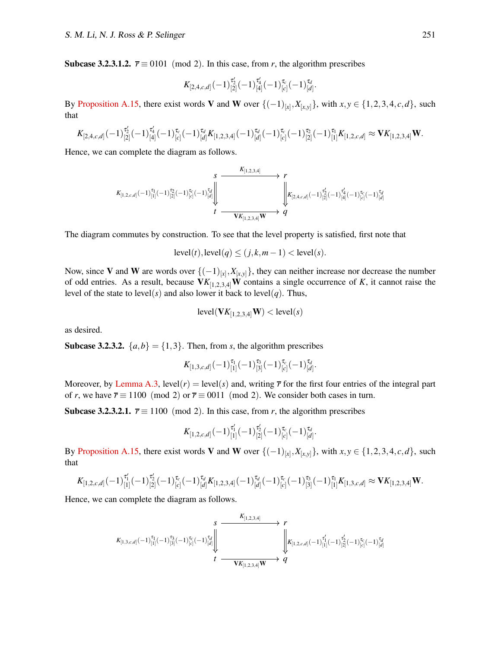Subcase 3.2.3.1.2.  $\bar{r} \equiv 0101 \pmod{2}$ . In this case, from *r*, the algorithm prescribes

$$
K_{[2,4,c,d]}(-1)^{\tau'_{2}}_{[2]}(-1)^{\tau'_{4}}_{[4]}(-1)^{\tau_{c}}_{[c]}(-1)^{\tau_{d}}_{[d]}.
$$

By [Proposition A.15,](#page-15-0) there exist words V and W over  $\{(-1)_{[x]}, X_{[x,y]}\}$ , with  $x, y \in \{1, 2, 3, 4, c, d\}$ , such that

$$
K_{[2,4,c,d]}(-1)^{\tau_2'}_{[2]}(-1)^{\tau_4'}_{[4]}(-1)^{\tau_c}_{[c]}(-1)^{\tau_d}_{[d]}K_{[1,2,3,4]}(-1)^{\tau_d}_{[d]}(-1)^{\tau_c}_{[c]}(-1)^{\tau_2}_{[2]}(-1)^{\tau_1}_{[1]}K_{[1,2,c,d]}\approx \mathbf{V}K_{[1,2,3,4]}\mathbf{W}.
$$

Hence, we can complete the diagram as follows.

$$
\begin{array}{ccc}&&S&K_{[1,2,3,4]}\longrightarrow \\ &\swarrow&&\searrow\\ K_{[1,2,c,d]}(-1)^{\tau_{1}}_{[1]}(-1)^{\tau_{2}}_{[2]}(-1)^{\tau_{c}}_{[c]}(-1)^{\tau_{d}}_{[d]}\Bigg\downarrow&&\downarrow\\ &&\downarrow&&\downarrow\\ t&\longrightarrow&&\swarrow\\ &&t&\longrightarrow\\ &&\swarrow&&\searrow\\ &&\swarrow&&\searrow\\ &&\swarrow&&\searrow\\ &&\swarrow&&\searrow\\ &&\swarrow&&\searrow\\ &&\swarrow&&\searrow\\ &&\swarrow&&\searrow\\ &&\swarrow&&\searrow\\ &&\swarrow&&\searrow\\ &&\swarrow&&\searrow\\ &&\swarrow&&\searrow\\ &&\swarrow&&\searrow\\ &&\swarrow&&\searrow\\ &&\swarrow&&\searrow\\ &&\swarrow&&\searrow\\ &&\swarrow&&\searrow\\ &&\swarrow&&\searrow\\ &&\swarrow&&\searrow\\ &&\swarrow&&\searrow\\ &&\swarrow&&\searrow\\ &&\swarrow&&\searrow\\ &&\swarrow&&\searrow\\ &&\swarrow&&\searrow\\ &&\swarrow&&\searrow\\ &&\swarrow&&\searrow\\ &&\swarrow&&\searrow\\ &&\swarrow&&\searrow\\ &&\swarrow&&\searrow\\ &&\swarrow&&\searrow\\ &&\swarrow&&\searrow\\ &&\swarrow&&\searrow\\ &&\swarrow&&\searrow\\ &&\swarrow&&\searrow\\ &&\swarrow&&\searrow\\ &&\swarrow&&\searrow\\ &&\swarrow&&\searrow\\ &&\swarrow&&\searrow\\ &&\swarrow&&\searrow\\ &&\swarrow&&\searrow\\ &&\swarrow&&\searrow\\ &&\swarrow&&\searrow\\ &&\swarrow&&\searrow\\ &&\swarrow&&\searrow\\ &&\swarrow&&\searrow\\ &&\swarrow&&\searrow\\ &&\swarrow&&\searrow\\ &&\swarrow&&\searrow\\ &&\swarrow&&\searrow\\ &&\swarrow&&\searrow\\ &&\swarrow&&\searrow\\ &&\swarrow&&\searrow\\ &&\swarrow&&\searrow\\ &&\swarrow&&\searrow\\ &&\swarrow&&\searrow\\ &&\swarrow&&\searrow\\ &&\swarrow&&\searrow\\ &&\swarrow&&\searrow\\ &&\swarrow&&\searrow\\ &&\swarrow&&\searrow\\ &&\swarrow&&\searrow\\ &&\swarrow&&\searrow\\ &&\swarrow&&\searrow\\ &&\swarrow&&\searrow\\ &&\swarrow&&\searrow\\ &&\swarrow&&\searrow\\ &&\swarrow&&\searrow\\ &&\swarrow&&\searrow\\ &&\swarrow&&\searrow\\ &&\swarrow&&\searrow\\ &&\swarrow&&\searrow\\ &&\swarrow&&
$$

The diagram commutes by construction. To see that the level property is satisfied, first note that

$$
level(t), level(q) \le (j,k,m-1) < level(s).
$$

Now, since V and W are words over  $\{(-1)_{[x]}, X_{[x,y]}\}$ , they can neither increase nor decrease the number of odd entries. As a result, because  $VK_{[1,2,3,4]}W$  contains a single occurrence of *K*, it cannot raise the level of the state to level( $s$ ) and also lower it back to level( $q$ ). Thus,

$$
level(\mathbf{V}K_{[1,2,3,4]}\mathbf{W}) < level(s)
$$

as desired.

**Subcase 3.2.3.2.**  $\{a,b\} = \{1,3\}$ . Then, from *s*, the algorithm prescribes

$$
K_{[1,3,c,d]}(-1)^{\tau_1}_{[1]}(-1)^{\tau_3}_{[3]}(-1)^{\tau_c}_{[c]}(-1)^{\tau_d}_{[d]}.
$$

Moreover, by [Lemma A.3,](#page-9-3) level(*r*) = level(*s*) and, writing  $\bar{r}$  for the first four entries of the integral part of *r*, we have  $\bar{r} \equiv 1100 \pmod{2}$  or  $\bar{r} \equiv 0011 \pmod{2}$ . We consider both cases in turn.

Subcase 3.2.3.2.1.  $\bar{r} \equiv 1100 \pmod{2}$ . In this case, from *r*, the algorithm prescribes

$$
K_{[1,2,c,d]}(-1)^{\tau_1'}_{[1]}(-1)^{\tau_2'}_{[2]}(-1)^{\tau_c}_{[c]}(-1)^{\tau_d}_{[d]}.
$$

By [Proposition A.15,](#page-15-0) there exist words V and W over  $\{(-1)_{[x]}, X_{[x,y]}\}$ , with  $x, y \in \{1, 2, 3, 4, c, d\}$ , such that

$$
K_{[1,2,c,d]}(-1)^{\tau'_1}_{[1]}(-1)^{\tau'_2}_{[2]}(-1)^{\tau_c}_{[c]}(-1)^{\tau_d}_{[d]}K_{[1,2,3,4]}(-1)^{\tau_d}_{[d]}(-1)^{\tau_c}_{[c]}(-1)^{\tau_3}_{[3]}(-1)^{\tau_1}_{[1]}K_{[1,3,c,d]}\approx \mathbf{V}K_{[1,2,3,4]}\mathbf{W}.
$$

Hence, we can complete the diagram as follows.

$$
\begin{array}{ccc}\n & s & K_{[1,3,c,d]}(r) & r & r & r\\ \nK_{[1,3,c,d]}(-1)^{\tau_1}_{[1]}(-1)^{\tau_3}_{[3]}(-1)^{\tau_c}_{[c]}(-1)^{\tau_d}_{[d]} & & \downarrow & \mathcal{F}_{[1,2,c,d]}(-1)^{\tau'_1}_{[1]}(-1)^{\tau'_2}_{[2]}(-1)^{\tau_c}_{[c]}(-1)^{\tau'_d}_{[d]}\\ \n & t & \xrightarrow{\mathbf{V}K_{[1,2,3,4]}\mathbf{W}} & q & \n\end{array}
$$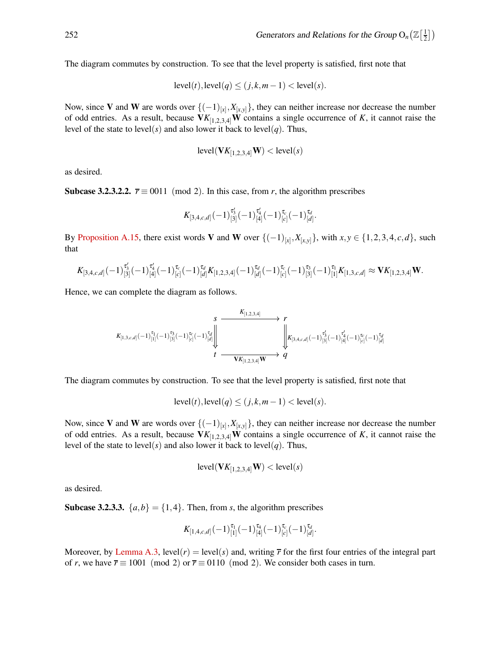The diagram commutes by construction. To see that the level property is satisfied, first note that

$$
level(t), level(q) \le (j,k,m-1) < level(s).
$$

Now, since V and W are words over {(−1)[*x*] ,*X*[*x*,*y*]}, they can neither increase nor decrease the number of odd entries. As a result, because  $VK_{[1,2,3,4]}W$  contains a single occurrence of *K*, it cannot raise the level of the state to level(s) and also lower it back to level(q). Thus,

$$
level(\mathbf{V}K_{[1,2,3,4]}\mathbf{W}) < level(s)
$$

as desired.

**Subcase 3.2.3.2.2.**  $\vec{r} \equiv 0011 \pmod{2}$ . In this case, from *r*, the algorithm prescribes

$$
K_{[3,4,c,d]}(-1)^{\tau'_3}_{[3]}(-1)^{\tau'_4}_{[4]}(-1)^{\tau_c}_{[c]}(-1)^{\tau_d}_{[d]}.
$$

By [Proposition A.15,](#page-15-0) there exist words V and W over  $\{(-1)_{[x]}, X_{[x,y]}\}$ , with  $x, y \in \{1, 2, 3, 4, c, d\}$ , such that

$$
K_{[3,4,c,d]}(-1)^{\tau_3'}_{[3]}(-1)^{\tau_4'}_{[4]}(-1)^{\tau_c}_{[c]}(-1)^{\tau_d}_{[d]}K_{[1,2,3,4]}(-1)^{\tau_d}_{[d]}(-1)^{\tau_c}_{[c]}(-1)^{\tau_3}_{[3]}(-1)^{\tau_1}_{[1]}K_{[1,3,c,d]}\approx \mathbf{V}K_{[1,2,3,4]}\mathbf{W}.
$$

Hence, we can complete the diagram as follows.

$$
\begin{array}{ccc}\n & s & \xrightarrow{K_{[1,2,3,4]}} & r \\
 & & r & \\
K_{[1,3,c,d]}(-1)^{\tau_1}_{[1]}(-1)^{\tau_3}_{[3]}(-1)^{\tau_c}_{[c]}(-1)^{\tau_d}_{[d]} & & \downarrow^2 \\
 & & & \downarrow^2_{K_{[1,2,3,4]}\mathbf{W}} & q & \\
 & & & r & \xrightarrow{\mathbf{V}K_{[1,2,3,4]}\mathbf{W}} & q & \\
\end{array}
$$

The diagram commutes by construction. To see that the level property is satisfied, first note that

$$
level(t), level(q) \le (j, k, m-1) < level(s).
$$

Now, since V and W are words over {(−1)[*x*] ,*X*[*x*,*y*]}, they can neither increase nor decrease the number of odd entries. As a result, because  $VK_{[1,2,3,4]}W$  contains a single occurrence of *K*, it cannot raise the level of the state to level(s) and also lower it back to level(q). Thus,

$$
level(\mathbf{V}K_{[1,2,3,4]}\mathbf{W}) < level(s)
$$

as desired.

**Subcase 3.2.3.3.**  $\{a,b\} = \{1,4\}$ . Then, from *s*, the algorithm prescribes

$$
K_{[1,4,c,d]}(-1)^{\tau_1}_{[1]}(-1)^{\tau_4}_{[4]}(-1)^{\tau_c}_{[c]}(-1)^{\tau_d}_{[d]}.
$$

Moreover, by [Lemma A.3,](#page-9-3) level(*r*) = level(*s*) and, writing  $\bar{r}$  for the first four entries of the integral part of *r*, we have  $\overline{r} \equiv 1001 \pmod{2}$  or  $\overline{r} \equiv 0110 \pmod{2}$ . We consider both cases in turn.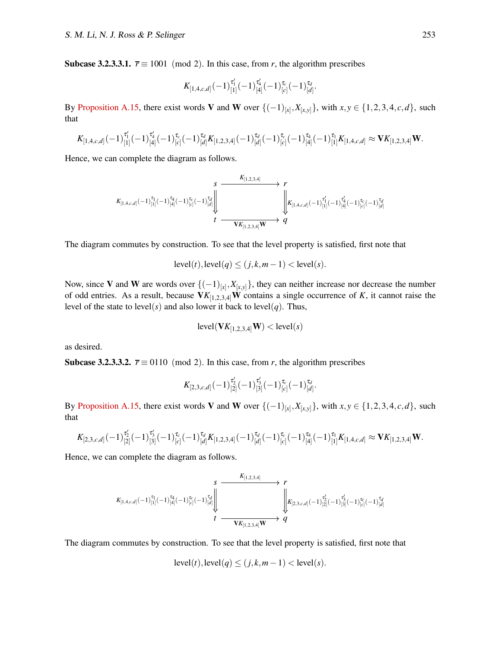Subcase 3.2.3.3.1.  $\bar{r} \equiv 1001 \pmod{2}$ . In this case, from *r*, the algorithm prescribes

$$
K_{[1,4,c,d]}(-1)^{\tau_1'}_{[1]}(-1)^{\tau_4'}_{[4]}(-1)^{\tau_c}_{[c]}(-1)^{\tau_d}_{[d]}.
$$

By [Proposition A.15,](#page-15-0) there exist words V and W over  $\{(-1)_{[x]}, X_{[x,y]}\}$ , with  $x, y \in \{1, 2, 3, 4, c, d\}$ , such that

$$
K_{[1,4,c,d]}(-1)^{\tau_1'}_{[1]}(-1)^{\tau_4'}_{[4]}(-1)^{\tau_c}_{[c]}(-1)^{\tau_d}_{[d]}K_{[1,2,3,4]}(-1)^{\tau_d}_{[d]}(-1)^{\tau_c}_{[c]}(-1)^{\tau_1}_{[4]}(-1)^{\tau_1}_{[1]}K_{[1,4,c,d]}\approx \mathbf{V} K_{[1,2,3,4]}\mathbf{W}.
$$

Hence, we can complete the diagram as follows.

$$
\begin{array}{ccc}\nK_{[1,4,c,d]}(-1)^{\tau_{1}}_{[1]}(-1)^{\tau_{4}}_{[e]}(-1)^{\tau_{c}}_{[d]} \\
\downarrow&&\downarrow\\
t&\xrightarrow{\text{ }K_{[1,2,3,4]}}\n\end{array}\n\longrightarrow\n\begin{array}{c}\nK_{[1,2,3,4]} & \\
\downarrow&&\downarrow\\
\downarrow&&\downarrow\\
\downarrow&&\downarrow\\
\downarrow&&\downarrow\\
\downarrow&&\downarrow\\
\downarrow&&\downarrow\n\end{array}
$$

The diagram commutes by construction. To see that the level property is satisfied, first note that

$$
level(t), level(q) \le (j,k,m-1) < level(s).
$$

Now, since V and W are words over {(−1)[*x*] ,*X*[*x*,*y*]}, they can neither increase nor decrease the number of odd entries. As a result, because  $VK_{[1,2,3,4]}W$  contains a single occurrence of *K*, it cannot raise the level of the state to level(s) and also lower it back to level(q). Thus,

$$
level(\mathbf{V}K_{[1,2,3,4]}\mathbf{W}) < level(s)
$$

as desired.

**Subcase 3.2.3.3.2.**  $\vec{r} \equiv 0110 \pmod{2}$ . In this case, from *r*, the algorithm prescribes

$$
K_{[2,3,c,d]}(-1)^{\tau'_2}_{[2]}(-1)^{\tau'_3}_{[3]}(-1)^{\tau_c}_{[c]}(-1)^{\tau_d}_{[d]}.
$$

By [Proposition A.15,](#page-15-0) there exist words V and W over  $\{(-1)_{[x]}, X_{[x,y]}\}$ , with  $x, y \in \{1, 2, 3, 4, c, d\}$ , such that

$$
K_{[2,3,c,d]}(-1)^{\tau_2'}_{[2]}(-1)^{\tau_3'}_{[3]}(-1)^{\tau_c}_{[c]}(-1)^{\tau_d}_{[d]}K_{[1,2,3,4]}(-1)^{\tau_d}_{[d]}(-1)^{\tau_c}_{[c]}(-1)^{\tau_4}_{[4]}(-1)^{\tau_1}_{[1]}K_{[1,4,c,d]}\approx \mathbf{V}K_{[1,2,3,4]}\mathbf{W}.
$$

Hence, we can complete the diagram as follows.

$$
\begin{array}{ccc}\nK_{[1,4,c,d]}(-1)^{\tau_{1}}_{[1]}(-1)^{\tau_{4}}_{[d]}(-1)^{\tau_{c}}_{[c]}(-1)^{\tau_{d}}_{[d]}\n\end{array}\n\longrightarrow \n\begin{array}{ccc}\nK_{[1,2,3,4]} & r \\
\downarrow & \downarrow \\
\downarrow & \downarrow\n\end{array}\n\begin{array}{ccc}\nK_{[2,3,c,d]}(-1)^{\tau'_{2}}_{[2]}(-1)^{\tau'_{3}}_{[3]}(-1)^{\tau_{c}}_{[c]}(-1)^{\tau'_{d}}_{[d]} \\
\downarrow & \downarrow\n\end{array}
$$

The diagram commutes by construction. To see that the level property is satisfied, first note that

$$
level(t), level(q) \le (j, k, m-1) < level(s).
$$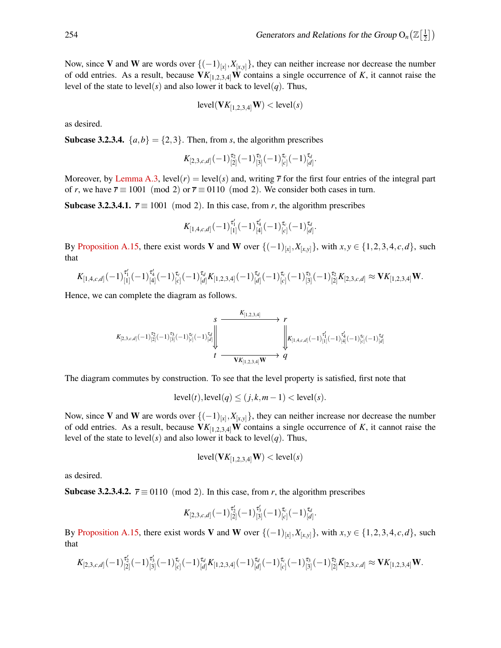Now, since V and W are words over {(−1)[*x*] ,*X*[*x*,*y*]}, they can neither increase nor decrease the number of odd entries. As a result, because  $VK_{[1,2,3,4]}W$  contains a single occurrence of *K*, it cannot raise the level of the state to level(s) and also lower it back to level(q). Thus,

$$
level(\mathbf{V}K_{[1,2,3,4]}\mathbf{W}) < level(s)
$$

as desired.

**Subcase 3.2.3.4.**  $\{a,b\} = \{2,3\}$ . Then, from *s*, the algorithm prescribes

$$
K_{[2,3,c,d]}(-1)^{\tau_2}_{[2]}(-1)^{\tau_3}_{[3]}(-1)^{\tau_c}_{[c]}(-1)^{\tau_d}_{[d]}.
$$

Moreover, by [Lemma A.3,](#page-9-3) level(*r*) = level(*s*) and, writing  $\bar{r}$  for the first four entries of the integral part of *r*, we have  $\overline{r} \equiv 1001 \pmod{2}$  or  $\overline{r} \equiv 0110 \pmod{2}$ . We consider both cases in turn.

**Subcase 3.2.3.4.1.**  $\bar{r} \equiv 1001 \pmod{2}$ . In this case, from *r*, the algorithm prescribes

$$
K_{[1,4,c,d]}(-1)^{\tau'_{1}}_{[1]}(-1)^{\tau'_{4}}_{[4]}(-1)^{\tau_{c}}_{[c]}(-1)^{\tau_{d}}_{[d]}.
$$

By [Proposition A.15,](#page-15-0) there exist words V and W over  $\{(-1)_{[x]}, X_{[x,y]}\}$ , with  $x, y \in \{1, 2, 3, 4, c, d\}$ , such that

$$
K_{[1,4,c,d]}(-1)^{\tau_1'}_{[1]}(-1)^{\tau_4'}_{[4]}(-1)^{\tau_c}_{[c]}(-1)^{\tau_d}_{[d]}K_{[1,2,3,4]}(-1)^{\tau_d}_{[d]}(-1)^{\tau_c}_{[c]}(-1)^{\tau_3}_{[3]}(-1)^{\tau_2}_{[2]}K_{[2,3,c,d]}\approx \mathbf{V}K_{[1,2,3,4]}\mathbf{W}.
$$

Hence, we can complete the diagram as follows.

$$
\begin{array}{ccc}\n & S & \xrightarrow{K_{[1,2,3,4]}} & r \\
 & \searrow & \searrow & r \\
K_{[2,3,c,d]}(-1)^{\tau_2}_{[2]}(-1)^{\tau_3}_{[3]}(-1)^{\tau_c}_{[c]}(-1)^{\tau_d}_{[d]} & & \downarrow \\
 & & \downarrow & \searrow & \searrow \\
 & & t & \xrightarrow{\mathbf{V}K_{[1,2,3,4]}\mathbf{W}} & q & \end{array}
$$

The diagram commutes by construction. To see that the level property is satisfied, first note that

$$
level(t), level(q) \le (j, k, m-1) < level(s).
$$

Now, since V and W are words over {(−1)[*x*] ,*X*[*x*,*y*]}, they can neither increase nor decrease the number of odd entries. As a result, because  $VK_{[1,2,3,4]}W$  contains a single occurrence of *K*, it cannot raise the level of the state to level(*s*) and also lower it back to level(*q*). Thus,

$$
level(\mathbf{V}K_{[1,2,3,4]}\mathbf{W}) < level(s)
$$

as desired.

**Subcase 3.2.3.4.2.**  $\overline{r} \equiv 0110 \pmod{2}$ . In this case, from *r*, the algorithm prescribes

$$
K_{[2,3,c,d]}(-1)^{\tau_2'}_{[2]}(-1)^{\tau_3'}_{[3]}(-1)^{\tau_c}_{[c]}(-1)^{\tau_d}_{[d]}.
$$

By [Proposition A.15,](#page-15-0) there exist words V and W over  $\{(-1)_{[x]}, X_{[x,y]}\}$ , with  $x, y \in \{1, 2, 3, 4, c, d\}$ , such that

$$
K_{[2,3,c,d]}(-1)^{\tau_2'}_{[2]}(-1)^{\tau_3'}_{[3]}(-1)^{\tau_c}_{[c]}(-1)^{\tau_d}_{[d]}K_{[1,2,3,4]}(-1)^{\tau_d}_{[d]}(-1)^{\tau_c}_{[c]}(-1)^{\tau_3}_{[3]}(-1)^{\tau_2}_{[2]}K_{[2,3,c,d]} \approx \mathbf{V}K_{[1,2,3,4]}\mathbf{W}.
$$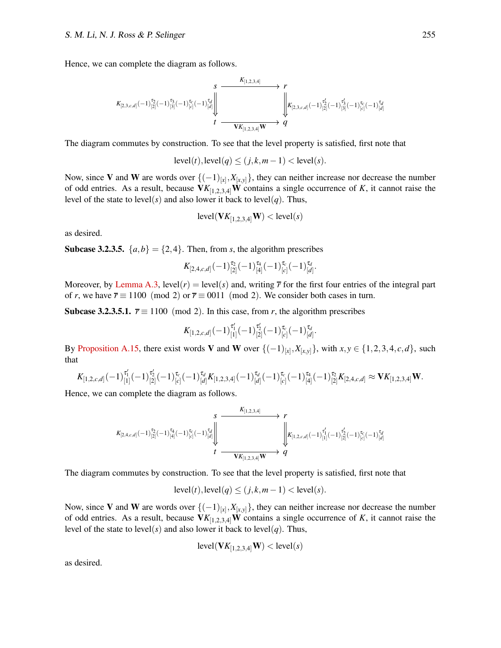Hence, we can complete the diagram as follows.

$$
\begin{array}{ccc}\nK_{[1,2,3,4]} & & r \\
K_{[2,3,c,d]}(-1)^{\tau_{2}}_{[2]}(-1)^{\tau_{3}}_{[3]}(-1)^{\tau_{c}}_{[c]}(-1)^{\tau_{d}}_{[d]}\n\end{array}\n\begin{array}{ccc}\nK_{[1,2,3,4]} & & r \\
\downarrow & & \downarrow \\
\downarrow & & \downarrow \\
\downarrow & & \downarrow\n\end{array}\n\begin{array}{ccc}\nK_{[1,2,3,4]} & & r \\
\downarrow & & \downarrow \\
K_{[2,3,c,d]}(-1)^{\tau_{2}'}_{[2]}(-1)^{\tau_{3}'}_{[3]}(-1)^{\tau_{c}}_{[c]}(-1)^{\tau_{d}}_{[d]}\n\end{array}
$$

The diagram commutes by construction. To see that the level property is satisfied, first note that

$$
level(t), level(q) \le (j, k, m-1) < level(s).
$$

Now, since V and W are words over {(−1)[*x*] ,*X*[*x*,*y*]}, they can neither increase nor decrease the number of odd entries. As a result, because  $VK_{[1,2,3,4]}W$  contains a single occurrence of *K*, it cannot raise the level of the state to level(s) and also lower it back to level(q). Thus,

$$
level(\mathbf{V}K_{[1,2,3,4]}\mathbf{W}) < level(s)
$$

as desired.

**Subcase 3.2.3.5.**  $\{a,b\} = \{2,4\}$ . Then, from *s*, the algorithm prescribes

$$
K_{[2,4,c,d]}(-1)^{\tau_2}_{[2]}(-1)^{\tau_4}_{[4]}(-1)^{\tau_c}_{[c]}(-1)^{\tau_d}_{[d]}.
$$

Moreover, by [Lemma A.3,](#page-9-3) level(*r*) = level(*s*) and, writing  $\bar{r}$  for the first four entries of the integral part of *r*, we have  $\overline{r} \equiv 1100 \pmod{2}$  or  $\overline{r} \equiv 0011 \pmod{2}$ . We consider both cases in turn.

Subcase 3.2.3.5.1.  $\bar{r} \equiv 1100 \pmod{2}$ . In this case, from *r*, the algorithm prescribes

$$
K_{[1,2,c,d]}(-1)^{\tau_1'}_{[1]}(-1)^{\tau_2'}_{[2]}(-1)^{\tau_c}_{[c]}(-1)^{\tau_d}_{[d]}.
$$

By [Proposition A.15,](#page-15-0) there exist words V and W over  $\{(-1)_{[x]}, X_{[x,y]}\}$ , with  $x, y \in \{1, 2, 3, 4, c, d\}$ , such that

$$
K_{[1,2,c,d]}(-1)^{\tau_1'}_{[1]}(-1)^{\tau_2'}_{[2]}(-1)^{\tau_c}_{[c]}(-1)^{\tau_d}_{[d]}K_{[1,2,3,4]}(-1)^{\tau_d}_{[d]}(-1)^{\tau_c}_{[c]}(-1)^{\tau_4}_{[4]}(-1)^{\tau_2}_{[2]}K_{[2,4,c,d]}\approx \mathbf{V}K_{[1,2,3,4]}\mathbf{W}.
$$

Hence, we can complete the diagram as follows.

$$
\begin{array}{ccc}\nK_{[1,2,3,4]} & & r \\
K_{[2,4,c,d]}(-1)^{\tau_2}_{[2]}(-1)^{\tau_4}_{[4]}(-1)^{\tau_c}_{[c]}(-1)^{\tau_d}_{[d]}\n\end{array}\n\begin{array}{ccc}\nK_{[1,2,3,4]} & & r \\
\downarrow & & \downarrow \\
\downarrow & & \downarrow\n\end{array}\n\begin{array}{ccc}\nK_{[1,2,c,d]}(-1)^{\tau_1'}_{[1]}(-1)^{\tau_2'}_{[2]}(-1)^{\tau_c}_{[c]}(-1)^{\tau_c}_{[d]} \\
\downarrow & & \downarrow\n\end{array}
$$

The diagram commutes by construction. To see that the level property is satisfied, first note that

$$
level(t), level(q) \le (j, k, m-1) < level(s).
$$

Now, since V and W are words over {(−1)[*x*] ,*X*[*x*,*y*]}, they can neither increase nor decrease the number of odd entries. As a result, because  $VK_{[1,2,3,4]}W$  contains a single occurrence of *K*, it cannot raise the level of the state to level(*s*) and also lower it back to level(*q*). Thus,

$$
level(\mathbf{V}K_{[1,2,3,4]}\mathbf{W}) < level(s)
$$

as desired.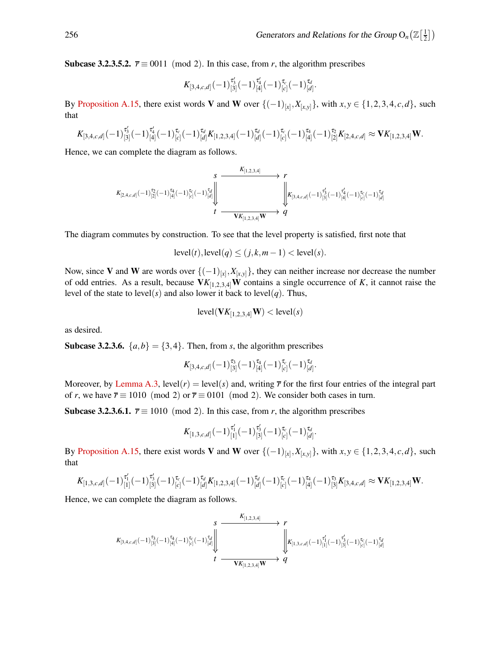Subcase 3.2.3.5.2.  $\bar{r} \equiv 0011 \pmod{2}$ . In this case, from *r*, the algorithm prescribes

$$
K_{[3,4,c,d]}(-1)^{\tau_3'}_{[3]}(-1)^{\tau_4'}_{[4]}(-1)^{\tau_c}_{[c]}(-1)^{\tau_d}_{[d]}.
$$

By [Proposition A.15,](#page-15-0) there exist words V and W over  $\{(-1)_{[x]}, X_{[x,y]}\}$ , with  $x, y \in \{1, 2, 3, 4, c, d\}$ , such that

$$
K_{[3,4,c,d]}(-1)^{\tau_3'}_{[3]}(-1)^{\tau_4'}_{[4]}(-1)^{\tau_c}_{[c]}(-1)^{\tau_d}_{[d]}K_{[1,2,3,4]}(-1)^{\tau_d}_{[d]}(-1)^{\tau_c}_{[c]}(-1)^{\tau_4}_{[4]}(-1)^{\tau_2}_{[2]}K_{[2,4,c,d]}\approx \mathbf{V}K_{[1,2,3,4]}\mathbf{W}.
$$

Hence, we can complete the diagram as follows.

$$
\begin{array}{ccc}&&S&K_{[1,2,3,4]}\longrightarrow \\ &\swarrow&&\searrow\\ K_{[2,4,c,d]}(-1)^{\tau_2}_{[2]}(-1)^{\tau_4}_{[4]}(-1)^{\tau_c}_{[c]}(-1)^{\tau_d}_{[d]}\Bigg\downarrow&&\downarrow\\ &&\downarrow&&\downarrow\\ t&\xrightarrow{\text{V}K_{[1,2,3,4]}\textbf{W}}&q\\ \end{array}
$$

The diagram commutes by construction. To see that the level property is satisfied, first note that

$$
level(t), level(q) \le (j, k, m-1) < level(s).
$$

Now, since V and W are words over  $\{(-1)_{[x]}, X_{[x,y]}\}$ , they can neither increase nor decrease the number of odd entries. As a result, because  $VK_{[1,2,3,4]}W$  contains a single occurrence of *K*, it cannot raise the level of the state to level(*s*) and also lower it back to level(*q*). Thus,

$$
level(\mathbf{V}K_{[1,2,3,4]}\mathbf{W}) < level(s)
$$

as desired.

**Subcase 3.2.3.6.**  $\{a,b\} = \{3,4\}$ . Then, from *s*, the algorithm prescribes

$$
K_{[3,4,c,d]}(-1)^{\tau_3}_{[3]}(-1)^{\tau_4}_{[4]}(-1)^{\tau_c}_{[c]}(-1)^{\tau_d}_{[d]}.
$$

Moreover, by [Lemma A.3,](#page-9-3) level(*r*) = level(*s*) and, writing  $\bar{r}$  for the first four entries of the integral part of *r*, we have  $\bar{r} \equiv 1010 \pmod{2}$  or  $\bar{r} \equiv 0101 \pmod{2}$ . We consider both cases in turn.

**Subcase 3.2.3.6.1.**  $\overline{r} \equiv 1010 \pmod{2}$ . In this case, from *r*, the algorithm prescribes

$$
K_{[1,3,c,d]}(-1)^{\tau_1'}_{[1]}(-1)^{\tau_3'}_{[3]}(-1)^{\tau_c}_{[c]}(-1)^{\tau_d}_{[d]}.
$$

By [Proposition A.15,](#page-15-0) there exist words V and W over  $\{(-1)_{[x]}, X_{[x,y]}\}$ , with  $x, y \in \{1, 2, 3, 4, c, d\}$ , such that

$$
K_{[1,3,c,d]}(-1)^{\tau'_1}_{[1]}(-1)^{\tau'_3}_{[3]}(-1)^{\tau_c}_{[c]}(-1)^{\tau_d}_{[d]}K_{[1,2,3,4]}(-1)^{\tau_d}_{[d]}(-1)^{\tau_c}_{[c]}(-1)^{\tau_4}_{[4]}(-1)^{\tau_3}_{[3]}K_{[3,4,c,d]} \approx \mathbf{V}K_{[1,2,3,4]}\mathbf{W}.
$$

Hence, we can complete the diagram as follows.

$$
\begin{array}{ccc}&&S&\\ &X_{[1,2,3,4]}\longrightarrow \gamma\\ K_{[3,4,c,d]}(-1)^{\tau_3}_{[3]}(-1)^{\tau_4}_{[4]}(-1)^{\tau_c}_{[c]}(-1)^{\tau_d}_{[d]}\Bigg\downarrow & &\Bigg\downarrow &\\ &\downarrow & &\Bigg\downarrow &\\ &t&\text{ }\frac{\left\|\boldsymbol{K}_{[1,3,c,d]}(-1)^{\tau_1'}_{[1]}(-1)^{\tau_3'}_{[3]}(-1)^{\tau_c}_{[c]}(-1)^{\tau_d}_{[d]}\\ &t&\text{ }\frac{\left\|\boldsymbol{K}_{[1,3,c,d]}(-1)^{\tau_1'}_{[1]}(-1)^{\tau_3'}_{[3]}(-1)^{\tau_c}_{[c]}(-1)^{\tau_d}_{[d]}\\ &t&\text{ }\frac{\left\|\boldsymbol{K}_{[1,3,c,d]}(-1)^{\tau_1'}_{[1]}(-1)^{\tau_1'}_{[3]}(-1)^{\tau_2'}_{[3]}(-1)^{\tau_3'}_{[d]}\\ &t&\text{ }\frac{\left\|\boldsymbol{K}_{[1,3,c,d]}(-1)^{\tau_1'}_{[1]}(-1)^{\tau_2'}_{[3]}(-1)^{\tau_3'}_{[3]}(-1)^{\tau_4'}_{[3]}(-1)^{\tau_4'}_{[3]}\\ &t&\text{ }\frac{\left\|\boldsymbol{K}_{[1,3,c,d]}(-1)^{\tau_1'}_{[1]}(-1)^{\tau_2'}_{[3]}(-1)^{\tau_3'}_{[3]}(-1)^{\tau_4'}_{[3]}(-1)^{\tau_4'}_{[3]}\\ &t&\text{ }\frac{\left\|\boldsymbol{K}_{[1,3,c,d]}(-1)^{\tau_1'}_{[1]}(-1)^{\tau_1'}_{[3]}(-1)^{\tau_2'}_{[3]}(-1)^{\tau_3'}_{[3]}(-1)^{\tau_4'}_{[3]}\\ &t&\text{ }\frac{\left\|\boldsymbol{K}_{[1,3,c,d]}(-1)^{\tau_1'}_{[1]}(-1)^{\tau_1'}_{[3]}(-1)^{\tau_2'}_{[3]}(-1)^{\tau_3'}_{[3]}(-1)^{\tau_4'}_{[3]}\\ &t&\text{ }\frac{\left\|\boldsymbol{K}_{[1,3,c,d]}(-1)^{\tau_1'}_{[1]}(-1)^{\tau_2'}_{[3]}(-1)^{\tau_3'}_{[3]}(-1)^{\tau_4'}_{[3]}(-1)^{\tau_4'}_{[3]}\\ &t&\text{ }\frac{\left\|\boldsymbol{
$$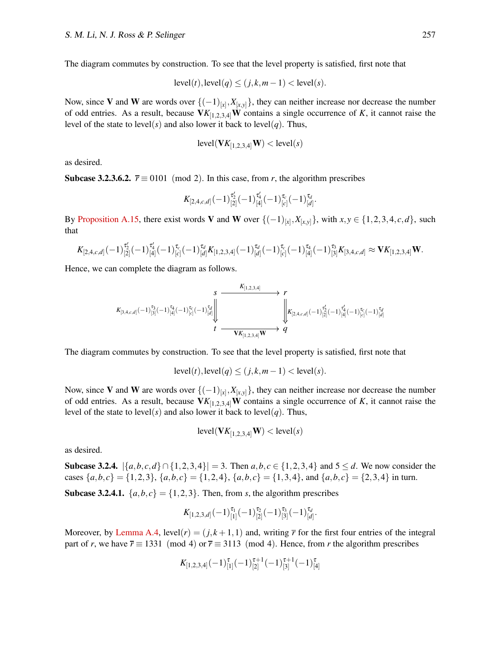The diagram commutes by construction. To see that the level property is satisfied, first note that

$$
level(t), level(q) \le (j,k,m-1) < level(s).
$$

Now, since V and W are words over {(−1)[*x*] ,*X*[*x*,*y*]}, they can neither increase nor decrease the number of odd entries. As a result, because  $VK_{[1,2,3,4]}W$  contains a single occurrence of *K*, it cannot raise the level of the state to level(s) and also lower it back to level(q). Thus,

$$
level(\mathbf{V}K_{[1,2,3,4]}\mathbf{W}) < level(s)
$$

as desired.

**Subcase 3.2.3.6.2.**  $\vec{r} \equiv 0101 \pmod{2}$ . In this case, from *r*, the algorithm prescribes

$$
K_{[2,4,c,d]}(-1)^{\tau'_2}_{[2]}(-1)^{\tau'_4}_{[4]}(-1)^{\tau_c}_{[c]}(-1)^{\tau_d}_{[d]}.
$$

By [Proposition A.15,](#page-15-0) there exist words V and W over  $\{(-1)_{[x]}, X_{[x,y]}\}$ , with  $x, y \in \{1, 2, 3, 4, c, d\}$ , such that

$$
K_{[2,4,c,d]}(-1)^{\tau_2'}_{[2]}(-1)^{\tau_4'}_{[4]}(-1)^{\tau_c}_{[c]}(-1)^{\tau_d}_{[d]}K_{[1,2,3,4]}(-1)^{\tau_d}_{[d]}(-1)^{\tau_c}_{[c]}(-1)^{\tau_4}_{[4]}(-1)^{\tau_3}_{[3]}K_{[3,4,c,d]}\approx \mathbf{V}K_{[1,2,3,4]}\mathbf{W}.
$$

Hence, we can complete the diagram as follows.

$$
\begin{array}{ccc}\nK_{[1,2,3,4]} & & r \\
K_{[3,4,c,d]}(-1)^{\tau_3}_{[3]}(-1)^{\tau_4}_{[4]}(-1)^{\tau_c}_{[c]}(-1)^{\tau_d}_{[d]}\n\end{array}\n\longrightarrow\n\begin{array}{ccc}\nK_{[1,2,3,4]} & & r \\
\downarrow & & \downarrow \\
\downarrow & & \downarrow \\
t & \longrightarrow & V \\
\hline\nV_{[1,2,3,4]}W & & q\n\end{array}
$$

The diagram commutes by construction. To see that the level property is satisfied, first note that

$$
level(t), level(q) \le (j, k, m-1) < level(s).
$$

Now, since V and W are words over {(−1)[*x*] ,*X*[*x*,*y*]}, they can neither increase nor decrease the number of odd entries. As a result, because  $VK_{[1,2,3,4]}W$  contains a single occurrence of *K*, it cannot raise the level of the state to level(s) and also lower it back to level(q). Thus,

$$
level(\mathbf{V}K_{[1,2,3,4]}\mathbf{W}) < level(s)
$$

as desired.

Subcase 3.2.4.  $\{a, b, c, d\} ∩ \{1, 2, 3, 4\} = 3$ . Then  $a, b, c ∈ \{1, 2, 3, 4\}$  and  $5 ≤ d$ . We now consider the cases  $\{a,b,c\} = \{1,2,3\}, \{a,b,c\} = \{1,2,4\}, \{a,b,c\} = \{1,3,4\}, \text{ and } \{a,b,c\} = \{2,3,4\} \text{ in turn.}$ 

**Subcase 3.2.4.1.**  $\{a,b,c\} = \{1,2,3\}$ . Then, from *s*, the algorithm prescribes

$$
K_{[1,2,3,d]}(-1)^{\tau_1}_{[1]}(-1)^{\tau_2}_{[2]}(-1)^{\tau_3}_{[3]}(-1)^{\tau_d}_{[d]}.
$$

Moreover, by [Lemma A.4,](#page-10-1)  $level(r) = (i, k + 1, 1)$  and, writing  $\bar{r}$  for the first four entries of the integral part of *r*, we have  $\overline{r} \equiv 1331 \pmod{4}$  or  $\overline{r} \equiv 3113 \pmod{4}$ . Hence, from *r* the algorithm prescribes

$$
K_{[1,2,3,4]}(-1)^{\tau}_{[1]}(-1)^{\tau+1}_{[2]}(-1)^{\tau+1}_{[3]}(-1)^{\tau}_{[4]}
$$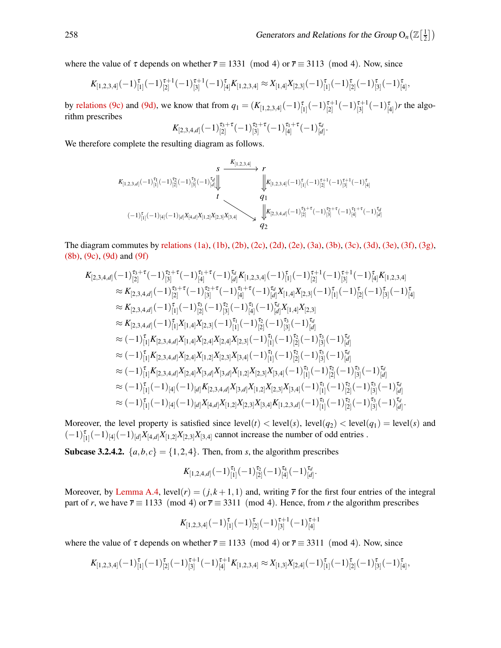where the value of  $\tau$  depends on whether  $\overline{r} \equiv 1331 \pmod{4}$  or  $\overline{r} \equiv 3113 \pmod{4}$ . Now, since

$$
K_{[1,2,3,4]}(-1)^{\tau}_{[1]}(-1)^{\tau+1}_{[2]}(-1)^{\tau+1}_{[3]}(-1)^{\tau}_{[4]}K_{[1,2,3,4]}\approx X_{[1,4]}X_{[2,3]}(-1)^{\tau}_{[1]}(-1)^{\tau}_{[2]}(-1)^{\tau}_{[3]}(-1)^{\tau}_{[4]},
$$

by [relations \(9c\)](#page-13-0) and [\(9d\),](#page-13-3) we know that from  $q_1 = (K_{[1,2,3,4]}(-1)_{[1]}^{\tau}(-1)_{[2]}^{\tau+1}$  $\frac{\tau+1}{[2]}(-1)\frac{\tau+1}{[3]}$  $\binom{[3]}{[3]}(-1)\binom{[4]}{[4]}$ *r* the algorithm prescribes

$$
K_{[2,3,4,d]}(-1)^{\tau_3+\tau}_{[2]}(-1)^{\tau_2+\tau}_{[3]}(-1)^{\tau_1+\tau}_{[4]}(-1)^{\tau_d}_{[d]}.
$$

We therefore complete the resulting diagram as follows.

$$
\begin{array}{ccc}\n & s & \xrightarrow{K_{[1,2,3,4]}} & r \\
 & & \xrightarrow{K_{[1,2,3,4]}} & -1)^{\tau_{1}}_{[2]}(-1)^{\tau_{2}}_{[2]}(-1)^{\tau_{3}}_{[3]}(-1)^{\tau_{4}}_{[d]}\n \end{array}
$$
\n
$$
\begin{array}{ccc}\n & & \xrightarrow{K_{[1,2,3,4]}} & r \\
 & & \xrightarrow{K_{[1,2,3,4]}} & (-1)^{\tau_{1}}_{[1]}(-1)^{\tau_{1}+1}_{[3]}(-1)^{\tau_{1}+1}_{[4]} \\
 & & t & q \\
 & & & q\n \end{array}
$$
\n
$$
\begin{array}{ccc}\n & & \xrightarrow{K_{[1,2,3,4]}} & -1)^{\tau_{1}}_{[1]}(-1)^{\tau_{1}+1}_{[2]}(-1)^{\tau_{1}+1}_{[3]}(-1)^{\tau_{1}+1}_{[4]} \\
 & & & q\n \end{array}
$$

The diagram commutes by [relations \(1a\),](#page-5-1) [\(1b\),](#page-5-2) [\(2b\),](#page-5-2) [\(2c\),](#page-5-3) [\(2d\),](#page-5-4) [\(2e\),](#page-5-5) [\(3a\),](#page-5-1) [\(3b\),](#page-5-2) [\(3c\),](#page-5-3) [\(3d\),](#page-5-4) [\(3e\),](#page-5-5) [\(3f\),](#page-5-6) [\(3g\),](#page-5-7) [\(8b\),](#page-13-2) [\(9c\),](#page-13-0) [\(9d\)](#page-13-3) and [\(9f\)](#page-13-5)

$$
K_{[2,3,4,d]}(-1)^{\tau_{3}+\tau}_{[2]}(-1)^{\tau_{2}+\tau}_{[3]}(-1)^{\tau_{4}+\tau}_{[4]}(-1)^{\tau_{d}}_{[d]}K_{[1,2,3,4]}(-1)^{\tau_{1}}_{[2]}(-1)^{\tau_{2}+1}_{[3]}(-1)^{\tau_{2}+1}_{[3]}(-1)^{\tau_{1}+1}_{[4]}(-1)^{\tau_{2}+1}_{[4]}(-1)^{\tau_{2}+1}_{[4]}(-1)^{\tau_{2}+1}_{[4]}(-1)^{\tau_{2}+1}_{[4]}(-1)^{\tau_{2}+1}_{[4]}(-1)^{\tau_{2}+1}_{[4]}(-1)^{\tau_{2}+1}_{[4]}(-1)^{\tau_{2}+1}_{[4]}(-1)^{\tau_{2}+1}_{[4]}(-1)^{\tau_{2}+1}_{[4]}(-1)^{\tau_{2}+1}_{[4]}(-1)^{\tau_{2}+1}_{[4]}(-1)^{\tau_{2}+1}_{[4]}(-1)^{\tau_{2}+1}_{[4]}(-1)^{\tau_{2}+1}_{[4]}(-1)^{\tau_{2}+1}_{[4]}(-1)^{\tau_{2}+1}_{[4]}(-1)^{\tau_{2}+1}_{[4]}(-1)^{\tau_{2}+1}_{[4]}(-1)^{\tau_{2}+1}_{[4]}(-1)^{\tau_{2}+1}_{[4]}(-1)^{\tau_{2}+1}_{[4]}(-1)^{\tau_{2}+1}_{[4]}(-1)^{\tau_{2}+1}_{[4]}(-1)^{\tau_{2}+1}_{[4]}(-1)^{\tau_{2}+1}_{[4]}(-1)^{\tau_{2}+1}_{[4]}(-1)^{\tau_{2}+1}_{[4]}(-1)^{\tau_{2}+1}_{[4]}(-1)^{\tau_{2}+1}_{[4]}(-1)^{\tau_{2}+1}_{[4]}(-1)^{\tau_{2}+1}_{[4]}(-1)^{\tau_{2}+1}_{[4]}(-1)^{\tau_{2}+1}_{[4]}(-1)^{\tau_{2}+1}_{[4]}(-1)^{\tau_{2}+1}_{[4]}(-1)^{\tau_{2}+1}_{[4]}(-1)^{\tau_{2}+1}_{[4]}(-1)^{\tau_{2}+1}_{[4]}(-1)^{\tau_{2}+1}_{[4]}(-1)^{\tau_{2}+1}_{[4]}(-1)^{\tau_{2}+1}_{[4]}(-1)^{\tau_{2}+1}_{[4]}(-1)^{\tau_{2}+1}_{[4]}(-1)^{\tau_{2}+1}_{[4]}
$$

Moreover, the level property is satisfied since  $level(t) < level(s)$ ,  $level(q_2) < level(q_1) = level(s)$  and  $(-1)^{\tau}_{[1]}(-1)_{[4]}(-1)_{[d]}X_{[4,d]}X_{[1,2]}X_{[2,3]}X_{[3,4]}$  cannot increase the number of odd entries .

**Subcase 3.2.4.2.**  $\{a,b,c\} = \{1,2,4\}$ . Then, from *s*, the algorithm prescribes

$$
K_{[1,2,4,d]}(-1)^{\tau_1}_{[1]}(-1)^{\tau_2}_{[2]}(-1)^{\tau_4}_{[4]}(-1)^{\tau_d}_{[d]}.
$$

Moreover, by [Lemma A.4,](#page-10-1) level( $r$ ) = ( $j, k+1, 1$ ) and, writing  $\bar{r}$  for the first four entries of the integral part of *r*, we have  $\overline{r} \equiv 1133 \pmod{4}$  or  $\overline{r} \equiv 3311 \pmod{4}$ . Hence, from *r* the algorithm prescribes

$$
K_{[1,2,3,4]}(-1)^{\tau}_{[1]}(-1)^{\tau}_{[2]}(-1)^{\tau+1}_{[3]}(-1)^{\tau+1}_{[4]}
$$

where the value of  $\tau$  depends on whether  $\overline{r} \equiv 1133 \pmod{4}$  or  $\overline{r} \equiv 3311 \pmod{4}$ . Now, since

$$
K_{[1,2,3,4]}(-1)^{\tau}_{[1]}(-1)^{\tau}_{[2]}(-1)^{\tau+1}_{[3]}(-1)^{\tau+1}_{[4]}K_{[1,2,3,4]}\approx X_{[1,3]}X_{[2,4]}(-1)^{\tau}_{[1]}(-1)^{\tau}_{[2]}(-1)^{\tau}_{[3]}(-1)^{\tau}_{[4]},
$$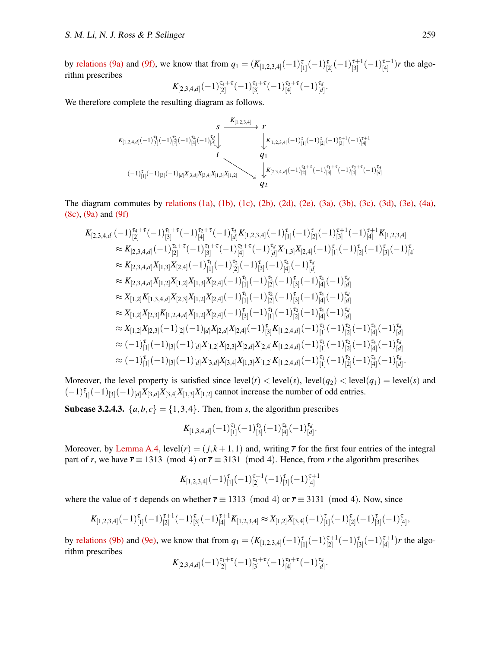by [relations \(9a\)](#page-13-1) and [\(9f\),](#page-13-5) we know that from  $q_1 = (K_{[1,2,3,4]}(-1)^{\tau}_{[1]}(-1)^{\tau}_{[2]}(-1)^{\tau+1}_{[3]}$  $\frac{\tau+1}{[3]}(-1)\frac{\tau+1}{[4]}$  $\binom{r+1}{4}$  *r* the algorithm prescribes

$$
K_{[2,3,4,d]}(-1)^{\tau_4+\tau}_{[2]}(-1)^{\tau_1+\tau}_{[3]}(-1)^{\tau_2+\tau}_{[4]}(-1)^{\tau_d}_{[d]}.
$$

We therefore complete the resulting diagram as follows.

$$
\begin{array}{ccc}\n & s & \xrightarrow{K_{[1,2,3,4]}} & r \\
\downarrow & & \searrow & \\
 & & \searrow & \searrow & \\
 & & & \searrow & \\
 & & & \searrow & \\
 & & & & \searrow & \\
 & & & & \searrow & \\
 & & & & & \searrow & \\
 & & & & & \\
 & & & & & \\
 & & & & & \\
 & & & & & \\
 & & & & & \\
 & & & & & \\
 & & & & & \\
 & & & & & \\
 & & & & & \\
 & & & & & \\
 & & & & & \\
 & & & & & \\
 & & & & & \\
 & & & & & \\
 & & & & & \\
 & & & & & \\
 & & & & & \\
 & & & & & \\
 & & & & & \\
 & & & & & \\
 & & & & & \\
 & & & & & \\
 & & & & & \\
 & & & & & \\
 & & & & & \\
 & & & & & \\
 & & & & & & \\
 & & & & & & \\
 & & & & & & \\
 & & & & & & \\
 & & & & & & \\
 & & & & & & \\
 & & & & & & \\
 & & & & & & \\
 & & & & & & & \\
 & & &
$$

The diagram commutes by [relations \(1a\),](#page-5-1) [\(1b\),](#page-5-2) [\(1c\),](#page-5-3) [\(2b\),](#page-5-2) [\(2d\),](#page-5-4) [\(2e\),](#page-5-5) [\(3a\),](#page-5-1) [\(3b\),](#page-5-2) [\(3c\),](#page-5-3) [\(3d\),](#page-5-4) [\(3e\),](#page-5-5) [\(4a\),](#page-5-1) [\(8c\),](#page-13-0) [\(9a\)](#page-13-1) and [\(9f\)](#page-13-5)

$$
K_{[2,3,4,d]}(-1)^{\tau_{4}+\tau}_{[2]}(-1)^{\tau_{1}+\tau}_{[3]}(-1)^{\tau_{2}+\tau}_{[4]}(-1)^{\tau_{d}}_{[d]}K_{[1,2,3,4]}(-1)^{\tau}_{[1]}(-1)^{\tau_{2}}_{[2]}(-1)^{\tau_{1}+1}_{[3]}(-1)^{\tau_{1}+1}_{[4]}K_{[1,2,3,4]}\n\n\approx K_{[2,3,4,d]}(-1)^{\tau_{4}+\tau}_{[2]}(-1)^{\tau_{1}+\tau}_{[3]}(-1)^{\tau_{2}+\tau}_{[4]}(-1)^{\tau_{d}}_{[d]}X_{[1,3]}X_{[2,4]}(-1)^{\tau}_{[1]}(-1)^{\tau_{2}}_{[2]}(-1)^{\tau_{3}}_{[3]}(-1)^{\tau_{4}}_{[4]}\n\n\approx K_{[2,3,4,d]}X_{[1,3]}X_{[2,4]}(-1)^{\tau_{1}}_{[1]}(-1)^{\tau_{2}}_{[2]}(-1)^{\tau_{3}}_{[4]}(-1)^{\tau_{d}}_{[d]}\n\n\approx K_{[2,3,4,d]}X_{[1,2]}X_{[1,2]}X_{[1,3]}X_{[2,4]}(-1)^{\tau_{1}}_{[1]}(-1)^{\tau_{2}}_{[2]}(-1)^{\tau_{3}}_{[3]}(-1)^{\tau_{4}}_{[4]}(-1)^{\tau_{d}}_{[d]}\n\n\approx K_{[1,2]}K_{[1,3,4,d]}X_{[2,3]}X_{[1,2]}X_{[2,4]}(-1)^{\tau_{1}}_{[1]}(-1)^{\tau_{2}}_{[2]}(-1)^{\tau_{3}}_{[3]}(-1)^{\tau_{4}}_{[4]}(-1)^{\tau_{d}}_{[d]}\n\n\approx X_{[1,2]}X_{[2,3]}K_{[1,2,4,d]}X_{[1,2]}X_{[2,4]}(-1)^{\tau_{1}}_{[1]}(-1)^{\tau_{2}}_{[2]}(-1)^{\tau_{3}}_{[4]}(-1)^{\tau_{d}}_{[d]}\n\n\approx X_{[1,2]}X_{[2,3]}(-1)_{[2]}(-1)_{[d]}X_{[2,d]}X_{[2,4]}(-1)^{\tau_{1}}_{[3]}(-1)^{\tau_{1}}_{[1]}(-1)^{\tau_{2}}_{[2]}(-1)^{\tau_{4}}_{[4]}(-1)^{\tau_{d}}_{[d]}\n\
$$

Moreover, the level property is satisfied since  $level(t) < level(s)$ ,  $level(q_2) < level(q_1) = level(s)$  and  $(-1)^{\tau}_{[1]}(-1)_{[3]}(-1)_{[d]}X_{[3,d]}X_{[3,4]}X_{[1,3]}X_{[1,2]}$  cannot increase the number of odd entries.

**Subcase 3.2.4.3.**  $\{a,b,c\} = \{1,3,4\}$ . Then, from *s*, the algorithm prescribes

$$
K_{[1,3,4,d]}(-1)^{\tau_1}_{[1]}(-1)^{\tau_3}_{[3]}(-1)^{\tau_4}_{[4]}(-1)^{\tau_d}_{[d]}.
$$

Moreover, by [Lemma A.4,](#page-10-1) level( $r$ ) = ( $j, k+1, 1$ ) and, writing  $\bar{r}$  for the first four entries of the integral part of *r*, we have  $\overline{r} \equiv 1313 \pmod{4}$  or  $\overline{r} \equiv 3131 \pmod{4}$ . Hence, from *r* the algorithm prescribes

$$
K_{[1,2,3,4]}(-1)^{\tau}_{[1]}(-1)^{\tau+1}_{[2]}(-1)^{\tau}_{[3]}(-1)^{\tau+1}_{[4]}
$$

where the value of  $\tau$  depends on whether  $\overline{r} \equiv 1313 \pmod{4}$  or  $\overline{r} \equiv 3131 \pmod{4}$ . Now, since

$$
K_{[1,2,3,4]}(-1)^{\tau}_{[1]}(-1)^{\tau+1}_{[2]}(-1)^{\tau}_{[3]}(-1)^{\tau+1}_{[4]}K_{[1,2,3,4]}\approx X_{[1,2]}X_{[3,4]}(-1)^{\tau}_{[1]}(-1)^{\tau}_{[2]}(-1)^{\tau}_{[3]}(-1)^{\tau}_{[4]},
$$

by [relations \(9b\)](#page-13-2) and [\(9e\),](#page-13-4) we know that from  $q_1 = (K_{[1,2,3,4]}(-1)_{[1]}^{\tau}(-1)_{[2]}^{\tau+1}$  $\frac{\tau+1}{[2]}(-1)\frac{\tau}{[3]}(-1)\frac{\tau+1}{[4]}$  $\binom{t+1}{4}$  *r* the algorithm prescribes

$$
K_{[2,3,4,d]}(-1)^{\tau_1+\tau}_{[2]}(-1)^{\tau_4+\tau}_{[3]}(-1)^{\tau_3+\tau}_{[4]}(-1)^{\tau_d}_{[d]}.
$$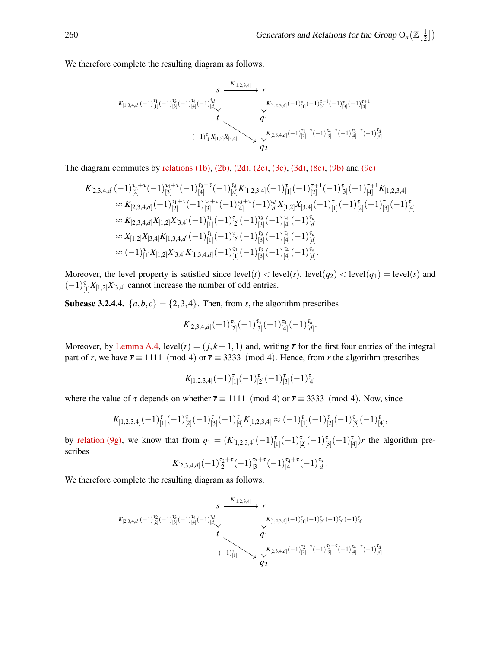We therefore complete the resulting diagram as follows.

$$
\begin{array}{ccc}&&S&\xrightarrow{K_{[1,2,3,4]}}r\\&\searrow&\\&\searrow&\\&&\searrow&\\&&\swarrow\\&&&&\swarrow\\&&&&t\\&(-1)^{\tau}_{[1]}X_{[1,2]}X_{[3,4]}\\\&&&\swarrow\\&&&&q_1\\&&&&q_2\\&&&&q_2\\&&&&q_2\\&&&&q_2\\&&&&\end{array}
$$

The diagram commutes by [relations \(1b\),](#page-5-2) [\(2b\),](#page-5-2) [\(2d\),](#page-5-4) [\(2e\),](#page-5-5) [\(3c\),](#page-5-3) [\(3d\),](#page-5-4) [\(8c\),](#page-13-0) [\(9b\)](#page-13-2) and [\(9e\)](#page-13-4)

$$
K_{[2,3,4,d]}(-1)^{\tau_{1}+\tau}_{[2]}(-1)^{\tau_{3}+\tau}_{[3]}(-1)^{\tau_{3}+\tau}_{[4]}(-1)^{\tau_{d}}_{[d]}K_{[1,2,3,4]}(-1)^{\tau}_{[1]}(-1)^{\tau_{1}+1}_{[2]}(-1)^{\tau_{1}+1}_{[3]}K_{[1,2,3,4]}\n\approx K_{[2,3,4,d]}(-1)^{\tau_{1}+\tau}_{[2]}(-1)^{\tau_{3}+\tau}_{[3]}(-1)^{\tau_{3}+\tau}_{[4]}(-1)^{\tau_{d}}_{[d]}X_{[1,2]}X_{[3,4]}(-1)^{\tau}_{[1]}(-1)^{\tau}_{[2]}(-1)^{\tau}_{[3]}(-1)^{\tau}_{[4]}\n\approx K_{[2,3,4,d]}X_{[1,2]}X_{[3,4]}(-1)^{\tau_{1}}_{[1]}(-1)^{\tau_{2}}_{[2]}(-1)^{\tau_{3}}_{[3]}(-1)^{\tau_{4}}_{[4]}(-1)^{\tau_{d}}_{[d]}\n\approx X_{[1,2]}X_{[3,4]}K_{[1,3,4,d]}(-1)^{\tau_{1}}_{[1]}(-1)^{\tau_{2}}_{[2]}(-1)^{\tau_{3}}_{[3]}(-1)^{\tau_{4}}_{[4]}(-1)^{\tau_{d}}_{[d]}\n\approx (-1)^{\tau_{1}}_{[1]}X_{[1,2]}X_{[3,4]}K_{[1,3,4,d]}(-1)^{\tau_{1}}_{[1]}(-1)^{\tau_{3}}_{[3]}(-1)^{\tau_{4}}_{[4]}(-1)^{\tau_{d}}_{[d]}.
$$

Moreover, the level property is satisfied since  $level(t) < level(s)$ ,  $level(q_2) < level(q_1) = level(s)$  and  $(-1)_{[1]}^{\tau} X_{[1,2]} X_{[3,4]}$  cannot increase the number of odd entries.

**Subcase 3.2.4.4.**  $\{a,b,c\} = \{2,3,4\}$ . Then, from *s*, the algorithm prescribes

$$
K_{[2,3,4,d]}(-1)^{\tau_2}_{[2]}(-1)^{\tau_3}_{[3]}(-1)^{\tau_4}_{[4]}(-1)^{\tau_d}_{[d]}.
$$

Moreover, by [Lemma A.4,](#page-10-1)  $level(r) = (j, k + 1, 1)$  and, writing  $\bar{r}$  for the first four entries of the integral part of *r*, we have  $\overline{r} \equiv 1111 \pmod{4}$  or  $\overline{r} \equiv 3333 \pmod{4}$ . Hence, from *r* the algorithm prescribes

$$
K_{[1,2,3,4]}(-1)^{\tau}_{[1]}(-1)^{\tau}_{[2]}(-1)^{\tau}_{[3]}(-1)^{\tau}_{[4]}
$$

where the value of  $\tau$  depends on whether  $\overline{r} \equiv 1111 \pmod{4}$  or  $\overline{r} \equiv 3333 \pmod{4}$ . Now, since

$$
K_{[1,2,3,4]}(-1)^{\tau}_{[1]}(-1)^{\tau}_{[2]}(-1)^{\tau}_{[3]}(-1)^{\tau}_{[4]}K_{[1,2,3,4]}\approx(-1)^{\tau}_{[1]}(-1)^{\tau}_{[2]}(-1)^{\tau}_{[3]}(-1)^{\tau}_{[4]},
$$

by [relation \(9g\),](#page-13-6) we know that from  $q_1 = (K_{[1,2,3,4]}(-1)^{\tau}_{[1]}(-1)^{\tau}_{[2]}(-1)^{\tau}_{[3]}(-1)^{\tau}_{[4]})$ *r* the algorithm prescribes

$$
K_{[2,3,4,d]}(-1)^{\tau_2+\tau}_{[2]}(-1)^{\tau_3+\tau}_{[3]}(-1)^{\tau_4+\tau}_{[4]}(-1)^{\tau_d}_{[d]}.
$$

We therefore complete the resulting diagram as follows.

$$
\begin{array}{ccc}&&S&\xrightarrow{K_{[1,2,3,4]}}&r\\&\searrow&\\&\searrow&\\&&\searrow&\\&&\swarrow\\&&t&&\\&&t&&\\&&t&&\\&&(-1)^{\tau}_{[1]}\searrow&\\&&q_{1}\\&&q_{2}\end{array}
$$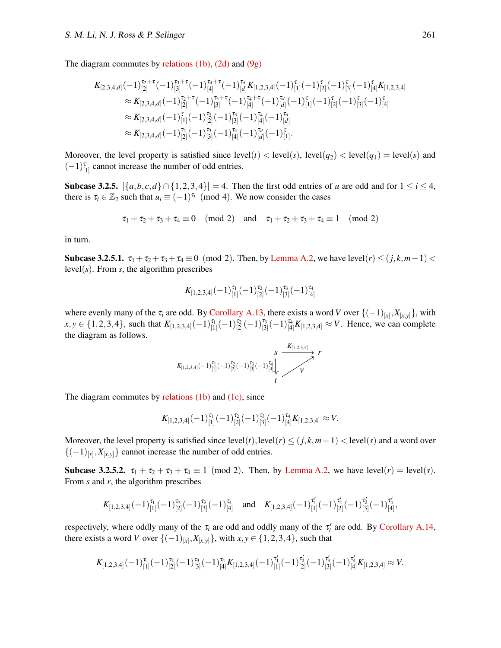The diagram commutes by [relations \(1b\),](#page-5-2) [\(2d\)](#page-5-4) and [\(9g\)](#page-13-6)

$$
K_{[2,3,4,d]}(-1)^{\tau_{2}+\tau}_{[2]}(-1)^{\tau_{3}+\tau}_{[3]}(-1)^{\tau_{4}+\tau}_{[4]}(-1)^{\tau_{d}}_{[d]}K_{[1,2,3,4]}(-1)^{\tau}_{[1]}(-1)^{\tau}_{[2]}(-1)^{\tau}_{[3]}(-1)^{\tau}_{[4]}K_{[1,2,3,4]}\approx K_{[2,3,4,d]}(-1)^{\tau_{2}+\tau}_{[2]}(-1)^{\tau_{3}+\tau}_{[3]}(-1)^{\tau_{4}+\tau}_{[4]}(-1)^{\tau_{d}}_{[d]}(-1)^{\tau}_{[1]}(-1)^{\tau}_{[2]}(-1)^{\tau}_{[3]}(-1)^{\tau}_{[4]}\approx K_{[2,3,4,d]}(-1)^{\tau}_{[1]}(-1)^{\tau_{2}}_{[2]}(-1)^{\tau_{3}}_{[3]}(-1)^{\tau_{4}}_{[4]}(-1)^{\tau_{d}}_{[d]}\approx K_{[2,3,4,d]}(-1)^{\tau_{2}}_{[2]}(-1)^{\tau_{3}}_{[3]}(-1)^{\tau_{4}}_{[4]}(-1)^{\tau_{d}}_{[d]}(-1)^{\tau}_{[1]}.
$$

Moreover, the level property is satisfied since  $level(t) < level(s)$ ,  $level(q_2) < level(q_1) = level(s)$  and  $(-1)_{[1]}^{\tau}$  cannot increase the number of odd entries.

Subcase 3.2.5.  $|\{a,b,c,d\} \cap \{1,2,3,4\}| = 4$ . Then the first odd entries of *u* are odd and for  $1 \le i \le 4$ , there is  $\tau_i \in \mathbb{Z}_2$  such that  $u_i \equiv (-1)^{\tau_i} \pmod{4}$ . We now consider the cases

$$
\tau_1+\tau_2+\tau_3+\tau_4\equiv 0\pmod{2}\quad\text{and}\quad\tau_1+\tau_2+\tau_3+\tau_4\equiv 1\pmod{2}
$$

in turn.

Subcase 3.2.5.1.  $\tau_1 + \tau_2 + \tau_3 + \tau_4 \equiv 0 \pmod{2}$ . Then, by [Lemma A.2,](#page-9-4) we have level(*r*)  $\leq (j, k, m-1) <$ level( $s$ ). From  $s$ , the algorithm prescribes

$$
K_{[1,2,3,4]}(-1)^{\tau_1}_{[1]}(-1)^{\tau_2}_{[2]}(-1)^{\tau_3}_{[3]}(-1)^{\tau_4}_{[4]}
$$

where evenly many of the  $\tau_i$  are odd. By [Corollary A.13,](#page-14-0) there exists a word *V* over  $\{(-1)_{[x]}, X_{[x,y]}\}$ , with  $x, y \in \{1, 2, 3, 4\}$ , such that  $K_{[1,2,3,4]}(-1)_{[1]}^{\tau_1}(-1)_{[2]}^{\tau_2}(-1)_{[3]}^{\tau_3}(-1)_{[4]}^{\tau_4}K_{[1,2,3,4]} \approx V$ . Hence, we can complete the diagram as follows.

$$
K_{[1,2,3,4]}(-1)^{\tau_1}_{[1]}(-1)^{\tau_2}_{[2]}(-1)^{\tau_3}_{[3]}(-1)^{\tau_4}_{[4]}\downarrow \qquad V
$$
\n
$$
t
$$
\n
$$
t
$$
\n
$$
t
$$
\n
$$
t
$$

The diagram commutes by [relations \(1b\)](#page-5-2) and [\(1c\),](#page-5-3) since

$$
K_{[1,2,3,4]}(-1)^{\tau_1}_{[1]}(-1)^{\tau_2}_{[2]}(-1)^{\tau_3}_{[3]}(-1)^{\tau_4}_{[4]}K_{[1,2,3,4]} \approx V.
$$

Moreover, the level property is satisfied since  $level(t)$ ,  $level(r) \le (j, k, m-1) < level(s)$  and a word over  $\{(-1)_{[x]}, X_{[x,y]}\}$  cannot increase the number of odd entries.

**Subcase 3.2.5.2.**  $\tau_1 + \tau_2 + \tau_3 + \tau_4 \equiv 1 \pmod{2}$ . Then, by [Lemma A.2,](#page-9-4) we have level(*r*) = level(*s*). From *s* and *r*, the algorithm prescribes

$$
K_{[1,2,3,4]}(-1)^{\tau_1}_{[1]}(-1)^{\tau_2}_{[2]}(-1)^{\tau_3}_{[3]}(-1)^{\tau_4}_{[4]}
$$
 and  $K_{[1,2,3,4]}(-1)^{\tau_1'}_{[1]}(-1)^{\tau_2'}_{[2]}(-1)^{\tau_3'}_{[3]}(-1)^{\tau_4'}_{[4]},$ 

respectively, where oddly many of the  $\tau_i$  are odd and oddly many of the  $\tau'_i$  are odd. By [Corollary A.14,](#page-14-1) there exists a word *V* over { $(-1)_{[x]}, X_{[x,y]}\}$ , with *x*, *y* ∈ {1, 2, 3, 4}, such that

$$
K_{[1,2,3,4]}(-1)^{\tau_1}_{[1]}(-1)^{\tau_2}_{[2]}(-1)^{\tau_3}_{[3]}(-1)^{\tau_4}_{[4]}K_{[1,2,3,4]}(-1)^{\tau_1'}_{[1]}(-1)^{\tau_2'}_{[2]}(-1)^{\tau_3'}_{[3]}(-1)^{\tau_4'}_{[4]}K_{[1,2,3,4]} \approx V.
$$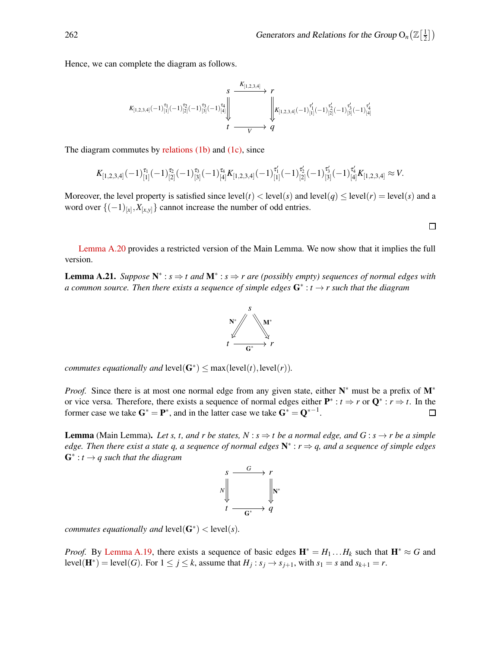Hence, we can complete the diagram as follows.

$$
K_{[1,2,3,4]}(-1)^{\tau_1}_{[1]}(-1)^{\tau_2}_{[2]}(-1)^{\tau_3}_{[3]}(-1)^{\tau_4}_{[4]}\Bigg\| \underbrace{1}_{t} \underbrace{\left\|\left\|\left\|\left(K_{[1,2,3,4]}(-1)^{\tau_1'}_{[1]}(-1)^{\tau_2'}_{[2]}(-1)^{\tau_3'}_{[3]}(-1)^{\tau_4'}_{[4]}(-1)^{\tau_5'}_{[4]}(-1)^{\tau_6'}_{[3]}(-1)^{\tau_7}_{[4]}(-1)^{\tau_8}_{[4]}(-1)^{\tau_9}_{[5]}\right)\right\|}_{t}.
$$

The diagram commutes by [relations \(1b\)](#page-5-2) and [\(1c\),](#page-5-3) since

$$
K_{[1,2,3,4]}(-1)^{\tau_1}_{[1]}(-1)^{\tau_2}_{[2]}(-1)^{\tau_3}_{[3]}(-1)^{\tau_4}_{[4]}K_{[1,2,3,4]}(-1)^{\tau_1'}_{[1]}(-1)^{\tau_2'}_{[2]}(-1)^{\tau_3'}_{[3]}(-1)^{\tau_4'}_{[4]}K_{[1,2,3,4]} \approx V.
$$

Moreover, the level property is satisfied since  $level(t) < level(s)$  and  $level(q) \le level(r) = level(s)$  and a word over  $\{(-1)_{[x]}, X_{[x,y]}\}$  cannot increase the number of odd entries.

<span id="page-52-0"></span>[Lemma A.20](#page-18-2) provides a restricted version of the Main Lemma. We now show that it implies the full version.

Lemma A.21. *Suppose* N ∗ : *s* ⇒ *t and* M<sup>∗</sup> : *s* ⇒ *r are (possibly empty) sequences of normal edges with a common source. Then there exists a sequence of simple edges* G∗ : *t* → *r such that the diagram*



*commutes equationally and*  $level(G^*) \leq max(left(t), level(r)).$ 

*Proof.* Since there is at most one normal edge from any given state, either N<sup>\*</sup> must be a prefix of M<sup>\*</sup> or vice versa. Therefore, there exists a sequence of normal edges either  $P^* : t \Rightarrow r$  or  $Q^* : r \Rightarrow t$ . In the former case we take  $G^* = P^*$ , and in the latter case we take  $G^* = Q^{*-1}$ .

**Lemma** (Main Lemma). Let s, t, and r be states,  $N : s \Rightarrow t$  be a normal edge, and  $G : s \rightarrow r$  be a simple *edge. Then there exist a state q, a sequence of normal edges* N ∗ : *r* ⇒ *q, and a sequence of simple edges* G∗ : *t* → *q such that the diagram*



*commutes equationally and*  $level(G^*)$  <  $level(s)$ *.* 

*Proof.* By [Lemma A.19,](#page-18-0) there exists a sequence of basic edges  $\mathbf{H}^* = H_1 \dots H_k$  such that  $\mathbf{H}^* \approx G$  and level( $\mathbf{H}^*$ ) = level(*G*). For  $1 \leq j \leq k$ , assume that  $H_j : s_j \to s_{j+1}$ , with  $s_1 = s$  and  $s_{k+1} = r$ .

$$
\Box
$$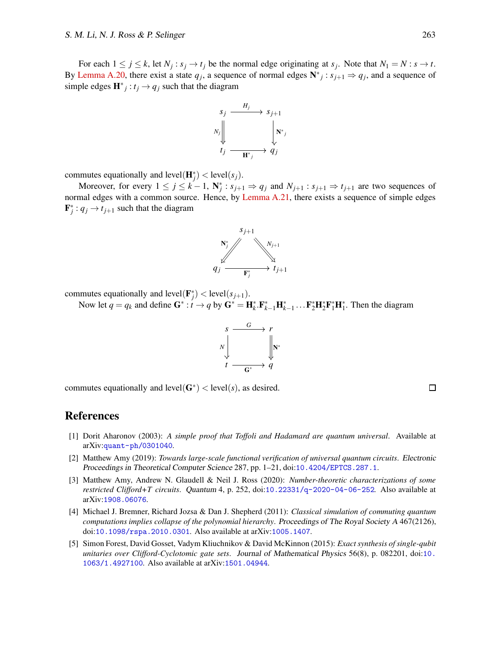For each  $1 \le j \le k$ , let  $N_j : s_j \to t_j$  be the normal edge originating at  $s_j$ . Note that  $N_1 = N : s \to t$ . By [Lemma A.20,](#page-18-2) there exist a state  $q_j$ , a sequence of normal edges  $N^*$  :  $s_{j+1} \Rightarrow q_j$ , and a sequence of simple edges  $\mathbf{H}^*$ <sub>*j*</sub>: *t<sub>j</sub>*  $\rightarrow$  *q<sub>j</sub>* such that the diagram



commutes equationally and  $level(\mathbf{H}_{j}^{*}) < level(s_{j}).$ 

Moreover, for every  $1 \le j \le k-1$ ,  $N_j^*$ :  $s_{j+1} \Rightarrow q_j$  and  $N_{j+1}$ :  $s_{j+1} \Rightarrow t_{j+1}$  are two sequences of normal edges with a common source. Hence, by [Lemma A.21,](#page-52-0) there exists a sequence of simple edges  $\mathbf{F}_j^*$ :  $q_j \rightarrow t_{j+1}$  such that the diagram



commutes equationally and  $level(\mathbf{F}_j^*) < level(s_{j+1})$ .

Now let  $q = q_k$  and define  $G^* : t \to q$  by  $G^* = H_k^* . F_{k-1}^* H_{k-1}^* ... F_2^* H_2^* F_1^* H_1^*.$  Then the diagram



commutes equationally and  $level(G^*)$  <  $level(s)$ , as desired.

#### $\Box$

## <span id="page-53-2"></span>References

- [1] Dorit Aharonov (2003): *A simple proof that Toffoli and Hadamard are quantum universal*. Available at arXiv:[quant-ph/0301040](http://arxiv.org/abs/quant-ph/0301040).
- <span id="page-53-4"></span>[2] Matthew Amy (2019): *Towards large-scale functional verification of universal quantum circuits*. Electronic Proceedings in Theoretical Computer Science 287, pp. 1–21, doi:[10.4204/EPTCS.287.1](http://dx.doi.org/10.4204/EPTCS.287.1).
- <span id="page-53-0"></span>[3] Matthew Amy, Andrew N. Glaudell & Neil J. Ross (2020): *Number-theoretic characterizations of some restricted Clifford+T circuits*. Quantum 4, p. 252, doi:[10.22331/q-2020-04-06-252](http://dx.doi.org/10.22331/q-2020-04-06-252). Also available at arXiv:[1908.06076](http://arxiv.org/abs/1908.06076).
- <span id="page-53-3"></span>[4] Michael J. Bremner, Richard Jozsa & Dan J. Shepherd (2011): *Classical simulation of commuting quantum computations implies collapse of the polynomial hierarchy*. Proceedings of The Royal Society <sup>A</sup> 467(2126), doi:[10.1098/rspa.2010.0301](http://dx.doi.org/10.1098/rspa.2010.0301). Also available at arXiv:[1005.1407](http://arxiv.org/abs/1005.1407).
- <span id="page-53-1"></span>[5] Simon Forest, David Gosset, Vadym Kliuchnikov & David McKinnon (2015): *Exact synthesis of single-qubit unitaries over Clifford-Cyclotomic gate sets*. Journal of Mathematical Physics 56(8), p. 082201, doi:[10.](http://dx.doi.org/10.1063/1.4927100) [1063/1.4927100](http://dx.doi.org/10.1063/1.4927100). Also available at arXiv:[1501.04944](http://arxiv.org/abs/1501.04944).